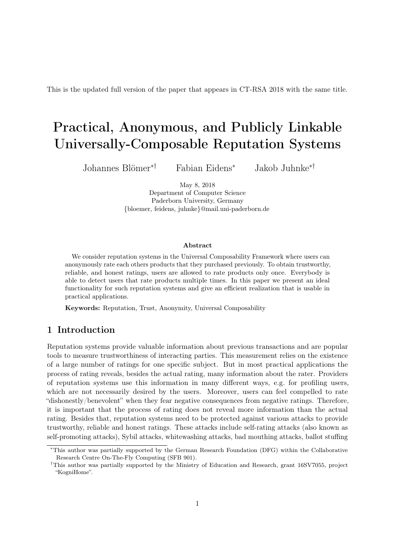This is the updated full version of the paper that appears in CT-RSA 2018 with the same title.

# Practical, Anonymous, and Publicly Linkable Universally-Composable Reputation Systems

Johannes Blömer∗† Fabian Eidens<sup>∗</sup> Jakob Juhnke∗†

May 8, 2018

Department of Computer Science Paderborn University, Germany [{bloemer,](mailto:bloemer@mail.uni-paderborn.de) [feidens,](mailto:feidens@mail.uni-paderborn.de) [juhnke}](mailto:juhnke@mail.uni-paderborn.de)@mail.uni-paderborn.de

### Abstract

We consider reputation systems in the Universal Composability Framework where users can anonymously rate each others products that they purchased previously. To obtain trustworthy, reliable, and honest ratings, users are allowed to rate products only once. Everybody is able to detect users that rate products multiple times. In this paper we present an ideal functionality for such reputation systems and give an efficient realization that is usable in practical applications.

Keywords: Reputation, Trust, Anonymity, Universal Composability

# 1 Introduction

Reputation systems provide valuable information about previous transactions and are popular tools to measure trustworthiness of interacting parties. This measurement relies on the existence of a large number of ratings for one specific subject. But in most practical applications the process of rating reveals, besides the actual rating, many information about the rater. Providers of reputation systems use this information in many different ways, e.g. for profiling users, which are not necessarily desired by the users. Moreover, users can feel compelled to rate "dishonestly/benevolent" when they fear negative consequences from negative ratings. Therefore, it is important that the process of rating does not reveal more information than the actual rating. Besides that, reputation systems need to be protected against various attacks to provide trustworthy, reliable and honest ratings. These attacks include self-rating attacks (also known as self-promoting attacks), Sybil attacks, whitewashing attacks, bad mouthing attacks, ballot stuffing

<sup>∗</sup>This author was partially supported by the German Research Foundation (DFG) within the Collaborative Research Centre On-The-Fly Computing (SFB 901).

<sup>†</sup>This author was partially supported by the Ministry of Education and Research, grant 16SV7055, project "KogniHome".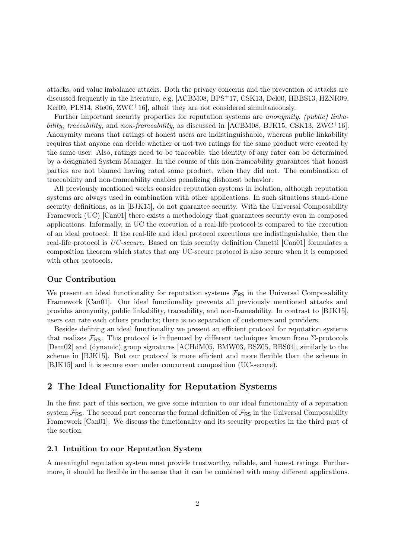attacks, and value imbalance attacks. Both the privacy concerns and the prevention of attacks are discussed frequently in the literature, e.g. [\[ACBM08,](#page-40-0) [BPS](#page-40-1)<sup>+</sup>17, [CSK13,](#page-41-0) [Del00,](#page-41-1) [HBBS13,](#page-41-2) [HZNR09,](#page-42-0) [Ker09,](#page-42-1) [PLS14,](#page-42-2) [Ste06,](#page-42-3) [ZWC](#page-42-4)<sup>+</sup>16, albeit they are not considered simultaneously.

Further important security properties for reputation systems are *anonymity*, (public) linka-bility, traceability, and non-frameability, as discussed in [\[ACBM08,](#page-40-0) [BJK15,](#page-40-2) [CSK13,](#page-41-0) [ZWC](#page-42-4)+16]. Anonymity means that ratings of honest users are indistinguishable, whereas public linkability requires that anyone can decide whether or not two ratings for the same product were created by the same user. Also, ratings need to be traceable: the identity of any rater can be determined by a designated System Manager. In the course of this non-frameability guarantees that honest parties are not blamed having rated some product, when they did not. The combination of traceability and non-frameability enables penalizing dishonest behavior.

All previously mentioned works consider reputation systems in isolation, although reputation systems are always used in combination with other applications. In such situations stand-alone security definitions, as in [\[BJK15\]](#page-40-2), do not guarantee security. With the Universal Composability Framework (UC) [\[Can01\]](#page-40-3) there exists a methodology that guarantees security even in composed applications. Informally, in UC the execution of a real-life protocol is compared to the execution of an ideal protocol. If the real-life and ideal protocol executions are indistinguishable, then the real-life protocol is UC-secure. Based on this security definition Canetti [\[Can01\]](#page-40-3) formulates a composition theorem which states that any UC-secure protocol is also secure when it is composed with other protocols.

### Our Contribution

We present an ideal functionality for reputation systems  $\mathcal{F}_{RS}$  $\mathcal{F}_{RS}$  $\mathcal{F}_{RS}$  in the Universal Composability Framework [\[Can01\]](#page-40-3). Our ideal functionality prevents all previously mentioned attacks and provides anonymity, public linkability, traceability, and non-frameability. In contrast to [\[BJK15\]](#page-40-2), users can rate each others products; there is no separation of customers and providers.

Besides defining an ideal functionality we present an efficient protocol for reputation systems that realizes  $\mathcal{F}_{RS}$  $\mathcal{F}_{RS}$  $\mathcal{F}_{RS}$ . This protocol is influenced by different techniques known from  $\Sigma$ -protocols [\[Dam02\]](#page-41-3) and (dynamic) group signatures [\[ACHdM05,](#page-40-4) [BMW03,](#page-40-5) [BSZ05,](#page-40-6) [BBS04\]](#page-40-7), similarly to the scheme in [\[BJK15\]](#page-40-2). But our protocol is more efficient and more flexible than the scheme in [\[BJK15\]](#page-40-2) and it is secure even under concurrent composition (UC-secure).

# 2 The Ideal Functionality for Reputation Systems

In the first part of this section, we give some intuition to our ideal functionality of a reputation system  $\mathcal{F}_{RS}$  $\mathcal{F}_{RS}$  $\mathcal{F}_{RS}$ . The second part concerns the formal definition of  $\mathcal{F}_{RS}$  in the Universal Composability Framework [\[Can01\]](#page-40-3). We discuss the functionality and its security properties in the third part of the section.

### 2.1 Intuition to our Reputation System

A meaningful reputation system must provide trustworthy, reliable, and honest ratings. Furthermore, it should be flexible in the sense that it can be combined with many different applications.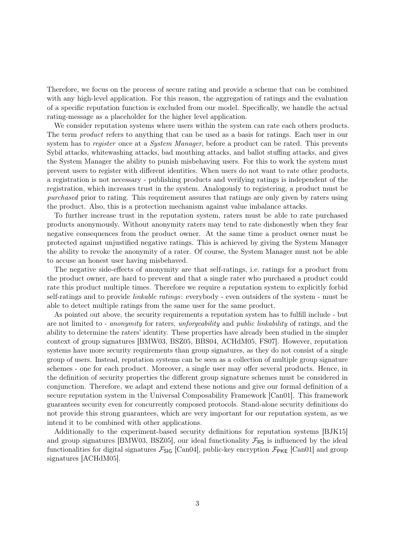Therefore, we focus on the process of secure rating and provide a scheme that can be combined with any high-level application. For this reason, the aggregation of ratings and the evaluation of a specific reputation function is excluded from our model. Specifically, we handle the actual rating-message as a placeholder for the higher level application.

We consider reputation systems where users within the system can rate each others products. The term *product* refers to anything that can be used as a basis for ratings. Each user in our system has to register once at a System Manager, before a product can be rated. This prevents Sybil attacks, whitewashing attacks, bad mouthing attacks, and ballot stuffing attacks, and gives the System Manager the ability to punish misbehaving users. For this to work the system must prevent users to register with different identities. When users do not want to rate other products, a registration is not necessary - publishing products and verifying ratings is independent of the registration, which increases trust in the system. Analogously to registering, a product must be purchased prior to rating. This requirement assures that ratings are only given by raters using the product. Also, this is a protection mechanism against value imbalance attacks.

To further increase trust in the reputation system, raters must be able to rate purchased products anonymously. Without anonymity raters may tend to rate dishonestly when they fear negative consequences from the product owner. At the same time a product owner must be protected against unjustified negative ratings. This is achieved by giving the System Manager the ability to revoke the anonymity of a rater. Of course, the System Manager must not be able to accuse an honest user having misbehaved.

The negative side-effects of anonymity are that self-ratings, i.e. ratings for a product from the product owner, are hard to prevent and that a single rater who purchased a product could rate this product multiple times. Therefore we require a reputation system to explicitly forbid self-ratings and to provide linkable ratings: everybody - even outsiders of the system - must be able to detect multiple ratings from the same user for the same product.

As pointed out above, the security requirements a reputation system has to fulfill include - but are not limited to - anonymity for raters, unforgeability and public linkability of ratings, and the ability to determine the raters' identity. These properties have already been studied in the simpler context of group signatures [\[BMW03,](#page-40-5) [BSZ05,](#page-40-6) [BBS04,](#page-40-7) [ACHdM05,](#page-40-4) [FS07\]](#page-41-4). However, reputation systems have more security requirements than group signatures, as they do not consist of a single group of users. Instead, reputation systems can be seen as a collection of multiple group signature schemes - one for each product. Moreover, a single user may offer several products. Hence, in the definition of security properties the different group signature schemes must be considered in conjunction. Therefore, we adapt and extend these notions and give our formal definition of a secure reputation system in the Universal Composability Framework [\[Can01\]](#page-40-3). This framework guarantees security even for concurrently composed protocols. Stand-alone security definitions do not provide this strong guarantees, which are very important for our reputation system, as we intend it to be combined with other applications.

Additionally to the experiment-based security definitions for reputation systems [\[BJK15\]](#page-40-2) and group signatures [\[BMW03,](#page-40-5) [BSZ05\]](#page-40-6), our ideal functionality  $\mathcal{F}_{RS}$  $\mathcal{F}_{RS}$  $\mathcal{F}_{RS}$  is influenced by the ideal functionalities for digital signatures  $\mathcal{F}_{\text{SIG}}$  [\[Can04\]](#page-41-5), public-key encryption  $\mathcal{F}_{\text{PKE}}$  [\[Can01\]](#page-40-3) and group signatures [\[ACHdM05\]](#page-40-4).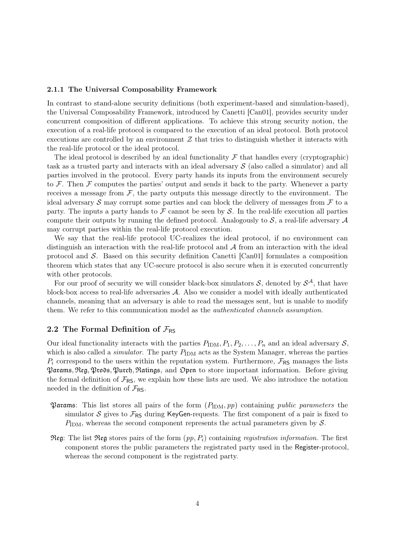#### 2.1.1 The Universal Composability Framework

In contrast to stand-alone security definitions (both experiment-based and simulation-based), the Universal Composability Framework, introduced by Canetti [\[Can01\]](#page-40-3), provides security under concurrent composition of different applications. To achieve this strong security notion, the execution of a real-life protocol is compared to the execution of an ideal protocol. Both protocol executions are controlled by an environment  $\mathcal Z$  that tries to distinguish whether it interacts with the real-life protocol or the ideal protocol.

The ideal protocol is described by an ideal functionality  $\mathcal F$  that handles every (cryptographic) task as a trusted party and interacts with an ideal adversary  $\mathcal S$  (also called a simulator) and all parties involved in the protocol. Every party hands its inputs from the environment securely to  $\mathcal F$ . Then  $\mathcal F$  computes the parties' output and sends it back to the party. Whenever a party receives a message from  $\mathcal{F}$ , the party outputs this message directly to the environment. The ideal adversary  $\mathcal S$  may corrupt some parties and can block the delivery of messages from  $\mathcal F$  to a party. The inputs a party hands to  $\mathcal F$  cannot be seen by  $\mathcal S$ . In the real-life execution all parties compute their outputs by running the defined protocol. Analogously to  $S$ , a real-life adversary  $\mathcal A$ may corrupt parties within the real-life protocol execution.

We say that the real-life protocol UC-realizes the ideal protocol, if no environment can distinguish an interaction with the real-life protocol and  $A$  from an interaction with the ideal protocol and  $S$ . Based on this security definition Canetti [\[Can01\]](#page-40-3) formulates a composition theorem which states that any UC-secure protocol is also secure when it is executed concurrently with other protocols.

For our proof of security we will consider black-box simulators  $S$ , denoted by  $S^{\mathcal{A}}$ , that have block-box access to real-life adversaries A. Also we consider a model with ideally authenticated channels, meaning that an adversary is able to read the messages sent, but is unable to modify them. We refer to this communication model as the authenticated channels assumption.

### 2.2 The [F](#page-5-0)ormal Definition of  $\mathcal{F}_{RS}$

Our ideal functionality interacts with the parties  $P_{\text{IDM}}, P_1, P_2, \ldots, P_n$  and an ideal adversary  $S$ , which is also called a *simulator*. The party  $P_{IDM}$  acts as the System Manager, whereas the parties  $P_i$  correspond to the users within the reputation system. [F](#page-5-0)urthermore,  $\mathcal{F}_{RS}$  manages the lists Params, Reg, Prods, Purch, Ratings, and Open to store important information. Before giving the formal definition of  $\mathcal{F}_{RS}$  $\mathcal{F}_{RS}$  $\mathcal{F}_{RS}$ , we explain how these lists are used. We also introduce the notation needed in the definition of  $\mathcal{F}_{RS}$  $\mathcal{F}_{RS}$  $\mathcal{F}_{RS}$ .

- Params: This list stores all pairs of the form  $(P_{IDM}, pp)$  containing *public parameters* the simulator  $S$  gives to  $\mathcal{F}_{RS}$  $\mathcal{F}_{RS}$  $\mathcal{F}_{RS}$  during [KeyGen](#page-5-1)-requests. The first component of a pair is fixed to  $P<sub>IDM</sub>$ , whereas the second component represents the actual parameters given by  $S$ .
- Reg: The list Reg stores pairs of the form  $(pp, P_i)$  containing registration information. The first component stores the public parameters the registrated party used in the [Register](#page-5-2)-protocol, whereas the second component is the registrated party.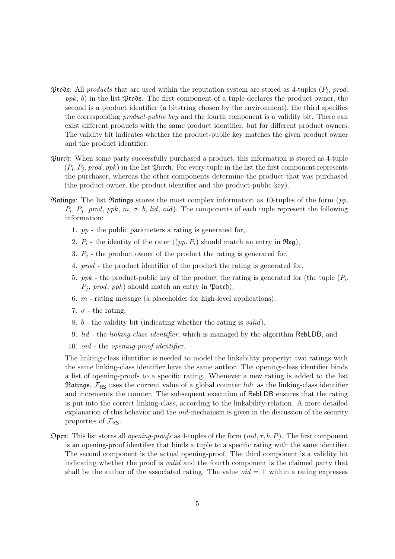- $\mathfrak P$ **ro** $\mathfrak d$ s: All products that are used within the reputation system are stored as 4-tuples  $(P_i, \text{prod},$  $ppk, b$  in the list Prods. The first component of a tuple declares the product owner, the second is a product identifier (a bitstring chosen by the environment), the third specifies the corresponding product-public key and the fourth component is a validity bit. There can exist different products with the same product identifier, but for different product owners. The validity bit indicates whether the product-public key matches the given product owner and the product identifier.
- Purch: When some party successfully purchased a product, this information is stored as 4-tuple  $(P_i, P_j, prod, ppk)$  in the list  $\mathfrak{P}$ urch. For every tuple in the list the first component represents the purchaser, whereas the other components determine the product that was purchased (the product owner, the product identifier and the product-public key).
- Ratings: The list Ratings stores the most complex information as 10-tuples of the form  $(pp$ ,  $P_i$ ,  $P_j$ , prod, ppk, m,  $\sigma$ , b, lid, oid). The components of each tuple represent the following information:
	- 1. pp the public parameters a rating is generated for,
	- 2.  $P_i$  the identity of the rater  $((pp, P_i)$  should match an entry in  $\Re\mathfrak{g})$ ,
	- 3.  $P_i$  the product owner of the product the rating is generated for,
	- 4. prod the product identifier of the product the rating is generated for,
	- 5. ppk the product-public key of the product the rating is generated for (the tuple  $(P_i,$  $P_i$ , prod, ppk) should match an entry in  $\mathfrak{P}$ urch),
	- 6.  $m$  rating message (a placeholder for high-level applications),
	- 7.  $\sigma$  the rating,
	- 8.  $b$  the validity bit (indicating whether the rating is *valid*),
	- 9. lid the linking-class identifier, which is managed by the algorithm [RebLDB](#page-7-0), and
	- 10. oid the opening-proof identifier.

The linking-class identifier is needed to model the linkability property: two ratings with the same linking-class identifier have the same author. The opening-class identifier binds a list of opening-proofs to a specific rating. Whenever a new rating is added to the list  $\Re \text{atings}, \mathcal{F}_{RS}$  $\Re \text{atings}, \mathcal{F}_{RS}$  $\Re \text{atings}, \mathcal{F}_{RS}$  uses the current value of a global counter *lide* as the linking-class identifier and increments the counter. The subsequent execution of [RebLDB](#page-7-0) ensures that the rating is put into the correct linking-class, according to the linkability-relation. A more detailed explanation of this behavior and the *oid*-mechanism is given in the discussion of the security properties of  $\mathcal{F}_{RS}$  $\mathcal{F}_{RS}$  $\mathcal{F}_{RS}$ .

**Open:** This list stores all *opening-proofs* as 4-tuples of the form  $(\textit{oid}, \tau, b, P)$ . The first component is an opening-proof identifier that binds a tuple to a specific rating with the same identifier. The second component is the actual opening-proof. The third component is a validity bit indicating whether the proof is valid and the fourth component is the claimed party that shall be the author of the associated rating. The value  $oid = \perp$  within a rating expresses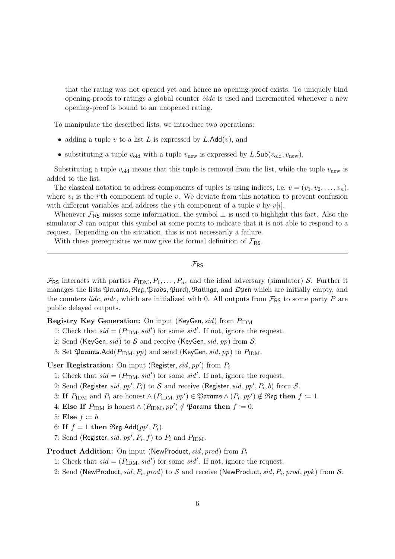that the rating was not opened yet and hence no opening-proof exists. To uniquely bind opening-proofs to ratings a global counter oidc is used and incremented whenever a new opening-proof is bound to an unopened rating.

To manipulate the described lists, we introduce two operations:

- adding a tuple v to a list L is expressed by  $L.\mathsf{Add}(v)$ , and
- substituting a tuple  $v_{old}$  with a tuple  $v_{new}$  is expressed by  $L.\mathsf{Sub}(v_{old}, v_{new})$ .

Substituting a tuple  $v_{old}$  means that this tuple is removed from the list, while the tuple  $v_{new}$  is added to the list.

The classical notation to address components of tuples is using indices, i.e.  $v = (v_1, v_2, \dots, v_n)$ , where  $v_i$  is the *i*'th component of tuple v. We deviate from this notation to prevent confusion with different variables and address the *i*'th component of a tuple v by  $v[i]$ .

Whenever  $\mathcal{F}_{RS}$  $\mathcal{F}_{RS}$  $\mathcal{F}_{RS}$  misses some information, the symbol  $\perp$  is used to highlight this fact. Also the simulator  $\mathcal S$  can output this symbol at some points to indicate that it is not able to respond to a request. Depending on the situation, this is not necessarily a failure.

<span id="page-5-0"></span>With these prerequisites we now give the formal definition of  $\mathcal{F}_{RS}$  $\mathcal{F}_{RS}$  $\mathcal{F}_{RS}$ .

 $\mathcal{F}_{RS}$ 

 $\mathcal{F}_{RS}$  $\mathcal{F}_{RS}$  $\mathcal{F}_{RS}$  interacts with parties  $P_{IDM}, P_1, \ldots, P_n$ , and the ideal adversary (simulator) S. Further it manages the lists Params, Reg, Prods, Purch, Ratings, and Open which are initially empty, and the counters *lide*, *oide*, which are initialized with 0. All outputs from  $\mathcal{F}_{RS}$  $\mathcal{F}_{RS}$  $\mathcal{F}_{RS}$  to some party P are public delayed outputs.

<span id="page-5-1"></span>**Registry Key Generation:** On input (KeyGen, sid) from  $P_{\text{IDM}}$ 

- 1: Check that  $sid = (P_{\text{IDM}}, sid')$  for some  $sid'$ . If not, ignore the request.
- 2: Send (KeyGen, sid) to S and receive (KeyGen, sid, pp) from S.
- 3: Set  $\mathfrak{Params}.Add(P_{\text{IDM}}, pp)$  and send (KeyGen, sid, pp) to  $P_{\text{IDM}}$ .

<span id="page-5-2"></span>User Registration: On input (Register,  $sid, pp'$ ) from  $P_i$ 

- 1: Check that  $sid = (P_{\text{IDM}}, sid')$  for some  $sid'$ . If not, ignore the request.
- 2: Send (Register, sid,  $pp', P_i$ ) to  $S$  and receive (Register, sid,  $pp', P_i, b$ ) from  $S$ .
- <span id="page-5-4"></span>3: If  $P_{\text{IDM}}$  and  $P_i$  are honest  $\wedge (P_{\text{IDM}}, pp') \in \mathfrak{Params} \wedge (P_i, pp') \notin \mathfrak{Reg}$  then  $f \coloneqq 1$ .
- <span id="page-5-5"></span>4: Else If  $P_{\text{IDM}}$  is honest  $\wedge (P_{\text{IDM}}, pp') \notin \mathfrak{P}$ arams then  $f \coloneqq 0$ .
- 5: Else  $f \coloneqq b$ .
- 6: If  $f = 1$  then  $\Re$ eg.Add $(pp', P_i)$ .
- 7: Send (Register,  $sid, pp', P_i, f)$  to  $P_i$  and  $P_{\text{IDM}}$ .

### <span id="page-5-3"></span>**Product Addition:** On input (NewProduct, sid, prod) from  $P_i$

- 1: Check that  $sid = (P_{\text{IDM}}, sid')$  for some  $sid'$ . If not, ignore the request.
- 2: Send (NewProduct,  $sid, P_i, prod)$  to  $\mathcal S$  and receive (NewProduct,  $sid, P_i, prod, ppk)$  from  $\mathcal S.$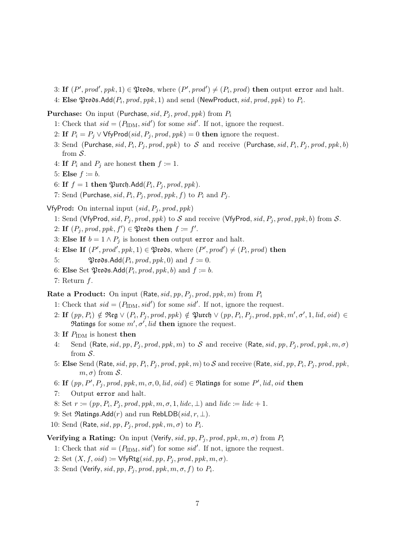- <span id="page-6-3"></span>3: If  $(P', \text{prod}', \text{ppk}, 1) \in \mathfrak{P}$ tods, where  $(P', \text{prod}') \neq (P_i, \text{prod})$  then output error and halt.
- 4: Else  $\mathfrak P$ tods.Add $(P_i, \mathit{prod}, \mathit{ppk}, 1)$  and send (NewProduct,  $sid, \mathit{prod}, \mathit{ppk})$  to  $P_i.$

**Purchase:** On input (Purchase, sid,  $P_i$ , prod, ppk) from  $P_i$ 

- 1: Check that  $sid = (P_{\text{IDM}}, sid')$  for some  $sid'$ . If not, ignore the request.
- <span id="page-6-4"></span>2: If  $P_i = P_j \vee V$ fyProd $(sid, P_j, prod, ppk) = 0$  then ignore the request.
- 3: Send (Purchase,  $sid, P_i, P_j, prod, ppk)$  to  $S$  and receive (Purchase,  $sid, P_i, P_j, prod, ppk, b)$ from  $S$ .
- <span id="page-6-5"></span>4: If  $P_i$  and  $P_j$  are honest then  $f \coloneqq 1$ .
- 5: Else  $f \coloneqq b$ .
- 6: If  $f = 1$  then  $\mathfrak{P}$ urch.Add $(P_i, P_j, \text{prod}, \text{ppk}).$
- 7: Send (Purchase,  $sid, P_i, P_j, prod, ppk, f)$  to  $P_i$  and  $P_j$ .

<span id="page-6-0"></span>VfyProd: On internal input  $(sid, P_i, prod, ppk)$ 

- 1: Send (VfyProd, sid,  $P_j$ , prod, ppk) to S and receive (VfyProd, sid,  $P_j$ , prod, ppk, b) from S.
- <span id="page-6-6"></span>2: If  $(P_j, \text{prod}, \text{ppk}, f') \in \mathfrak{P}$ tods then  $f \coloneqq f'.$
- <span id="page-6-7"></span>3: Else If  $b = 1 \wedge P_j$  is honest then output error and halt.
- 4: Else If  $(P', \text{prod}', \text{ppk}, 1) \in \mathfrak{P}$ tods, where  $(P', \text{prod}') \neq (P_i, \text{prod})$  then
- <span id="page-6-8"></span>5:  $\mathfrak{P} \mathfrak{ro}\mathfrak{d}$ s.Add $(P_i, \mathit{prod}, \mathit{ppk}, 0)$  and  $f \coloneqq 0$ .
- 6: Else Set  $\mathfrak{P}$ ro $\mathfrak{d}$ s.Add $(P_i, \mathit{prod}, \mathit{ppk}, b)$  and  $f \coloneqq b$ .
- 7: Return  $f$ .

<span id="page-6-1"></span>Rate a Product: On input (Rate, sid, pp,  $P_j$ , prod, ppk, m) from  $P_i$ 

- 1: Check that  $sid = (P_{\text{IDM}}, sid')$  for some  $sid'$ . If not, ignore the request.
- <span id="page-6-9"></span>2: If  $(pp, P_i) \notin \mathfrak{Reg} \vee (P_i, P_j, \text{prod}, \text{ppk}) \notin \mathfrak{P}$ urch  $\vee (pp, P_i, P_j, \text{prod}, \text{ppk}, m', \sigma', 1, \text{lid}, \text{oid}) \in$ Ratings for some  $m', \sigma', lid$  then ignore the request.
- 3: If  $P_{\text{IDM}}$  is honest then
- 4: Send (Rate, sid, pp,  $P_i$ , prod, ppk, m) to S and receive (Rate, sid, pp,  $P_i$ , prod, ppk,  $m, \sigma$ ) from  $S$ .
- 5: Else Send (Rate,  $sid, pp, P_i, P_j, prod, ppk, m)$  to  $\mathcal S$  and receive (Rate,  $sid, pp, P_i, P_j, prod, ppk, p)$  $(m, \sigma)$  from S.
- 6: If  $(pp, P', P_j, prod, \text{ppk}, m, \sigma, 0, \text{lid}, \text{oid}) \in \mathfrak{R}$ atings for some  $P', \text{lid}, \text{oid}$  then
- <span id="page-6-10"></span>7: Output error and halt.
- 8: Set  $r := (pp, P_i, P_j, prod, ppk, m, \sigma, 1, lide, \perp)$  and  $lide := lide + 1$ .
- 9: Set  $\Re \text{atings}. \text{Add}(r)$  and run RebLDB(sid, r,  $\perp$ ).
- 10: Send (Rate,  $sid, pp, P_j, prod, ppk, m, \sigma)$  to  $P_i$ .

### <span id="page-6-2"></span>**Verifying a Rating:** On input (Verify, sid, pp,  $P_i$ , prod, ppk,  $m, \sigma$ ) from  $P_i$

- 1: Check that  $sid = (P_{\text{IDM}}, sid')$  for some  $sid'$ . If not, ignore the request.
- 2: Set  $(X, f, \text{oid}) \coloneqq \mathsf{VfyRtg}(\text{sid}, \text{pp}, P_j, \text{prod}, \text{ppk}, m, \sigma)$ .
- 3: Send (Verify,  $sid, pp, P_j, prod, ppk, m, \sigma, f)$  to  $P_i$ .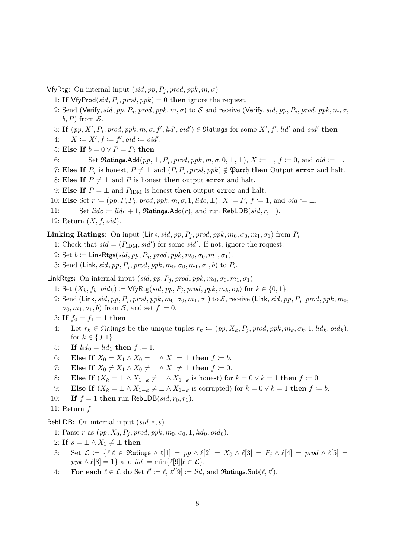<span id="page-7-1"></span>VfyRtg: On internal input  $(side, pp, P_j, prod, ppk, m, \sigma)$ 

- 1: If  $VfyProd(side, P<sub>i</sub>, prod, ppk) = 0$  then ignore the request.
- 2: Send (Verify, sid, pp,  $P_j$ , prod, ppk,  $m, \sigma$ ) to S and receive (Verify, sid, pp,  $P_j$ , prod, ppk,  $m, \sigma$ ,  $(b, P)$  from  $S$ .
- 3: If  $(pp, X', P_j, prod, ppk, m, \sigma, f', lid', oid') \in \mathfrak{Ratings}$  for some  $X', f', lid'$  and oid' then
- <span id="page-7-7"></span>4:  $X := X', f := f', \text{oid} := \text{oid}'.$
- <span id="page-7-8"></span>5: Else If  $b = 0 \vee P = P_i$  then
- <span id="page-7-6"></span>6: Set  $\Re \text{atings}. \text{Add}(pp, \perp, P_j, \text{prod}, \text{ppk}, m, \sigma, 0, \perp, \perp), X \coloneqq \perp, f \coloneqq 0, \text{ and } \text{oid} \coloneqq \perp.$
- <span id="page-7-10"></span>7: Else If  $P_j$  is honest,  $P \neq \perp$  and  $(P, P_j, \text{prod}, \text{ppk}) \notin \mathfrak{P}$ urch then Output error and halt.
- <span id="page-7-12"></span>8: Else If  $P \neq \perp$  and P is honest then output error and halt.
- <span id="page-7-9"></span>9: Else If  $P = \perp$  and  $P_{\text{IDM}}$  is honest then output error and halt.
- 10: Else Set  $r := (pp, P, P_i, prod, ppk, m, \sigma, 1, lide, \perp), X := P, f := 1$ , and  $oid := \perp$ .
- 11: Set *lidc* := *lidc* + 1,  $\Re{\text{atings}}$ . $\Delta \text{dd}(r)$ , and run RebLDB(sid, r,  $\perp$ ).

<span id="page-7-11"></span>12: Return  $(X, f, oid)$ .

<span id="page-7-2"></span>**Linking Ratings:** On input (Link, sid, pp,  $P_j$ , prod, ppk,  $m_0, \sigma_0, m_1, \sigma_1$ ) from  $P_i$ 

- 1: Check that  $sid = (P_{\text{IDM}}, sid')$  for some  $sid'$ . If not, ignore the request.
- 2: Set  $b :=$  LinkRtgs(sid, pp,  $P_j$ , prod, ppk,  $m_0, \sigma_0, m_1, \sigma_1$ ).
- 3: Send (Link, sid, pp,  $P_j$ , prod, ppk,  $m_0, \sigma_0, m_1, \sigma_1, b$ ) to  $P_i$ .

<span id="page-7-17"></span>LinkRtgs: On internal input  $(side, pp, P_i, prod, ppk, m_0, \sigma_0, m_1, \sigma_1)$ 

- 1: Set  $(X_k, f_k, \text{oid}_k) := \text{VfyRtg}(\text{sid}, pp, P_j, \text{prod}, \text{ppk}, m_k, \sigma_k)$  for  $k \in \{0, 1\}.$
- 2: Send (Link, sid, pp,  $P_i$ , prod, ppk,  $m_0$ ,  $\sigma_0$ ,  $m_1$ ,  $\sigma_1$ ) to S, receive (Link, sid, pp,  $P_i$ , prod, ppk,  $m_0$ ,  $\sigma_0, m_1, \sigma_1, b$  from S, and set  $f \coloneqq 0$ .

3: If 
$$
f_0 = f_1 = 1
$$
 then

- <span id="page-7-13"></span>4: Let  $r_k \in \mathfrak{R}$  atings be the unique tuples  $r_k \coloneqq (pp, X_k, P_j, prod, ppk, m_k, \sigma_k, 1, lid_k, oid_k),$ for  $k \in \{0, 1\}.$
- <span id="page-7-14"></span>5: If  $lid_0 = lid_1$  then  $f \coloneqq 1$ .
- <span id="page-7-4"></span>6: Else If  $X_0 = X_1 \wedge X_0 = \perp \wedge X_1 = \perp$  then  $f \coloneqq b$ .
- <span id="page-7-15"></span>7: Else If  $X_0 \neq X_1 \wedge X_0 \neq \perp \wedge X_1 \neq \perp$  then  $f \coloneqq 0$ .
- <span id="page-7-16"></span>8: Else If  $(X_k = \bot \wedge X_{1-k} \neq \bot \wedge X_{1-k}$  is honest) for  $k = 0 \vee k = 1$  then  $f \coloneqq 0$ .
- <span id="page-7-5"></span>9: Else If  $(X_k = \bot \wedge X_{1-k} \neq \bot \wedge X_{1-k}$  is corrupted) for  $k = 0 \vee k = 1$  then  $f \coloneqq b$ .
- 10: If  $f = 1$  then run RebLDB(sid,  $r_0, r_1$ ).
- 11: Return f.

### <span id="page-7-0"></span>RebLDB: On internal input  $(sid, r, s)$

- 1: Parse r as  $(pp, X_0, P_i, prod, ppk, m_0, \sigma_0, 1, lid_0, oid_0)$ .
- <span id="page-7-3"></span>2: If  $s = \perp \wedge X_1 \neq \perp$  then
- 3: Set  $\mathcal{L} := \{ \ell | \ell \in \mathfrak{R} \text{atings } \wedge \ell[1] = pp \wedge \ell[2] = X_0 \wedge \ell[3] = P_i \wedge \ell[4] = prod \wedge \ell[5] =$  $ppk \wedge \ell[8] = 1$  and  $lid \coloneqq \min{\ell[9] | \ell \in \mathcal{L}}$ .
- 4: For each  $\ell \in \mathcal{L}$  do Set  $\ell' := \ell, \ell'[9] := lid$ , and Ratings.Sub $(\ell, \ell')$ .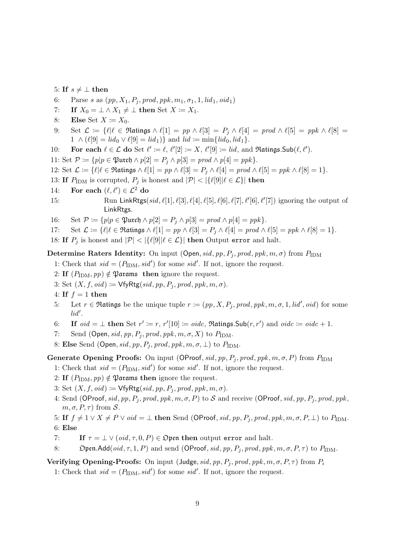<span id="page-8-2"></span>5: If  $s \neq \perp$  then

- 6: Parse s as  $(pp, X_1, P_i, prod, ppk, m_1, \sigma_1, 1, lid_1, oid_1)$
- 7: If  $X_0 = \perp \wedge X_1 \neq \perp$  then Set  $X \coloneqq X_1$ .
- 8: Else Set  $X \coloneqq X_0$ .
- <span id="page-8-3"></span>9: Set  $\mathcal{L} := \{ \ell | \ell \in \mathfrak{R} \text{atings } \wedge \ell[1] = pp \wedge \ell[3] = P_i \wedge \ell[4] = prod \wedge \ell[5] = ppk \wedge \ell[8] =$  $1 \wedge (\ell[9] = lid_0 \vee \ell[9] = lid_1) \}$  and  $lid := \min\{lid_0, lid_1\}.$
- <span id="page-8-4"></span>10: For each  $\ell \in \mathcal{L}$  do Set  $\ell' := \ell, \ell'[2] := X, \ell'[9] := lid$ , and Ratings.Sub $(\ell, \ell').$
- <span id="page-8-5"></span>11: Set  $\mathcal{P} := \{p|p \in \mathfrak{P}$ urch  $\wedge p[2] = P_j \wedge p[3] = \text{prod} \wedge p[4] = \text{ppk}\}.$

12: Set 
$$
\mathcal{L} := \{ \ell | \ell \in \mathfrak{R} \text{atings } \wedge \ell[1] = pp \wedge \ell[3] = P_j \wedge \ell[4] = prod \wedge \ell[5] = ppk \wedge \ell[8] = 1 \}.
$$

- <span id="page-8-7"></span>13: If  $P_{\text{IDM}}$  is corrupted,  $P_j$  is honest and  $|\mathcal{P}| < |\{\ell[9]| \ell \in \mathcal{L}\}|$  then
- 14: For each  $(\ell, \ell') \in \mathcal{L}^2$  do
- 15: Run LinkRtgs( $sid, \ell[1], \ell[3], \ell[4], \ell[5], \ell[6], \ell[7], \ell'[6], \ell'[7])$  ignoring the output of LinkRtgs.
- 16: Set  $\mathcal{P} := \{p|p \in \mathfrak{P}$ urch  $\wedge p[2] = P_j \wedge p[3] = \text{prod} \wedge p[4] = \text{ppk}\}.$
- 17: Set  $\mathcal{L} := \{ \ell | \ell \in \mathfrak{R} \text{atings } \wedge \ell[1] = pp \wedge \ell[3] = P_j \wedge \ell[4] = prod \wedge \ell[5] = ppk \wedge \ell[8] = 1 \}.$
- <span id="page-8-6"></span>18: If  $P_i$  is honest and  $|\mathcal{P}| < |\{\ell[9]|\ell \in \mathcal{L}\}|$  then Output error and halt.

<span id="page-8-0"></span>Determine Raters Identity: On input (Open, sid, pp,  $P_j$ , prod, ppk,  $m, \sigma$ ) from  $P_{\text{IDM}}$ 

- 1: Check that  $sid = (P_{\text{IDM}}, sid')$  for some  $sid'$ . If not, ignore the request.
- 2: If  $(P_{\text{IDM}}, pp) \notin \mathfrak{P}$ arams then ignore the request.
- 3: Set  $(X, f, \text{oid}) \coloneqq \mathsf{VfyRtg}(\text{sid}, \text{pp}, P_i, \text{prod}, \text{ppk}, m, \sigma)$ .
- 4: If  $f = 1$  then
- 5: Let  $r \in$  Ratings be the unique tuple  $r \coloneqq (pp, X, P_j, prod, ppk, m, \sigma, 1, lid', oid)$  for some  $lid'.$
- 6: If  $oid = \perp$  then Set  $r' := r$ ,  $r'[10] := \text{oidc}$ , Ratings.Sub $(r, r')$  and  $\text{oidc} := \text{oidc} + 1$ .
- 7: Send (Open, sid, pp,  $P_i$ , prod, ppk,  $m, \sigma, X$ ) to  $P_{\text{IDM}}$ .
- 8: Else Send (Open, sid, pp,  $P_j$ , prod, ppk,  $m, \sigma, \perp$ ) to  $P_{\text{IDM}}$ .

<span id="page-8-8"></span>Generate Opening Proofs: On input (OProof, sid, pp,  $P_j$ , prod, ppk,  $m, \sigma, P$ ) from  $P_{\text{IDM}}$ 

- 1: Check that  $sid = (P_{\text{IDM}}, sid')$  for some  $sid'$ . If not, ignore the request.
- 2: If  $(P_{\text{IDM}}, pp) \notin \mathfrak{Params}$  then ignore the request.
- 3: Set  $(X, f, \text{oid}) \coloneqq \mathsf{VfyRtg}(\text{sid}, \text{pp}, P_i, \text{prod}, \text{ppk}, m, \sigma)$ .
- 4: Send (OProof, sid, pp,  $P_i$ , prod, ppk,  $m, \sigma, P$ ) to S and receive (OProof, sid, pp,  $P_i$ , prod, ppk,  $m, \sigma, P, \tau$  from S.
- 5: If  $f \neq 1 \vee X \neq P \vee \text{oid} = \bot$  then Send (OProof, sid, pp,  $P_j$ , prod, ppk,  $m, \sigma, P, \bot$ ) to  $P_{\text{IDM}}$ . 6: Else
- <span id="page-8-9"></span>7: If  $\tau = \perp \vee (oid, \tau, 0, P) \in \mathfrak{Open}$  then output error and halt.
- 8:  $\mathcal{D}$ pen.Add(*oid*,  $\tau$ , 1, P) and send (OProof, sid, pp,  $P_i$ , prod, ppk,  $m$ ,  $\sigma$ ,  $P$ ,  $\tau$ ) to  $P_{\text{IDM}}$ .

<span id="page-8-1"></span>Verifying Opening-Proofs: On input (Judge, sid, pp,  $P_j$ , prod, ppk,  $m, \sigma, P, \tau$ ) from  $P_i$ 

1: Check that  $sid = (P_{\text{IDM}}, sid')$  for some  $sid'$ . If not, ignore the request.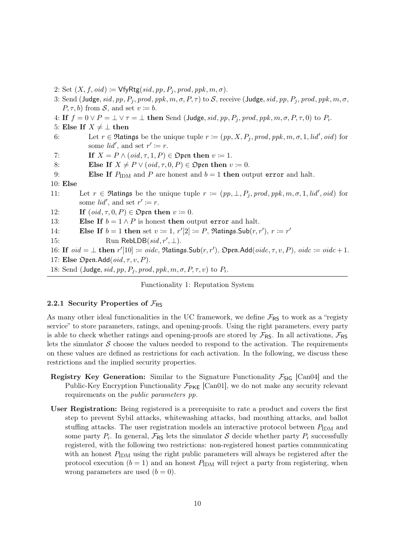2: Set  $(X, f, \text{oid}) \coloneqq \mathsf{VfyRtg}(\text{sid}, \text{pp}, P_j, \text{prod}, \text{ppk}, m, \sigma)$ .

- 3: Send (Judge, sid, pp,  $P_j$ , prod, ppk,  $m, \sigma, P, \tau$ ) to S, receive (Judge, sid, pp,  $P_j$ , prod, ppk,  $m, \sigma$ ,  $P, \tau, b$  from S, and set  $v \coloneqq b$ .
- 4: If  $f=0 \vee P=\bot \vee \tau=\bot$  then Send (Judge,  $sid,$   $pp,$   $P_j,$   $prod,$   $ppk,$   $m,$   $\sigma,$   $P,$   $\tau,$   $0)$  to  $P_i.$
- <span id="page-9-0"></span>5: Else If  $X \neq \perp$  then
- 6: Let  $r \in \mathfrak{R}$  atings be the unique tuple  $r \coloneqq (pp, X, P_j, prod, ppk, m, \sigma, 1, lid', oid)$  for some  $lid'$ , and set  $r' \coloneqq r$ .
- <span id="page-9-2"></span>7: If  $X = P \wedge (oid, \tau, 1, P) \in \mathfrak{Open}$  then  $v \coloneqq 1$ .
- <span id="page-9-3"></span>8: Else If  $X \neq P \vee (oid, \tau, 0, P) \in \mathfrak{Open}$  then  $v \coloneqq 0$ .
- <span id="page-9-4"></span>9: **Else If**  $P_{\text{IDM}}$  and P are honest and  $b = 1$  then output error and halt.

<span id="page-9-5"></span>10: Else

- 11: Let  $r \in$  Ratings be the unique tuple  $r := (pp, \perp, P_j, prod, ppk, m, \sigma, 1, lid', oid)$  for some  $lid'$ , and set  $r' \coloneqq r$ .
- <span id="page-9-6"></span>12: If  $(\text{oid}, \tau, 0, P) \in \mathfrak{Open}$  then  $v \coloneqq 0$ .
- <span id="page-9-7"></span>13: Else If  $b = 1 \wedge P$  is honest then output error and halt.
- 14: Else If  $b = 1$  then set  $v := 1$ ,  $r'[2] := P$ ,  $\Re \text{atings}$ .  $\text{Sub}(r, r')$ ,  $r := r'$
- <span id="page-9-8"></span>15: Run RebLDB $(sid, r', \perp)$ .

<span id="page-9-9"></span><span id="page-9-1"></span>16: If  $oid = \perp$  then  $r'[10] \coloneqq oide$ , Ratings.Sub $(r, r')$ , Dpen.Add $(oide, \tau, v, P)$ ,  $oide \coloneqq oide + 1$ . 17: Else  $\mathfrak{Open}.Add(oid, \tau, v, P).$ 

18: Send (Judge, sid, pp,  $P_j$ , prod, ppk,  $m, \sigma, P, \tau, v$ ) to  $P_i$ .

Functionality 1: Reputation System

### 2.2.1 Security Properties of  $\mathcal{F}_{RS}$  $\mathcal{F}_{RS}$  $\mathcal{F}_{RS}$

As many other ideal functionalities in the UC framework, we define  $\mathcal{F}_{RS}$  $\mathcal{F}_{RS}$  $\mathcal{F}_{RS}$  to work as a "registy service" to store parameters, ratings, and opening-proofs. Using the right parameters, every party is able to check whether ratings and opening-proofs are stored by  $\mathcal{F}_{RS}$  $\mathcal{F}_{RS}$  $\mathcal{F}_{RS}$ . In all activations,  $\mathcal{F}_{RS}$ lets the simulator  $S$  choose the values needed to respond to the activation. The requirements on these values are defined as restrictions for each activation. In the following, we discuss these restrictions and the implied security properties.

- **Registry Key Generation:** Similar to the Signature Functionality  $\mathcal{F}_{\text{SIG}}$  [\[Can04\]](#page-41-5) and the Public-Key Encryption Functionality  $\mathcal{F}_{\text{PKE}}$  [\[Can01\]](#page-40-3), we do not make any security relevant requirements on the public parameters pp.
- User Registration: Being registered is a prerequisite to rate a product and covers the first step to prevent Sybil attacks, whitewashing attacks, bad mouthing attacks, and ballot stuffing attacks. The user registration models an interactive protocol between  $P_{\text{IDM}}$  and some party  $P_i$ . In general,  $\mathcal{F}_{RS}$  $\mathcal{F}_{RS}$  $\mathcal{F}_{RS}$  lets the simulator S decide whether party  $P_i$  successfully registered, with the following two restrictions: non-registered honest parties communicating with an honest  $P_{\text{IDM}}$  using the right public parameters will always be registered after the protocol execution  $(b = 1)$  and an honest  $P_{IDM}$  will reject a party from registering, when wrong parameters are used  $(b = 0)$ .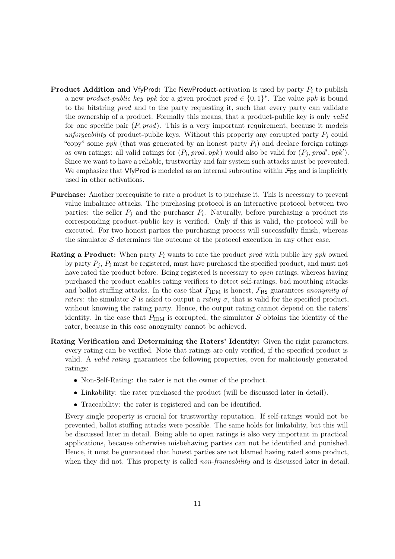- **Product Addition and [VfyProd](#page-6-0):** The [NewProduct](#page-5-3)-activation is used by party  $P_i$  to publish a new *product-public key ppk* for a given product  $\text{prod} \in \{0,1\}^*$ . The value  $\text{ppk}$  is bound to the bitstring prod and to the party requesting it, such that every party can validate the ownership of a product. Formally this means, that a product-public key is only valid for one specific pair  $(P, prod)$ . This is a very important requirement, because it models unforgeability of product-public keys. Without this property any corrupted party  $P_i$  could "copy" some ppk (that was generated by an honest party  $P_i$ ) and declare foreign ratings as own ratings: all valid ratings for  $(P_i, prod, ppk)$  would also be valid for  $(P_j, prod', ppk')$ . Since we want to have a reliable, trustworthy and fair system such attacks must be prevented. We emphasize that [VfyProd](#page-6-0) is modeled as an internal subroutine within  $\mathcal{F}_{RS}$  $\mathcal{F}_{RS}$  $\mathcal{F}_{RS}$  and is implicitly used in other activations.
- Purchase: Another prerequisite to rate a product is to purchase it. This is necessary to prevent value imbalance attacks. The purchasing protocol is an interactive protocol between two parties: the seller  $P_j$  and the purchaser  $P_i$ . Naturally, before purchasing a product its corresponding product-public key is verified. Only if this is valid, the protocol will be executed. For two honest parties the purchasing process will successfully finish, whereas the simulator  $\mathcal S$  determines the outcome of the protocol execution in any other case.
- **Rating a Product:** When party  $P_i$  wants to rate the product prod with public key ppk owned by party  $P_i$ ,  $P_i$  must be registered, must have purchased the specified product, and must not have rated the product before. Being registered is necessary to open ratings, whereas having purchased the product enables rating verifiers to detect self-ratings, bad mouthing attacks and ballot stuffing attacks. In the case that  $P_{\text{IDM}}$  is honest,  $\mathcal{F}_{\text{RS}}$  $\mathcal{F}_{\text{RS}}$  $\mathcal{F}_{\text{RS}}$  guarantees anonymity of raters: the simulator S is asked to output a rating  $\sigma$ , that is valid for the specified product. without knowing the rating party. Hence, the output rating cannot depend on the raters' identity. In the case that  $P_{\text{IDM}}$  is corrupted, the simulator S obtains the identity of the rater, because in this case anonymity cannot be achieved.
- Rating Verification and Determining the Raters' Identity: Given the right parameters, every rating can be verified. Note that ratings are only verified, if the specified product is valid. A valid rating guarantees the following properties, even for maliciously generated ratings:
	- Non-Self-Rating: the rater is not the owner of the product.
	- Linkability: the rater purchased the product (will be discussed later in detail).
	- Traceability: the rater is registered and can be identified.

Every single property is crucial for trustworthy reputation. If self-ratings would not be prevented, ballot stuffing attacks were possible. The same holds for linkability, but this will be discussed later in detail. Being able to open ratings is also very important in practical applications, because otherwise misbehaving parties can not be identified and punished. Hence, it must be guaranteed that honest parties are not blamed having rated some product, when they did not. This property is called *non-frameability* and is discussed later in detail.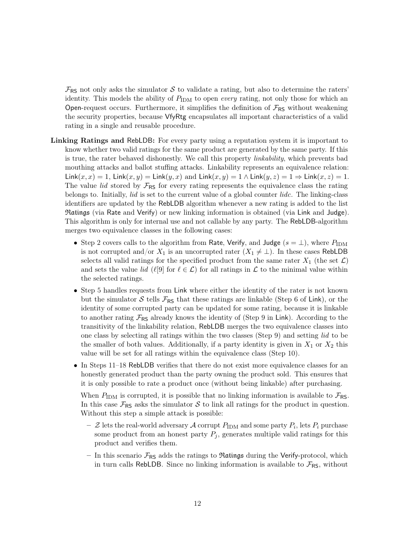$\mathcal{F}_{\text{RS}}$  $\mathcal{F}_{\text{RS}}$  $\mathcal{F}_{\text{RS}}$  not only asks the simulator S to validate a rating, but also to determine the raters' identity. This models the ability of  $P_{\text{IDM}}$  to open *every* rating, not only those for which an [Open](#page-8-0)-request occurs. [F](#page-5-0)urthermore, it simplifies the definition of  $\mathcal{F}_{RS}$  without weakening the security properties, because [VfyRtg](#page-7-1) encapsulates all important characteristics of a valid rating in a single and reusable procedure.

- Linking Ratings and [RebLDB](#page-7-0): For every party using a reputation system it is important to know whether two valid ratings for the same product are generated by the same party. If this is true, the rater behaved dishonestly. We call this property *linkability*, which prevents bad mouthing attacks and ballot stuffing attacks. Linkability represents an equivalence relation:  $\text{Link}(x, x) = 1$ ,  $\text{Link}(x, y) = \text{Link}(y, x)$  and  $\text{Link}(x, y) = 1 \land \text{Link}(y, z) = 1 \Rightarrow \text{Link}(x, z) = 1$ . The value lid stored by  $\mathcal{F}_{RS}$  $\mathcal{F}_{RS}$  $\mathcal{F}_{RS}$  for every rating represents the equivalence class the rating belongs to. Initially, lid is set to the current value of a global counter lidc. The linking-class identifiers are updated by the [RebLDB](#page-7-0) algorithm whenever a new rating is added to the list Ratings (via [Rate](#page-6-1) and [Verify](#page-6-2)) or new linking information is obtained (via [Link](#page-7-2) and [Judge](#page-8-1)). This algorithm is only for internal use and not callable by any party. The [RebLDB](#page-7-0)-algorithm merges two equivalence classes in the following cases:
	- Step [2](#page-7-3) covers calls to the algorithm from [Rate](#page-6-1), [Verify](#page-6-2), and [Judge](#page-8-1) ( $s = \perp$ ), where  $P_{\text{IDM}}$ is not corrupted and/or  $X_1$  is an uncorrupted rater  $(X_1 \neq \bot)$ . In these cases [RebLDB](#page-7-0) selects all valid ratings for the specified product from the same rater  $X_1$  (the set  $\mathcal{L}$ ) and sets the value lid ( $\ell$ [9] for  $\ell \in \mathcal{L}$ ) for all ratings in  $\mathcal L$  to the minimal value within the selected ratings.
	- Step [5](#page-8-2) handles requests from [Link](#page-7-2) where either the identity of the rater is not known but the simulator S tells  $\mathcal{F}_{RS}$  $\mathcal{F}_{RS}$  $\mathcal{F}_{RS}$  that these ratings are linkable (Step [6](#page-7-4) of [Link](#page-7-2)), or the identity of some corrupted party can be updated for some rating, because it is linkable to another rating  $\mathcal{F}_{RS}$  $\mathcal{F}_{RS}$  $\mathcal{F}_{RS}$  already knows the identity of (Step [9](#page-7-5) in [Link](#page-7-2)). According to the transitivity of the linkability relation, [RebLDB](#page-7-0) merges the two equivalence classes into one class by selecting all ratings within the two classes (Step [9\)](#page-8-3) and setting lid to be the smaller of both values. Additionally, if a party identity is given in  $X_1$  or  $X_2$  this value will be set for all ratings within the equivalence class (Step [10\)](#page-8-4).
	- In Steps [11](#page-8-5)[–18](#page-8-6) [RebLDB](#page-7-0) verifies that there do not exist more equivalence classes for an honestly generated product than the party owning the product sold. This ensures that it is only possible to rate a product once (without being linkable) after purchasing.

When  $P_{\text{IDM}}$  is corrupted, it is possible that no linking information is available to  $\mathcal{F}_{\text{RS}}$  $\mathcal{F}_{\text{RS}}$  $\mathcal{F}_{\text{RS}}$ . In this case  $\mathcal{F}_{RS}$  $\mathcal{F}_{RS}$  $\mathcal{F}_{RS}$  asks the simulator S to link all ratings for the product in question. Without this step a simple attack is possible:

- $\mathcal Z$  lets the real-world adversary  $\mathcal A$  corrupt  $P_{\text{IDM}}$  and some party  $P_i$ , lets  $P_i$  purchase some product from an honest party  $P_i$ , generates multiple valid ratings for this product and verifies them.
- In this scenario  $\mathcal{F}_{RS}$  $\mathcal{F}_{RS}$  $\mathcal{F}_{RS}$  adds the ratings to Ratings during the [Verify](#page-6-2)-protocol, which in turn calls [RebLDB](#page-7-0). Since no linking information is available to  $\mathcal{F}_{RS}$  $\mathcal{F}_{RS}$  $\mathcal{F}_{RS}$ , without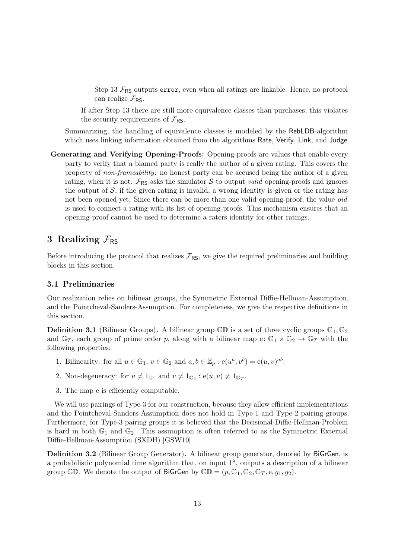Step [13](#page-8-7)  $\mathcal{F}_{RS}$  $\mathcal{F}_{RS}$  $\mathcal{F}_{RS}$  outputs error, even when all ratings are linkable. Hence, no protocol can realize  $\mathcal{F}_{\text{RS}}$  $\mathcal{F}_{\text{RS}}$  $\mathcal{F}_{\text{RS}}$ .

If after Step [13](#page-8-7) there are still more equivalence classes than purchases, this violates the security requirements of  $\mathcal{F}_{RS}$  $\mathcal{F}_{RS}$  $\mathcal{F}_{RS}$ .

Summarizing, the handling of equivalence classes is modeled by the [RebLDB](#page-7-0)-algorithm which uses linking information obtained from the algorithms [Rate](#page-6-1), [Verify](#page-6-2), [Link](#page-7-2), and [Judge](#page-8-1).

Generating and Verifying Opening-Proofs: Opening-proofs are values that enable every party to verify that a blamed party is really the author of a given rating. This covers the property of non-frameability: no honest party can be accused being the author of a given rating, when it is not.  $\mathcal{F}_{RS}$  $\mathcal{F}_{RS}$  $\mathcal{F}_{RS}$  asks the simulator S to output *valid* opening-proofs and ignores the output of  $S$ , if the given rating is invalid, a wrong identity is given or the rating has not been opened yet. Since there can be more than one valid opening-proof, the value *oid* is used to connect a rating with its list of opening-proofs. This mechanism ensures that an opening-proof cannot be used to determine a raters identity for other ratings.

# 3 Realizing  $\mathcal{F}_{RS}$  $\mathcal{F}_{RS}$  $\mathcal{F}_{RS}$

Before introducing the protocol that realizes  $\mathcal{F}_{RS}$  $\mathcal{F}_{RS}$  $\mathcal{F}_{RS}$ , we give the required preliminaries and building blocks in this section.

### 3.1 Preliminaries

Our realization relies on bilinear groups, the Symmetric External Diffie-Hellman-Assumption, and the Pointcheval-Sanders-Assumption. For completeness, we give the respective definitions in this section.

**Definition 3.1** (Bilinear Groups). A bilinear group  $\mathbb{G}\mathbb{D}$  is a set of three cyclic groups  $\mathbb{G}_1, \mathbb{G}_2$ and  $\mathbb{G}_T$ , each group of prime order p, along with a bilinear map e:  $\mathbb{G}_1 \times \mathbb{G}_2 \to \mathbb{G}_T$  with the following properties:

- 1. Bilinearity: for all  $u \in \mathbb{G}_1$ ,  $v \in \mathbb{G}_2$  and  $a, b \in \mathbb{Z}_p : e(u^a, v^b) = e(u, v)^{ab}$ .
- 2. Non-degeneracy: for  $u \neq 1_{\mathbb{G}_1}$  and  $v \neq 1_{\mathbb{G}_2}$ :  $e(u, v) \neq 1_{\mathbb{G}_T}$ .
- 3. The map e is efficiently computable.

We will use pairings of Type-3 for our construction, because they allow efficient implementations and the Pointcheval-Sanders-Assumption does not hold in Type-1 and Type-2 pairing groups. Furthermore, for Type-3 pairing groups it is believed that the Decisional-Diffie-Hellman-Problem is hard in both  $\mathbb{G}_1$  and  $\mathbb{G}_2$ . This assumption is often referred to as the Symmetric External Diffie-Hellman-Assumption (SXDH) [\[GSW10\]](#page-41-6).

Definition 3.2 (Bilinear Group Generator). A bilinear group generator, denoted by BiGrGen, is a probabilistic polynomial time algorithm that, on input  $1^{\lambda}$ , outputs a description of a bilinear group GD. We denote the output of BiGrGen by  $\mathbb{G}\mathbb{D} = (p, \mathbb{G}_1, \mathbb{G}_2, \mathbb{G}_T, e, g_1, g_2)$ .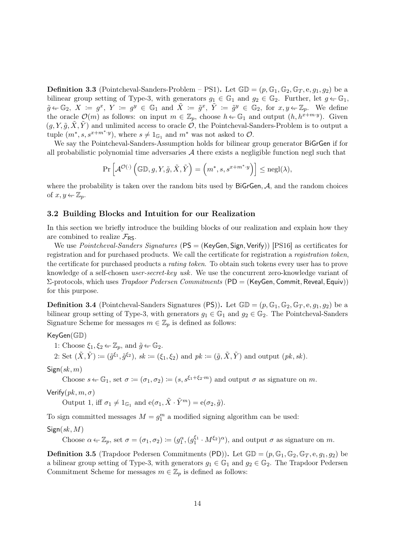**Definition 3.3** (Pointcheval-Sanders-Problem – PS1). Let  $\mathbb{GP} = (p, \mathbb{G}_1, \mathbb{G}_2, \mathbb{G}_T, e, g_1, g_2)$  be a bilinear group setting of Type-3, with generators  $g_1 \in \mathbb{G}_1$  and  $g_2 \in \mathbb{G}_2$ . Further, let  $g \leftarrow \mathbb{G}_1$ ,  $\tilde{g} \leftarrow \mathbb{G}_2, X := g^x, Y := g^y \in \mathbb{G}_1 \text{ and } \tilde{X} := \tilde{g}^x, \tilde{Y} := \tilde{g}^y \in \mathbb{G}_2, \text{ for } x, y \leftarrow \mathbb{Z}_p.$  We define the oracle  $\mathcal{O}(m)$  as follows: on input  $m \in \mathbb{Z}_p$ , choose  $h \leftarrow \mathbb{G}_1$  and output  $(h, h^{\tilde{x}+m\cdot y})$ . Given  $(g, Y, \tilde{g}, \tilde{X}, \tilde{Y})$  and unlimited access to oracle  $\mathcal{O}$ , the Pointcheval-Sanders-Problem is to output a tuple  $(m^*, s, s^{x+m^* \cdot y})$ , where  $s \neq 1_{\mathbb{G}_1}$  and  $m^*$  was not asked to  $\mathcal{O}$ .

We say the Pointcheval-Sanders-Assumption holds for bilinear group generator BiGrGen if for all probabilistic polynomial time adversaries  $A$  there exists a negligible function negl such that

$$
\Pr\left[\mathcal{A}^{\mathcal{O}(\cdot)}\left(\mathbb{G}\mathbb{D}, g, Y, \tilde{g}, \tilde{X}, \tilde{Y}\right) = \left(m^*, s, s^{x+m^* \cdot y}\right)\right] \le \text{negl}(\lambda),
$$

where the probability is taken over the random bits used by  $BiGrGen, A$ , and the random choices of  $x, y \leftarrow \mathbb{Z}_p$ .

### 3.2 Building Blocks and Intuition for our Realization

In this section we briefly introduce the building blocks of our realization and explain how they are combined to realize  $\mathcal{F}_{RS}$  $\mathcal{F}_{RS}$  $\mathcal{F}_{RS}$ .

We use *Pointcheval-Sanders Signatures* ( $PS = (KeyGen, Sign, Verify)$ ) [\[PS16\]](#page-42-5) as certificates for registration and for purchased products. We call the certificate for registration a registration token, the certificate for purchased products a rating token. To obtain such tokens every user has to prove knowledge of a self-chosen user-secret-key usk. We use the concurrent zero-knowledge variant of  $\Sigma$ -protocols, which uses *Trapdoor Pedersen Commitments* (PD = (KeyGen, Commit, Reveal, Equiv)) for this purpose.

**Definition 3.4** (Pointcheval-Sanders Signatures (PS)). Let  $\mathbb{G}\mathbb{D} = (p, \mathbb{G}_1, \mathbb{G}_2, \mathbb{G}_T, e, g_1, g_2)$  be a bilinear group setting of Type-3, with generators  $g_1 \in \mathbb{G}_1$  and  $g_2 \in \mathbb{G}_2$ . The Pointcheval-Sanders Signature Scheme for messages  $m \in \mathbb{Z}_p$  is defined as follows:

KeyGen(GD)

1: Choose  $\xi_1, \xi_2 \leftarrow \mathbb{Z}_p$ , and  $\tilde{g} \leftarrow \mathbb{G}_2$ .

2: Set  $(\tilde{X}, \tilde{Y}) \coloneqq (\tilde{g}^{\xi_1}, \tilde{g}^{\xi_2}), \, sk \coloneqq (\xi_1, \xi_2)$  and  $pk \coloneqq (\tilde{g}, \tilde{X}, \tilde{Y})$  and output  $(pk, sk)$ .

 $Sign(sk, m)$ 

Choose  $s \leftarrow \mathbb{G}_1$ , set  $\sigma := (\sigma_1, \sigma_2) := (s, s^{\xi_1 + \xi_2 \cdot m})$  and output  $\sigma$  as signature on m.

<span id="page-13-1"></span>Verify $(pk, m, \sigma)$ 

Output 1, iff  $\sigma_1 \neq 1_{\mathbb{G}_1}$  and  $e(\sigma_1, \tilde{X} \cdot \tilde{Y}^m) = e(\sigma_2, \tilde{g})$ .

To sign committed messages  $M = g_1^m$  a modified signing algorithm can be used:

### $Sign(sk, M)$

Choose  $\alpha \leftarrow \mathbb{Z}_p$ , set  $\sigma = (\sigma_1, \sigma_2) \coloneqq (g_1^{\alpha}, (g_1^{\xi_1} \cdot M^{\xi_2})^{\alpha})$ , and output  $\sigma$  as signature on m.

<span id="page-13-0"></span>**Definition 3.5** (Trapdoor Pedersen Commitments (PD)). Let  $\mathbb{GP} = (p, \mathbb{G}_1, \mathbb{G}_2, \mathbb{G}_T, e, q_1, q_2)$  be a bilinear group setting of Type-3, with generators  $g_1 \in \mathbb{G}_1$  and  $g_2 \in \mathbb{G}_2$ . The Trapdoor Pedersen Commitment Scheme for messages  $m \in \mathbb{Z}_p$  is defined as follows: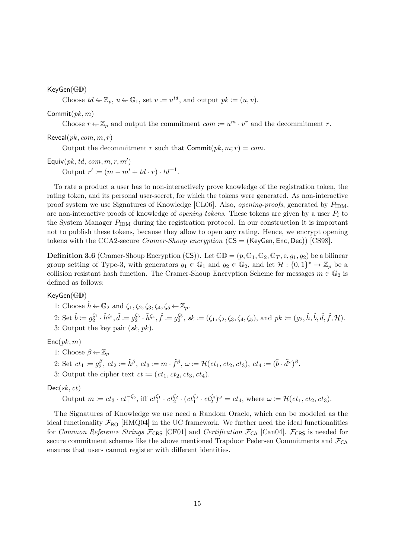<span id="page-14-0"></span>KeyGen(GD)

Choose  $td \leftarrow \mathbb{Z}_p$ ,  $u \leftarrow \mathbb{G}_1$ , set  $v := u^{td}$ , and output  $pk := (u, v)$ .

Commit $(pk, m)$ 

Choose  $r \leftarrow \mathbb{Z}_p$  and output the commitment  $com := u^m \cdot v^r$  and the decommitment r.

Reveal $(pk, com, m, r)$ 

Output the decommitment r such that  $\text{Commit}(pk, m; r) = com$ .

<span id="page-14-1"></span>Equiv $(pk, td, com, m, r, m')$ Output  $r' \coloneqq (m - m' + td \cdot r) \cdot td^{-1}$ .

To rate a product a user has to non-interactively prove knowledge of the registration token, the rating token, and its personal user-secret, for which the tokens were generated. As non-interactive proof system we use Signatures of Knowledge [\[CL06\]](#page-41-7). Also, *opening-proofs*, generated by  $P_{\text{IDM}}$ , are non-interactive proofs of knowledge of *opening tokens*. These tokens are given by a user  $P_i$  to the System Manager  $P_{\text{IDM}}$  during the registration protocol. In our construction it is important not to publish these tokens, because they allow to open any rating. Hence, we encrypt opening tokens with the CCA2-secure *Cramer-Shoup encryption*  $(CS = (KeyGen, Enc, Dec))$  [\[CS98\]](#page-41-8).

**Definition 3.6** (Cramer-Shoup Encryption (CS)). Let  $\mathbb{G}\mathbb{D} = (p, \mathbb{G}_1, \mathbb{G}_2, \mathbb{G}_T, e, g_1, g_2)$  be a bilinear group setting of Type-3, with generators  $g_1 \in \mathbb{G}_1$  and  $g_2 \in \mathbb{G}_2$ , and let  $\mathcal{H} : \{0,1\}^* \to \mathbb{Z}_p$  be a collision resistant hash function. The Cramer-Shoup Encryption Scheme for messages  $m \in \mathbb{G}_2$  is defined as follows:

KeyGen(GD)

1: Choose  $\tilde{h} \leftarrow \mathbb{G}_2$  and  $\zeta_1, \zeta_2, \zeta_3, \zeta_4, \zeta_5 \leftarrow \mathbb{Z}_p$ . 2: Set  $\tilde{b} := g_2^{\zeta_1} \cdot \tilde{h}^{\zeta_2}, \tilde{d} := g_2^{\zeta_3} \cdot \tilde{h}^{\zeta_4}, \tilde{f} := g_2^{\zeta_5}, sk := (\zeta_1, \zeta_2, \zeta_3, \zeta_4, \zeta_5), \text{ and } pk := (g_2, \tilde{h}, \tilde{b}, \tilde{d}, \tilde{f}, \mathcal{H}).$ 3: Output the key pair  $(sk, pk)$ .

 $Enc(\mathit{pk}, \mathit{m})$ 

- 1: Choose  $\beta \leftarrow \mathbb{Z}_n$
- 2: Set  $ct_1 \coloneqq g_2^{\beta}$  $\hat{\mu}^\beta_2,~ct_2\coloneqq \tilde{h}^\beta,~ct_3\coloneqq m\cdot \tilde{f}^\beta,~\omega\coloneqq \mathcal{H}(ct_1,ct_2,ct_3),~ct_4\coloneqq (\tilde{b}\cdot \tilde{d}^\omega)^\beta.$
- 3: Output the cipher text  $ct := (ct_1, ct_2, ct_3, ct_4)$ .

 $Dec(sk, ct)$ 

Output  $m \coloneqq ct_3 \cdot ct_1^{-\zeta_5}$ , iff  $ct_1^{\zeta_1} \cdot ct_2^{\zeta_2} \cdot (ct_1^{\zeta_3} \cdot ct_2^{\zeta_4})^{\omega} = ct_4$ , where  $\omega \coloneqq \mathcal{H}(ct_1, ct_2, ct_3)$ .

The Signatures of Knowledge we use need a Random Oracle, which can be modeled as the ideal functionality  $\mathcal{F}_{\text{RO}}$  $\mathcal{F}_{\text{RO}}$  $\mathcal{F}_{\text{RO}}$  [\[HMQ04\]](#page-42-6) in the UC framework. We further need the ideal functionalities for Common Reference Strings  $\mathcal{F}_{CRS}$  $\mathcal{F}_{CRS}$  $\mathcal{F}_{CRS}$  [\[CF01\]](#page-41-9) and Certification  $\mathcal{F}_{CA}$  $\mathcal{F}_{CA}$  $\mathcal{F}_{CA}$  [\[Can04\]](#page-41-5).  $\mathcal{F}_{CRS}$  is needed for secure commitment schemes like the above mentioned Trapdoor Pedersen Commitments and  $\mathcal{F}_{CA}$  $\mathcal{F}_{CA}$  $\mathcal{F}_{CA}$ ensures that users cannot register with different identities.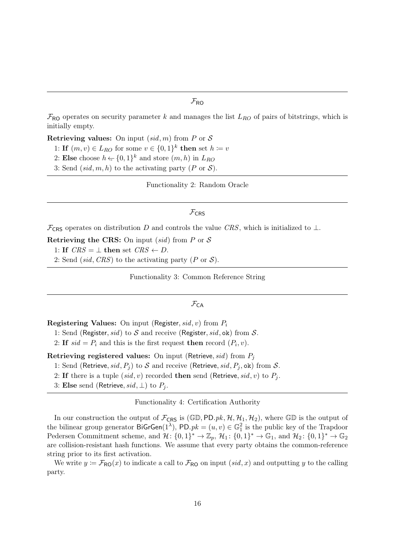$\mathcal{F}_{\sf{RO}}$ 

<span id="page-15-0"></span> $\mathcal{F}_{\text{RO}}$  $\mathcal{F}_{\text{RO}}$  $\mathcal{F}_{\text{RO}}$  operates on security parameter k and manages the list  $L_{RO}$  of pairs of bitstrings, which is initially empty.

Retrieving values: On input  $(sid, m)$  from P or S

1: If  $(m, v) \in L_{RO}$  for some  $v \in \{0, 1\}^k$  then set  $h \coloneqq v$ 

2: Else choose  $h \leftarrow \{0, 1\}^k$  and store  $(m, h)$  in  $L_{RO}$ 

3: Send  $(sid, m, h)$  to the activating party  $(P \text{ or } S)$ .

Functionality 2: Random Oracle

### $\mathcal{F}_{CRS}$

<span id="page-15-1"></span> $\mathcal{F}_{CRS}$  $\mathcal{F}_{CRS}$  $\mathcal{F}_{CRS}$  operates on distribution D and controls the value CRS, which is initialized to  $\perp$ .

Retrieving the CRS: On input  $(sid)$  from P or S

1: If  $CRS = \perp$  then set  $CRS \leftarrow D$ .

<span id="page-15-2"></span>2: Send (sid, CRS) to the activating party (P or  $S$ ).

Functionality 3: Common Reference String

### $\mathcal{F}_{CA}$

**Registering Values:** On input (Register,  $sid, v$ ) from  $P_i$ 

1: Send (Register, sid) to S and receive (Register, sid, ok) from S.

2: If  $sid = P_i$  and this is the first request then record  $(P_i, v)$ .

**Retrieving registered values:** On input (Retrieve, sid) from  $P_i$ 

1: Send (Retrieve, sid,  $P_i$ ) to S and receive (Retrieve, sid,  $P_i$ , ok) from S.

2: If there is a tuple  $(sid, v)$  recorded then send (Retrieve, sid, v) to  $P_i$ .

3: Else send (Retrieve,  $sid, \perp)$  to  $P_i$ .

Functionality 4: Certification Authority

In our construction the output of  $\mathcal{F}_{CRS}$  $\mathcal{F}_{CRS}$  $\mathcal{F}_{CRS}$  is (GD, PD.pk,  $\mathcal{H}, \mathcal{H}_1, \mathcal{H}_2$ ), where GD is the output of the bilinear group generator  $\text{BiGrGen}(1^{\lambda})$ ,  $PD.pk = (u, v) \in \mathbb{G}_1^2$  is the public key of the Trapdoor Pedersen Commitment scheme, and  $\mathcal{H} \colon \{0,1\}^* \to \mathbb{Z}_p$ ,  $\mathcal{H}_1 \colon \{0,1\}^* \to \mathbb{G}_1$ , and  $\mathcal{H}_2 \colon \{0,1\}^* \to \mathbb{G}_2$ are collision-resistant hash functions. We assume that every party obtains the common-reference string prior to its first activation.

We write  $y = \mathcal{F}_{\text{RO}}(x)$  $y = \mathcal{F}_{\text{RO}}(x)$  $y = \mathcal{F}_{\text{RO}}(x)$  to indicate a call to  $\mathcal{F}_{\text{RO}}$  on input  $(sid, x)$  and outputting y to the calling party.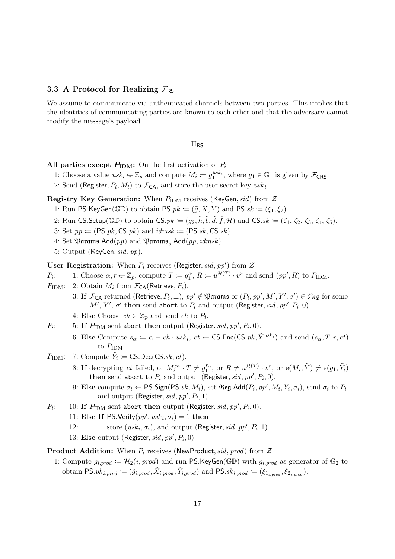### 3.3 A Protocol for Realizing  $\mathcal{F}_{RS}$  $\mathcal{F}_{RS}$  $\mathcal{F}_{RS}$

<span id="page-16-0"></span>We assume to communicate via authenticated channels between two parties. This implies that the identities of communicating parties are known to each other and that the adversary cannot modify the message's payload.

### $\Pi_{\mathsf{RS}}$

### All parties except  $P_{IDM}$ : On the first activation of  $P_i$

- 1: Choose a value  $usk_i \leftarrow \mathbb{Z}_p$  and compute  $M_i := g_1^{usk_i}$ , where  $g_1 \in \mathbb{G}_1$  is given by  $\mathcal{F}_{CRS}$  $\mathcal{F}_{CRS}$  $\mathcal{F}_{CRS}$ .
- 2: Send (Register,  $P_i$ ,  $M_i$ ) to  $\mathcal{F}_{CA}$  $\mathcal{F}_{CA}$  $\mathcal{F}_{CA}$ , and store the user-secret-key  $usk_i$ .

Registry Key Generation: When  $P_{\text{IDM}}$  receives (KeyGen, sid) from  $Z$ 

- 1: Run PS.KeyGen(GD) to obtain PS.pk :=  $(\tilde{g}, \tilde{X}, \tilde{Y})$  and PS.sk :=  $(\xi_1, \xi_2)$ .
- 2: Run CS.Setup( $\mathbb{G}\mathbb{D}$ ) to obtain CS.pk :=  $(g_2, \tilde{h}, \tilde{b}, \tilde{d}, \tilde{f}, \mathcal{H})$  and CS.sk :=  $(\zeta_1, \zeta_2, \zeta_3, \zeta_4, \zeta_5)$ .
- 3: Set  $pp := (PS.pk, CS.pk)$  and  $idmsk := (PS.sk, CS.sk)$ .
- 4: Set  $\mathfrak {Varams}.{\sf Add}(pp)$  and  $\mathfrak {Varams}_s.{\sf Add}(pp,idmsk).$
- 5: Output (KeyGen, sid, pp).

<span id="page-16-1"></span>User Registration: When  $P_i$  receives (Register, sid, pp') from  $\mathcal Z$ 

 $P_i$ : : 1: Choose  $\alpha, r \leftarrow \mathbb{Z}_p$ , compute  $T := g_1^{\alpha}, R := u^{\mathcal{H}(T)} \cdot v^r$  and send  $(p p', R)$  to  $P_{\text{IDM}}$ .

- $P_{\text{IDM}}$ : 2: Obtain  $M_i$  from  $\mathcal{F}_{\text{CA}}(\text{Retrieve}, P_i)$ .
	- 3: If  $\mathcal{F}_{CA}$  $\mathcal{F}_{CA}$  $\mathcal{F}_{CA}$  returned (Retrieve,  $P_i, \perp$ ),  $pp' \notin \mathfrak{P}$ arams or  $(P_i, pp', M', Y', \sigma') \in \mathfrak{Reg}$  for some  $M', Y', \sigma'$  then send abort to  $P_i$  and output (Register, sid, pp',  $P_i$ , 0).
		- 4: Else Choose  $ch \leftarrow \mathbb{Z}_p$  and send  $ch$  to  $P_i$ .
- $P_i$ : : 5: If  $P_{\text{IDM}}$  sent abort then output (Register, sid, pp',  $P_i$ , 0).
	- 6: Else Compute  $s_{\alpha} := \alpha + ch \cdot usk_i, ct \leftarrow \text{CS}.\text{Enc}(\text{CS}.pk, \tilde{Y}^{usk_i})$  and send  $(s_{\alpha}, T, r, ct)$ to  $P_{IDM}$ .
- $P_{\text{IDM}}$ : 7: Compute  $\tilde{Y}_i := \text{CS.Dec}(\text{CS}.sk, ct)$ .
	- 8: If decrypting ct failed, or  $M_i^{ch} \cdot T \neq g_1^{s_{\alpha}}$ , or  $R \neq u^{\mathcal{H}(T)} \cdot v^r$ , or  $e(M_i, \tilde{Y}) \neq e(g_1, \tilde{Y}_i)$ then send abort to  $P_i$  and output (Register,  $sid, pp', P_i, 0$ ).
	- 9: Else compute  $\sigma_i \leftarrow \mathsf{PS}.{\sf Sign}(\mathsf{PS}.{\mathit{sk}}, M_i),$  set  $\mathfrak{Reg}.{\sf Add}(P_i, pp', M_i, \tilde{Y}_i, \sigma_i),$  send  $\sigma_i$  to  $P_i$ , and output (Register,  $sid, pp', P_i, 1)$ .
- $P_i$ : : 10: If  $P_{\text{IDM}}$  sent abort then output (Register, sid, pp',  $P_i$ , 0).
	- 11: Else If PS. Verify $(pp',usk_i, \sigma_i) = 1$  then
		- 12: store  $(usk_i, \sigma_i)$ , and output (Register,  $sid, pp', P_i, 1)$ .
	- 13: Else output (Register,  $sid, pp', P_i, 0)$ .

<span id="page-16-2"></span>**Product Addition:** When  $P_i$  receives (NewProduct, sid, prod) from  $Z$ 

1: Compute  $\tilde{g}_{i,prod} := \mathcal{H}_2(i, prod)$  and run PS.KeyGen(GD) with  $\tilde{g}_{i,prod}$  as generator of  $\mathbb{G}_2$  to obtain PS. $pk_{i,prod} := (\tilde{g}_{i,prod}, \tilde{X}_{i,prod}, \tilde{Y}_{i,prod})$  and PS. $sk_{i,prod} := (\xi_{1_{i,prod}}, \xi_{2_{i,prod}})$ .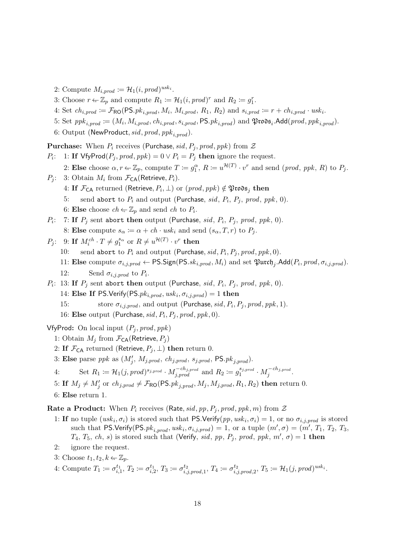- 2: Compute  $M_{i,prod} := \mathcal{H}_1(i, prod)^{usk_i}.$
- 3: Choose  $r \leftarrow \mathbb{Z}_p$  and compute  $R_1 := \mathcal{H}_1(i, prod)^r$  and  $R_2 := g_1^r$ .
- 4: Set  $ch_{i,prod} := \mathcal{F}_{RO}(PS.pk_{i,prod}, M_i, M_{i,prod}, R_1, R_2)$  and  $s_{i,prod} := r + ch_{i,prod} \cdot usk_i$ .
- 5: Set  $ppk_{i,prod} := (M_i, M_{i,prod}, ch_{i,prod}, s_{i,prod}, PS. pk_{i,prod})$  and  $\mathfrak{P} \mathfrak{rod} \mathfrak{s}_i$ .Add $(prod, ppk_{i,prod})$ .
- 6: Output (NewProduct, sid, prod,  $ppk_{i,prod}$ ).

<span id="page-17-0"></span>**Purchase:** When  $P_i$  receives (Purchase, sid,  $P_i$ , prod, ppk) from  $Z$ 

- $P_i$ : 1: If VfyProd( $P_j$ , prod, ppk) = 0  $\vee$   $P_i = P_j$  then ignore the request.
	- 2: Else choose  $\alpha, r \leftarrow \mathbb{Z}_p$ , compute  $T \coloneqq g_1^{\alpha}, R \coloneqq u^{\mathcal{H}(T)} \cdot v^r$  and send  $(pred, ppk, R)$  to  $P_j$ .
- $P_i$ : 3: Obtain  $M_i$  from  $\mathcal{F}_{CA}$ (Retrieve,  $P_i$ ). 4: If  $\mathcal{F}_{\mathsf{CA}}$  $\mathcal{F}_{\mathsf{CA}}$  $\mathcal{F}_{\mathsf{CA}}$  returned (Retrieve,  $P_i, \perp$ ) or  $(\mathit{prod}, \mathit{ppk}) \notin \mathfrak{P}$ ro0 $\mathfrak{s}_j$  then 5: send abort to  $P_i$  and output (Purchase, sid,  $P_i$ ,  $P_j$ , prod, ppk, 0). 6: Else choose  $ch \leftarrow \mathbb{Z}_p$  and send  $ch$  to  $P_i$ .  $P_i$ : 7: If  $P_j$  sent abort then output (Purchase, sid,  $P_i$ ,  $P_j$ , prod, ppk, 0). 8: Else compute  $s_{\alpha} := \alpha + ch \cdot usk_i$  and send  $(s_{\alpha}, T, r)$  to  $P_i$ .  $P_j$ : 9: If  $M_i^{ch} \cdot T \neq g_1^{s_\alpha}$  or  $R \neq u^{\mathcal{H}(T)} \cdot v^r$  then 10: send abort to  $P_i$  and output (Purchase, sid,  $P_i$ ,  $P_j$ , prod, ppk, 0). 11: Else compute  $\sigma_{i,j,prod} \leftarrow \text{PS}.Sign(\text{PS}.sk_{i,prod}, M_i)$  and set  $\mathfrak{P}urcb_j.\text{Add}(P_i, prod, \sigma_{i,j,prod})$ . 12: Send  $\sigma_{i,j,prod}$  to  $P_i$ .
- $P_i$ : 13: If  $P_j$  sent abort then output (Purchase, sid,  $P_i$ ,  $P_j$ , prod, ppk, 0). 14: Else If PS.Verify(PS. $pk_{i, prod}$ ,  $usk_i, \sigma_{i, j, prod}$ ) = 1 then 15: store  $\sigma_{i,j,prod}$ , and output (Purchase,  $sid, P_i, P_j, prod, ppk, 1$ ). 16: Else output (Purchase,  $sid, P_i, P_j, prod, ppk, 0)$ .

VfyProd: On local input  $(P_i, prod, ppk)$ 

- 1: Obtain  $M_j$  from  $\mathcal{F}_{CA}$ (Retrieve,  $P_j$ )
- 2: If  $\mathcal{F}_{CA}$  $\mathcal{F}_{CA}$  $\mathcal{F}_{CA}$  returned (Retrieve,  $P_j$ ,  $\perp$ ) then return 0.
- 3: Else parse ppk as  $(M'_j, M_{j,prod}, ch_{j,prod}, s_{j,prod}, PS. pk_{j,prod})$ .

4: Set 
$$
R_1 := \mathcal{H}_1(j, prod)^{s_{j,prod}} \cdot M_{j,prod}^{-ch_{j,prod}}
$$
 and  $R_2 := g_1^{s_{j,prod}} \cdot M_j^{-ch_{j,prod}}$ 

- 5: If  $M_j \neq M'_j$  or  $ch_{j,prod} \neq \mathcal{F}_{RO}(PS.pk_{j,prod}, M_j, M_{j,prod}, R_1, R_2)$  then return 0.
- 6: Else return 1.

<span id="page-17-1"></span>**Rate a Product:** When  $P_i$  receives (Rate, sid, pp,  $P_j$ , prod, ppk, m) from  $\mathcal{Z}$ 

1: If no tuple  $(usk_i, \sigma_i)$  is stored such that PS. Verify $(pp, usk_i, \sigma_i) = 1$ , or no  $\sigma_{i,j,prod}$  is stored such that PS.Verify(PS. $pk_{i,prod}$ ,  $usk_i, \sigma_{i,j,prod}) = 1$ , or a tuple  $(m', \sigma) = (m', T_1, T_2, T_3, T_4)$  $T_4, T_5, ch, s)$  is stored such that (Verify, sid, pp,  $P_j, \, prod, \, ppk, \, m', \, \sigma) = 1$  then

.

- 2: ignore the request.
- 3: Choose  $t_1, t_2, k \leftarrow \mathbb{Z}_p$ .
- 4: Compute  $T_1 \coloneqq \sigma_{i,1}^{t_1}, T_2 \coloneqq \sigma_{i,2}^{t_1}, T_3 \coloneqq \sigma_{i,j,prod,1}^{t_2}, T_4 \coloneqq \sigma_{i,j,prod,2}^{t_2}, T_5 \coloneqq \mathcal{H}_1(j, prod)^{usk_i}.$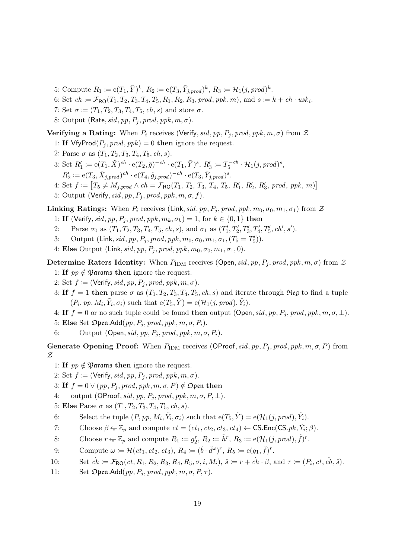- 5: Compute  $R_1 \coloneqq e(T_1, \tilde{Y})^k$ ,  $R_2 \coloneqq e(T_3, \tilde{Y}_{j,prod})^k$ ,  $R_3 \coloneqq \mathcal{H}_1(j, prod)^k$ .
- 6: Set  $ch := \mathcal{F}_{\textsf{RO}}(T_1, T_2, T_3, T_4, T_5, R_1, R_2, R_3, \text{prod}, \text{ppk}, m)$ , and  $s := k + ch \cdot usk_i$ .
- 7: Set  $\sigma \coloneqq (T_1, T_2, T_3, T_4, T_5, ch, s)$  and store  $\sigma$ .
- 8: Output (Rate, sid, pp,  $P_i$ , prod, ppk,  $m, \sigma$ ).

### **Verifying a Rating:** When  $P_i$  receives (Verify, sid, pp,  $P_j$ , prod, ppk,  $m, \sigma$ ) from  $\mathcal{Z}$

- 1: If  $VfyProd(P_i, prod, ppk) = 0$  then ignore the request.
- 2: Parse  $\sigma$  as  $(T_1, T_2, T_3, T_4, T_5, ch, s)$ .
- 3: Set  $R'_1 \coloneqq e(T_1, \tilde{X})^{ch} \cdot e(T_2, \tilde{g})^{-ch} \cdot e(T_1, \tilde{Y})^s$ ,  $R'_3 \coloneqq T_5^{-ch} \cdot \mathcal{H}_1(j, prod)^s$ ,  $R_2' \coloneqq \mathrm{e} (T_3, \tilde X_{j,prod})^{ch} \cdot \mathrm{e} (T_4, \tilde g_{j,prod})^{-ch} \cdot \mathrm{e} (T_3, \tilde Y_{j,prod})^s.$
- 4: Set  $f \coloneqq [T_5 \neq M_{j,prod} \wedge ch = \mathcal{F}_{\textsf{RO}}(T_1, T_2, T_3, T_4, T_5, R'_1, R'_2, R'_3, prod, ppk, m)]$
- 5: Output (Verify, sid, pp,  $P_i$ , prod, ppk,  $m, \sigma, f$ ).

<span id="page-18-1"></span>**Linking Ratings:** When  $P_i$  receives (Link, sid, pp,  $P_i$ , prod, ppk,  $m_0, \sigma_0, m_1, \sigma_1$ ) from  $\mathcal{Z}$ 

- 1: If (Verify, sid, pp,  $P_j$ , prod, ppk,  $m_k, \sigma_k$ ) = 1, for  $k \in \{0, 1\}$  then
- 2: Parse  $\sigma_0$  as  $(T_1, T_2, T_3, T_4, T_5, ch, s)$ , and  $\sigma_1$  as  $(T'_1, T'_2, T'_3, T'_4, T'_5, ch', s')$ .
- 3: Output (Link, sid, pp,  $P_j$ , prod, ppk,  $m_0, \sigma_0, m_1, \sigma_1, (T_5 = T_5')$ ).
- 4: Else Output (Link, sid, pp,  $P_i$ , prod, ppk,  $m_0, \sigma_0, m_1, \sigma_1, 0$ ).

# **Determine Raters Identity:** When  $P_{\text{IDM}}$  receives (Open, sid, pp,  $P_j$ , prod, ppk,  $m, \sigma$ ) from  $\mathcal{Z}$

- 1: If  $pp \notin \mathfrak{P}$  arams then ignore the request.
- 2: Set  $f := (\text{Verify}, sid, pp, P_j, prod, ppk, m, \sigma).$
- 3: If  $f = 1$  then parse  $\sigma$  as  $(T_1, T_2, T_3, T_4, T_5, ch, s)$  and iterate through Reg to find a tuple  $(P_i, pp, M_i, \tilde{Y}_i, \sigma_i)$  such that  $e(T_5, \tilde{Y}) = e(\mathcal{H}_1(j, prod), \tilde{Y}_i)$ .
- 4: If  $f = 0$  or no such tuple could be found then output (Open, sid, pp,  $P_i$ , prod, ppk,  $m, \sigma, \perp$ ).
- 5: Else Set  $\mathfrak{Open}.Add(pp, P_i, prod, ppk, m, \sigma, P_i).$
- 6: Output (Open, sid, pp,  $P_i$ , prod, ppk,  $m, \sigma, P_i$ ).

# <span id="page-18-0"></span>Generate Opening Proof: When  $P_{\text{IDM}}$  receives (OProof, sid, pp,  $P_i$ , prod, ppk,  $m, \sigma, P$ ) from Z

- 1: If  $pp \notin \mathfrak{P}$  arams then ignore the request.
- 2: Set  $f := (\text{Verify}, sid, pp, P_i, prod, ppk, m, \sigma)$ .
- 3: If  $f = 0 \vee (pp, P_i, prod, ppk, m, \sigma, P) \notin \mathfrak{Open}$  then
- 4: output (OProof, sid, pp,  $P_i$ , prod, ppk,  $m, \sigma, P, \perp$ ).
- 5: Else Parse  $\sigma$  as  $(T_1, T_2, T_3, T_4, T_5, ch, s)$ .
- 6: Select the tuple  $(P, pp, M_i, \tilde{Y}_i, \sigma_i)$  such that  $e(T_5, \tilde{Y}) = e(\mathcal{H}_1(j, prod), \tilde{Y}_i)$ .
- 7: Choose  $\beta \leftarrow \mathbb{Z}_p$  and compute  $ct = (ct_1, ct_2, ct_3, ct_4) \leftarrow \text{CS}.\text{Enc}(\text{CS}.pk, \tilde{Y}_i; \beta)$ .
- 8: Choose  $r \leftarrow \mathbb{Z}_p$  and compute  $R_1 := g_2^r$ ,  $R_2 := \tilde{h}^r$ ,  $R_3 := e(\mathcal{H}_1(j, prod), \tilde{f})^r$ .
- 9: Compute  $\omega := \mathcal{H}(ct_1, ct_2, ct_3), R_4 := (\tilde{b} \cdot \tilde{d}^{\omega})^r, R_5 := e(g_1, \tilde{f})^r.$
- 10: Set  $\hat{ch} \coloneqq \mathcal{F}_{\textsf{RO}}(ct, R_1, R_2, R_3, R_4, R_5, \sigma, i, M_i), \ \hat{s} \coloneqq r + \hat{ch} \cdot \beta$ , and  $\tau \coloneqq (P_i, ct, \hat{ch}, \hat{s})$ .
- 11: Set  $\mathfrak{Open}.Add(pp, P_i, prod, ppk, m, \sigma, P, \tau).$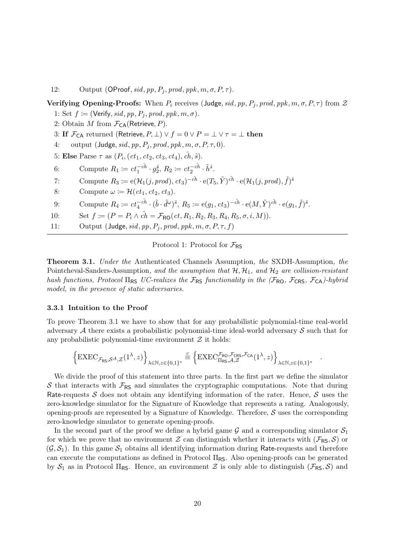12: Output (OProof, sid, pp,  $P_i$ , prod, ppk,  $m, \sigma, P, \tau$ ).

<span id="page-19-1"></span>Verifying Opening-Proofs: When  $P_i$  receives (Judge, sid, pp,  $P_i$ , prod, ppk,  $m, \sigma, P, \tau$ ) from  $\mathcal Z$ 

1: Set  $f := (\text{Verify}, sid, pp, P_j, prod, ppk, m, \sigma)$ .

2: Obtain M from  $\mathcal{F}_{CA}($ Retrieve, P).

3: If  $\mathcal{F}_{CA}$  $\mathcal{F}_{CA}$  $\mathcal{F}_{CA}$  returned (Retrieve,  $P, \perp$ )  $\vee$   $f = 0 \vee P = \perp \vee \tau = \perp$  then

- 4: output (Judge, sid, pp,  $P_j$ , prod, ppk,  $m, \sigma, P, \tau, 0$ ).
- 5: Else Parse  $\tau$  as  $(P_i, (ct_1, ct_2, ct_3, ct_4), c\hat{h}, \hat{s})$ .

6: Compute  $R_1 \coloneqq ct_1^{-c\hat{h}} \cdot g_2^{\hat{s}}, R_2 \coloneqq ct_2^{-c\hat{h}} \cdot \tilde{h}^{\hat{s}}.$ 

- 7: Compute  $R_3 \coloneqq e(\mathcal{H}_1(j, prod), ct_3)^{-c\hat{h}} \cdot e(T_5, \tilde{Y})^{\hat{c}\hat{h}} \cdot e(\mathcal{H}_1(j, prod), \tilde{f})^{\hat{s}}$
- 8: Compute  $\omega \coloneqq \mathcal{H}(ct_1, ct_2, ct_3)$ .
- 9: Compute  $R_4 := ct_4^{-\hat{c}\hat{h}} \cdot (\tilde{b} \cdot \tilde{d}^{\omega})^{\hat{s}}, R_5 := e(g_1, ct_3)^{-\hat{c}\hat{h}} \cdot e(M, \tilde{Y})^{\hat{c}\hat{h}} \cdot e(g_1, \tilde{f})^{\hat{s}}.$
- 10: Set  $f = (P = P_i \wedge c\hat{h} = \mathcal{F}_{RO}(ct, R_1, R_2, R_3, R_4, R_5, \sigma, i, M)).$
- 11: Output (Judge, sid, pp,  $P_j$ , prod, ppk,  $m, \sigma, P, \tau, f$ )

# Protocol 1: Protocol for  $\mathcal{F}_{\text{RS}}$  $\mathcal{F}_{\text{RS}}$  $\mathcal{F}_{\text{RS}}$

<span id="page-19-0"></span>Theorem 3.1. Under the Authenticated Channels Assumption, the SXDH-Assumption, the Pointcheval-Sanders-Assumption, and the assumption that  $H, H_1$ , and  $H_2$  are collision-resistant hash functions, Protocol  $\Pi_{RS}$  UC-realizes the  $\mathcal{F}_{RS}$  $\mathcal{F}_{RS}$  $\mathcal{F}_{RS}$  functionality in the  $(\mathcal{F}_{RO}, \mathcal{F}_{CRS}, \mathcal{F}_{CA})$  $(\mathcal{F}_{RO}, \mathcal{F}_{CRS}, \mathcal{F}_{CA})$  $(\mathcal{F}_{RO}, \mathcal{F}_{CRS}, \mathcal{F}_{CA})$  $(\mathcal{F}_{RO}, \mathcal{F}_{CRS}, \mathcal{F}_{CA})$  $(\mathcal{F}_{RO}, \mathcal{F}_{CRS}, \mathcal{F}_{CA})$  $(\mathcal{F}_{RO}, \mathcal{F}_{CRS}, \mathcal{F}_{CA})$  $(\mathcal{F}_{RO}, \mathcal{F}_{CRS}, \mathcal{F}_{CA})$ -hybrid model, in the presence of static adversaries.

### 3.3.1 Intuition to the Proof

To prove Theorem [3.1](#page-19-0) we have to show that for any probabilistic polynomial-time real-world adversary  $A$  there exists a probabilistic polynomial-time ideal-world adversary  $S$  such that for any probabilistic polynomial-time environment  $\mathcal Z$  it holds:

$$
\left\{\text{EXEC}_{\mathcal{F}_{\text{RS}},\mathcal{S}^{\mathcal{A}},\mathcal{Z}}(1^{\lambda},z)\right\}_{\lambda\in\mathbb{N},z\in\{0,1\}^*}\stackrel{c}{\equiv}\left\{\text{EXEC}_{\Pi_{\text{RS}},\mathcal{A},\mathcal{Z}}^{\mathcal{F}_{\text{RO}},\mathcal{F}_{\text{CRS}},\mathcal{F}_{\text{CA}}}(1^{\lambda},z)\right\}_{\lambda\in\mathbb{N},z\in\{0,1\}^*}
$$

.

We divide the proof of this statement into three parts. In the first part we define the simulator S that interacts with  $\mathcal{F}_{RS}$  $\mathcal{F}_{RS}$  $\mathcal{F}_{RS}$  and simulates the cryptographic computations. Note that during Rate-requests  $S$  does not obtain any identifying information of the rater. Hence,  $S$  uses the zero-knowledge simulator for the Signature of Knowledge that represents a rating. Analogously, opening-proofs are represented by a Signature of Knowledge. Therefore,  $S$  uses the corresponding zero-knowledge simulator to generate opening-proofs.

In the second part of the proof we define a hybrid game  $\mathcal G$  and a corresponding simulator  $\mathcal S_1$ for which we prove that no environment  $\mathcal Z$  can distinguish whether it interacts with  $(\mathcal F_{\text{RS}}, \mathcal S)$  or  $(\mathcal{G}, \mathcal{S}_1)$ . In this game  $\mathcal{S}_1$  obtains all identifying information during Rate-requests and therefore can execute the computations as defined in Protocol [Π](#page-16-0)RS. Also opening-proofs can be generated by  $S_1$  as in Protocol  $\Pi_{RS}$ . Hence, an environment Z is only able to distinguish  $(\mathcal{F}_{RS}, \mathcal{S})$  and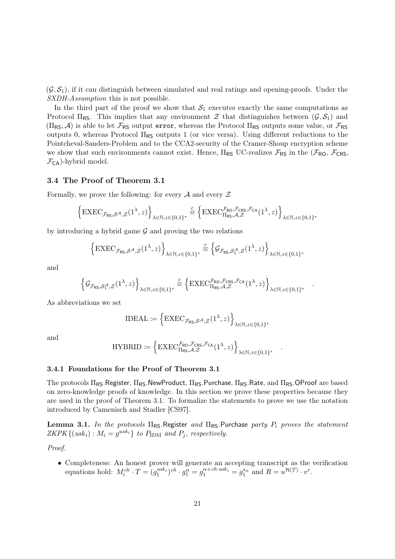$(\mathcal{G}, \mathcal{S}_1)$ , if it can distinguish between simulated and real ratings and opening-proofs. Under the SXDH-Assumption this is not possible.

In the third part of the proof we show that  $S_1$  executes exactly the same computations as Protocol  $\Pi_{\mathsf{RS}}$ . This implies that any environment  $\mathcal Z$  that distinguishes between  $(\mathcal G, \mathcal S_1)$  and  $(\Pi_{\text{RS}}, \mathcal{A})$  is able to let  $\mathcal{F}_{\text{RS}}$  $\mathcal{F}_{\text{RS}}$  $\mathcal{F}_{\text{RS}}$  output error, whereas the Protocol  $\Pi_{\text{RS}}$  outputs some value, or  $\mathcal{F}_{\text{RS}}$ outputs 0, whereas Protocol  $\Pi_{RS}$  outputs 1 (or vice versa). Using different reductions to the Pointcheval-Sanders-Problem and to the CCA2-security of the Cramer-Shoup encryption scheme we show that such environments cannot exist. Hence,  $\Pi_{RS}$  UC-realizes  $\mathcal{F}_{RS}$  $\mathcal{F}_{RS}$  $\mathcal{F}_{RS}$  in the  $(\mathcal{F}_{RO}, \mathcal{F}_{CRS},$  $(\mathcal{F}_{RO}, \mathcal{F}_{CRS},$  $(\mathcal{F}_{RO}, \mathcal{F}_{CRS},$  $(\mathcal{F}_{RO}, \mathcal{F}_{CRS},$  $(\mathcal{F}_{RO}, \mathcal{F}_{CRS},$  $\mathcal{F}_{CA}$  $\mathcal{F}_{CA}$  $\mathcal{F}_{CA}$ )-hybrid model.

### 3.4 The Proof of Theorem [3.1](#page-19-0)

Formally, we prove the following: for every  $A$  and every  $\mathcal Z$ 

$$
\left\{\text{EXEC}_{\mathcal{F}_{\text{RS}},\mathcal{S}^{\mathcal{A}},\mathcal{Z}}(1^{\lambda},z)\right\}_{\lambda\in\mathbb{N},z\in\{0,1\}^*}\stackrel{c}{\equiv}\left\{\text{EXEC}_{\Pi_{\text{RS}},\mathcal{A},\mathcal{Z}}^{\mathcal{F}_{\text{RO}},\mathcal{F}_{\text{CRS}},\mathcal{F}_{\text{CA}}}(1^{\lambda},z)\right\}_{\lambda\in\mathbb{N},z\in\{0,1\}^*}
$$

by introducing a hybrid game  $\mathcal G$  and proving the two relations

$$
\left\{\text{EXEC}_{\mathcal{F}_{\text{RS}},\mathcal{S}^{\mathcal{A}},\mathcal{Z}}(1^{\lambda},z)\right\}_{\lambda\in\mathbb{N},z\in\{0,1\}^*}\stackrel{c}{\equiv}\left\{\mathcal{G}_{\mathcal{F}_{\text{RS}},\mathcal{S}_1^{\mathcal{A}},\mathcal{Z}}(1^{\lambda},z)\right\}_{\lambda\in\mathbb{N},z\in\{0,1\}^*}
$$

and

$$
\left\{\mathcal{G}_{\mathcal{F}_{\mathsf{RS}},\mathcal{S}_1^{\mathcal{A}},\mathcal{Z}}(1^\lambda,z)\right\}_{\lambda\in\mathbb{N},z\in\{0,1\}^*}\stackrel{c}{\equiv}\left\{\text{EXEC}^{\mathcal{F}_{\mathsf{RO}},\mathcal{F}_{\mathsf{CRS}},\mathcal{F}_{\mathsf{CA}}}(1^\lambda,z)\right\}_{\lambda\in\mathbb{N},z\in\{0,1\}^*}\quad.
$$

As abbreviations we set

$$
\text{IDEAL} \coloneqq \left\{ \text{EXEC}_{\mathcal{F}_{\text{RS}},\mathcal{S}^{\mathcal{A}},\mathcal{Z}}(1^{\lambda},z) \right\}_{\lambda \in \mathbb{N}, z \in \{0,1\}^*}
$$

and

$$
\text{HYBRID} \coloneqq \left\{ \text{EXEC}_{\Pi_{\mathsf{RS}},\mathcal{A},\mathcal{Z}}^{\mathcal{F}_{\mathsf{R}\mathsf{S}},\mathcal{F}_{\mathsf{C}\mathsf{A}}}(1^\lambda,z) \right\}_{\lambda \in \mathbb{N}, z \in \{0,1\}^*}
$$

.

### 3.4.1 Foundations for the Proof of Theorem [3.1](#page-19-0)

The protocols  $\Pi_{RS}$ . [Register](#page-16-1),  $\Pi_{RS}$ . [NewProduct](#page-16-2),  $\Pi_{RS}$ . [Purchase](#page-17-0),  $\Pi_{RS}$ . [Rate](#page-17-1), and  $\Pi_{RS}$ . [OProof](#page-18-0) are based on zero-knowledge proofs of knowledge. In this section we prove these properties because they are used in the proof of Theorem [3.1.](#page-19-0) To formalize the statements to prove we use the notation introduced by Camenisch and Stadler [\[CS97\]](#page-41-10).

<span id="page-20-0"></span>Lemma 3.1. In the protocols  $\Pi_{RS}$ . [Register](#page-16-1) and  $\Pi_{RS}$ . [Purchase](#page-17-0) party  $P_i$  proves the statement ZKPK $\{(usk_i): M_i = g^{usk_i}\}\$  to  $P_{\text{IDM}}$  and  $P_j$ , respectively.

Proof.

• Completeness: An honest prover will generate an accepting transcript as the verification equations hold:  $M_i^{ch} \cdot T = (g_1^{usk_i})^{ch} \cdot g_1^{\alpha} = g_1^{\alpha + ch \cdot usk_i} = g_1^{s_{\alpha}}$  and  $R = u^{\mathcal{H}(T)} \cdot v^r$ .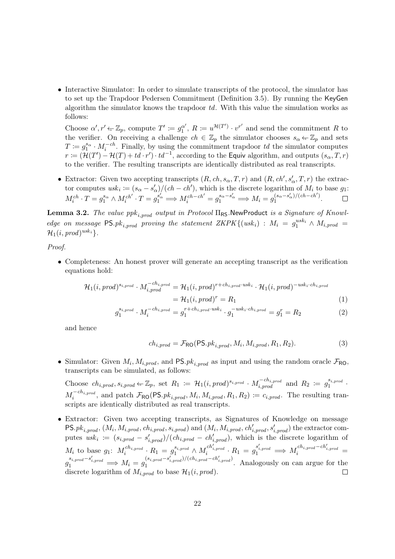• Interactive Simulator: In order to simulate transcripts of the protocol, the simulator has to set up the Trapdoor Pedersen Commitment (Definition [3.5\)](#page-13-0). By running the [KeyGen](#page-14-0) algorithm the simulator knows the trapdoor td. With this value the simulation works as follows:

Choose  $\alpha', r' \leftarrow \mathbb{Z}_p$ , compute  $T' \coloneqq g_1^{\alpha'}$  $\mathfrak{a}'$ ,  $R := u^{\mathcal{H}(T')} \cdot v^{r'}$  and send the commitment R to the verifier. On receiving a challenge  $ch \in \mathbb{Z}_p$  the simulator chooses  $s_\alpha \leftarrow \mathbb{Z}_p$  and sets  $T \coloneqq g_1^{s_{\alpha}} \cdot M_i^{-ch}$ . Finally, by using the commitment trapdoor td the simulator computes  $r \coloneqq (\mathcal{H}(T') - \mathcal{H}(T) + td \cdot r') \cdot td^{-1}$ , according to the [Equiv](#page-14-1) algorithm, and outputs  $(s_{\alpha}, T, r)$ to the verifier. The resulting transcripts are identically distributed as real transcripts.

• Extractor: Given two accepting transcripts  $(R, ch, s_\alpha, T, r)$  and  $(R, ch', s'_\alpha, T, r)$  the extractor computes  $usk_i := (s_{\alpha} - s'_{\alpha})/(ch - ch'),$  which is the discrete logarithm of  $M_i$  to base  $g_1$ :  $M_i^{ch} \cdot T = g_1^{s_\alpha} \wedge M_i^{ch'} \cdot T = g_1^{s_\alpha'} \Longrightarrow M_i^{ch-ch'} = g_1^{s_\alpha - s_\alpha'} \Longrightarrow M_i = g_1^{(s_\alpha - s_\alpha')/(ch-ch')}$  $\int_1^{(s_{\alpha}-s_{\alpha})/(cn-cn)}$ .

<span id="page-21-0"></span>Lemma 3.2. The value  $ppk_{i,prod}$  output in Protocol  $\Pi_{RS}$ .[NewProduct](#page-16-2) is a Signature of Knowledge on message  $PS.pk_{i,prod}$  proving the statement  $ZKPK({usk_i})$  :  $M_i = g_1^{usk_i} \wedge M_{i,prod}$  $\mathcal{H}_1(i, prod)^{usk_i} \}.$ 

Proof.

• Completeness: An honest prover will generate an accepting transcript as the verification equations hold:

$$
\mathcal{H}_1(i, prod)^{s_{i, prod}} \cdot M_{i, prod}^{-ch_{i, prod}} = \mathcal{H}_1(i, prod)^{r+ch_{i, prod} \cdot usk_i} \cdot \mathcal{H}_1(i, prod)^{-usk_i \cdot ch_{i, prod}} = \mathcal{H}_1(i, prod)^r = R_1
$$
\n(1)

$$
g_1^{s_{i,prod}} \cdot M_i^{-ch_{i,prod}} = g_1^{r+ch_{i,prod} \cdot usk_i} \cdot g_1^{-usk_i \cdot ch_{i,prod}} = g_1^r = R_2 \tag{2}
$$

and hence

$$
ch_{i,prod} = \mathcal{F}_{RO}(PS. pk_{i,prod}, M_i, M_{i,prod}, R_1, R_2).
$$
 (3)

• Simulator: Given  $M_i, M_{i,prod}$ , and PS.  $pk_{i,prod}$  as input and using the random oracle  $\mathcal{F}_{\textsf{RO}}$ , transcripts can be simulated, as follows:

Choose  $ch_{i,prod}$ ,  $s_{i,prod} \leftarrow \mathbb{Z}_p$ , set  $R_1 := \mathcal{H}_1(i, prod)^{s_{i,prod}} \cdot M_{i,prod}^{-ch_{i,prod}}$  and  $R_2 := g_1^{s_{i,prod}}$  $\mathbf{I}_1^{s_{i,prod}}$  .  $M_{i}^{-ch_{i,prod}}$  $\mathcal{F}_{\text{RO}}(PS.pk_{i,prod}, M_i, M_{i,prod}, R_1, R_2) \coloneqq c_{i,prod}$ . The resulting transcripts are identically distributed as real transcripts.

• Extractor: Given two accepting transcripts, as Signatures of Knowledge on message PS.p $k_{i,prod}$ ,  $(M_i, M_{i,prod}$ ,  $ch_{i,prod}$ ,  $s_{i,prod}$ ) and  $(M_i, M_{i,prod}$ ,  $ch'_{i,prod}$ ,  $s'_{i,prod}$ ) the extractor computes  $usk_i := (s_{i,prod} - s'_{i,prod})/(ch_{i,prod} - ch'_{i,prod})$ , which is the discrete logarithm of  $i^{ch_{i,prod}}\cdot R_1\,=\,g_1^{s_{i,prod}}\wedge\, M_i^{ch'_{i,prod}}\cdot R_1\,=\,g_1^{s'_{i,prod}}\Longrightarrow\, M_i^{ch_{i,prod}-ch'_{i,prod}}\,=\,$  $M_i$  to base  $g_1$ :  $M_i^{ch_{i,prod}}$  $g_{1}^{s_{i,prod}-s_{i,prod}^{\prime}} \Longrightarrow M_{i} = g_{1}^{(s_{i,prod}-s_{i,prod}^{\prime})/(ch_{i,prod}-ch_{i,prod}^{\prime})}$  $\sum_{i,prod}^{(v_i,prod)}$  ( $\sum_{i,prod}^{(v_i,prod)}$ ). Analogously on can argue for the discrete logarithm of  $M_{i,prod}$  to base  $\mathcal{H}_1(i, prod)$ .  $\Box$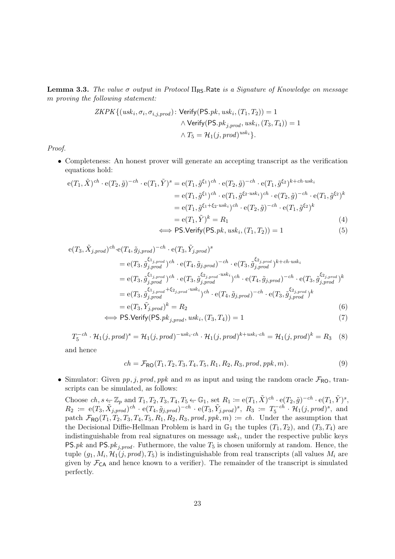<span id="page-22-0"></span>**Lemma 3.3.** The value  $\sigma$  output in Protocol  $\Pi_{RS}$ . [Rate](#page-17-1) is a Signature of Knowledge on message m proving the following statement:

$$
ZKPK\{(usk_i, \sigma_i, \sigma_{i,j,prod}) : Verify(PS. pk, usk_i, (T_1, T_2)) = 1
$$
  

$$
\land Verify(PS. pk, usk_i, (T_3, T_4)) = 1
$$
  

$$
\land T_5 = \mathcal{H}_1(j, prod)^{usk_i} \}.
$$

Proof.

• Completeness: An honest prover will generate an accepting transcript as the verification equations hold:

$$
e(T_1, \tilde{X})^{ch} \cdot e(T_2, \tilde{g})^{-ch} \cdot e(T_1, \tilde{Y})^s = e(T_1, \tilde{g}^{\xi_1})^{ch} \cdot e(T_2, \tilde{g})^{-ch} \cdot e(T_1, \tilde{g}^{\xi_2})^{k + ch \cdot usk_i}
$$
  
\n
$$
= e(T_1, \tilde{g}^{\xi_1})^{ch} \cdot e(T_1, \tilde{g}^{\xi_2 \cdot usk_i})^{ch} \cdot e(T_2, \tilde{g})^{-ch} \cdot e(T_1, \tilde{g}^{\xi_2})^k
$$
  
\n
$$
= e(T_1, \tilde{g}^{\xi_1 + \xi_2 \cdot usk_i})^{ch} \cdot e(T_2, \tilde{g})^{-ch} \cdot e(T_1, \tilde{g}^{\xi_2})^k
$$
  
\n
$$
= e(T_1, \tilde{Y})^k = R_1
$$
  
\n
$$
\iff \text{PS.Verify}(PS.pk, usk_i, (T_1, T_2)) = 1
$$
  
\n(5)

e(T3, X˜ j,prod ) ch ·e(T4, g˜j,prod ) −ch · e(T3, Y˜ j,prod ) s = e(T3, g˜ ξ1j,prod j,prod ) ch · e(T4, g˜j,prod ) −ch · e(T3, g˜ ξ2j,prod j,prod ) k+ch·usk<sup>i</sup> = e(T3, g˜ ξ1j,prod j,prod ) ch · e(T3, g˜ ξ2j,prod ·usk<sup>i</sup> j,prod ) ch · e(T4, g˜j,prod ) −ch · e(T3, g˜ ξ2j,prod j,prod ) k = e(T3, g˜ ξ1j,prod +ξ2j,prod ·usk<sup>i</sup> j,prod ) ch · e(T4, g˜j,prod ) −ch · e(T3, g˜ ξ2j,prod j,prod ) k = e(T3, Y˜ j,prod ) <sup>k</sup> = R<sup>2</sup> (6)

$$
\iff \text{PS.Verify}(\text{PS}.pk_{j,prod}, usk_i, (T_3, T_4)) = 1\tag{7}
$$

 $T_5^{-ch} \cdot \mathcal{H}_1(j, prod)^s = \mathcal{H}_1(j, prod)^{-usk_i \cdot ch} \cdot \mathcal{H}_1(j, prod)^{k+usk_i \cdot ch} = \mathcal{H}_1(j, prod)^k = R_3 \quad (8)$ and hence

 $ch = \mathcal{F}_{\text{RO}}(T_1, T_2, T_3, T_4, T_5, R_1, R_2, R_3, \text{prod}, \text{ppk}, m).$  (9)

• Simulator: Given  $pp, j, prod, ppk$  and m as input and using the random oracle  $\mathcal{F}_{\text{RO}}$ , transcripts can be simulated, as follows:

Choose  $ch, s \leftarrow \mathbb{Z}_p$  and  $T_1, T_2, T_3, T_4, T_5 \leftarrow \mathbb{G}_1$ , set  $R_1 \coloneqq e(T_1, \tilde{X})^{ch} \cdot e(T_2, \tilde{g})^{-ch} \cdot e(T_1, \tilde{Y})^s$ ,  $R_2 \; \coloneqq\; \mathrm{e} ( T_3 , \tilde X_{j,prod} )^{ch} \cdot \mathrm{e} ( T_4 , \tilde g_{j,prod} )^{-ch} \cdot \mathrm{e} ( T_3 , \tilde Y_{j,prod} )^s, \; R_3 \; \coloneqq \; T_5^{-ch} \cdot \mathcal{H}_1 (j,prod)^s, \; \text{and}$ patch  $\mathcal{F}_{\text{RO}}(T_1, T_2, T_3, T_4, T_5, R_1, R_2, R_3, \text{prod}, \text{pph}, m) := ch$ . Under the assumption that the Decisional Diffie-Hellman Problem is hard in  $\mathbb{G}_1$  the tuples  $(T_1, T_2)$ , and  $(T_3, T_4)$  are indistinguishable from real signatures on message  $usk<sub>i</sub>$ , under the respective public keys PS.pk and PS.pk<sub>j,prod</sub>. Futhermore, the value  $T_5$  is chosen uniformly at random. Hence, the tuple  $(g_1, M_i, \mathcal{H}_1(j, prod), T_5)$  is indistinguishable from real transcripts (all values  $M_i$  are given by  $\mathcal{F}_{CA}$  and hence known to a verifier). The remainder of the transcript is simulated perfectly.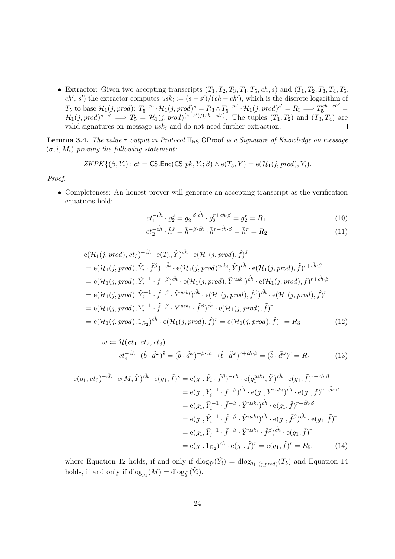• Extractor: Given two accepting transcripts  $(T_1, T_2, T_3, T_4, T_5, ch, s)$  and  $(T_1, T_2, T_3, T_4, T_5,$  $ch', s'$  the extractor computes  $usk_i := (s - s')/(ch - ch'),$  which is the discrete logarithm of  $T_5$  to base  $\mathcal{H}_1(j, prod)$ :  $T_5^{-ch} \cdot \mathcal{H}_1(j, prod)^s = R_3 \wedge T_5^{-ch'} \cdot \mathcal{H}_1(j, prod)^{s'} = R_3 \Longrightarrow T_5^{ch-ch'} =$  $\mathcal{H}_1(j, prod)^{s-s'} \implies T_5 = \mathcal{H}_1(j, prod)^{(s-s')/(ch-ch')}$ . The tuples  $(T_1, T_2)$  and  $(T_3, T_4)$  are valid signatures on message  $\mathit{usk}_i$  and do not need further extraction.  $\Box$ 

<span id="page-23-2"></span>**Lemma 3.4.** The value  $\tau$  output in Protocol  $\Pi_{\mathsf{RS}}$ . [OProof](#page-18-0) is a Signature of Knowledge on message  $(\sigma, i, M_i)$  proving the following statement:

$$
\operatorname{ZKPK}\{(\beta,\tilde{Y}_i)\colon ct=\text{CS}.\text{Enc}(\text{CS}.pk,\tilde{Y}_i;\beta)\wedge \text{e}(T_5,\tilde{Y})=\text{e}(\mathcal{H}_1(j,prod),\tilde{Y}_i).
$$

Proof.

• Completeness: An honest prover will generate an accepting transcript as the verification equations hold:

$$
ct_1^{-\hat{c}\hat{h}} \cdot g_2^{\hat{s}} = g_2^{-\beta \cdot \hat{c}\hat{h}} \cdot g_2^{r + \hat{c}\hat{h} \cdot \beta} = g_2^r = R_1 \tag{10}
$$

<span id="page-23-0"></span>
$$
ct_2^{-\hat{c}\hat{h}} \cdot \tilde{h}^{\hat{s}} = \tilde{h}^{-\beta \cdot \hat{c}\hat{h}} \cdot \tilde{h}^{r + \hat{c}\hat{h} \cdot \beta} = \tilde{h}^r = R_2 \tag{11}
$$

$$
e(\mathcal{H}_1(j,prod), ct_3)^{-\hat{c}\hat{h}} \cdot e(T_5, \tilde{Y})^{\hat{c}\hat{h}} \cdot e(\mathcal{H}_1(j,prod), \tilde{f})^{\hat{s}}
$$
  
\n
$$
= e(\mathcal{H}_1(j,prod), \tilde{Y}_i \cdot \tilde{f}^{\beta})^{-\hat{c}\hat{h}} \cdot e(\mathcal{H}_1(j,prod)^{usk_i}, \tilde{Y})^{\hat{c}\hat{h}} \cdot e(\mathcal{H}_1(j,prod), \tilde{f})^{r+\hat{c}\hat{h}\cdot\beta}
$$
  
\n
$$
= e(\mathcal{H}_1(j,prod), \tilde{Y}_i^{-1} \cdot \tilde{f}^{-\beta})^{\hat{c}\hat{h}} \cdot e(\mathcal{H}_1(j,prod), \tilde{Y}^{usk_i})^{\hat{c}\hat{h}} \cdot e(\mathcal{H}_1(j,prod), \tilde{f})^{r+\hat{c}\hat{h}\cdot\beta}
$$
  
\n
$$
= e(\mathcal{H}_1(j,prod), \tilde{Y}_i^{-1} \cdot \tilde{f}^{-\beta} \cdot \tilde{Y}^{usk_i})^{\hat{c}\hat{h}} \cdot e(\mathcal{H}_1(j,prod), \tilde{f}^{\beta})^{\hat{c}\hat{h}} \cdot e(\mathcal{H}_1(j,prod), \tilde{f})^r
$$
  
\n
$$
= e(\mathcal{H}_1(j,prod), \tilde{Y}_i^{-1} \cdot \tilde{f}^{-\beta} \cdot \tilde{Y}^{usk_i} \cdot \tilde{f}^{\beta})^{\hat{c}\hat{h}} \cdot e(\mathcal{H}_1(j,prod), \tilde{f})^r
$$
  
\n
$$
= e(\mathcal{H}_1(j,prod), \tilde{Y}_i^{-1} \cdot \tilde{f}^{-\beta} \cdot \tilde{Y}^{usk_i} \cdot \tilde{f}^{\beta})^{\hat{c}\hat{h}} \cdot e(\mathcal{H}_1(j,prod), \tilde{f})^r
$$
  
\n
$$
= e(\mathcal{H}_1(j,prod), \tilde{I}_{\mathbb{G}_2})^{\hat{c}\hat{h}} \cdot e(\mathcal{H}_1(j,prod), \tilde{f})^r = e(\mathcal{H}_1(j,prod), \tilde{f})^r = R_3
$$
 (12)

<span id="page-23-1"></span>
$$
\omega := \mathcal{H}(ct_1, ct_2, ct_3)
$$
  

$$
ct_4^{-c\hat{h}} \cdot (\tilde{b} \cdot \tilde{d}^{\omega})^{\hat{s}} = (\tilde{b} \cdot \tilde{d}^{\omega})^{-\beta \cdot c\hat{h}} \cdot (\tilde{b} \cdot \tilde{d}^{\omega})^{r + c\hat{h} \cdot \beta} = (\tilde{b} \cdot \tilde{d}^{\omega})^{r} = R_4
$$
 (13)

$$
e(g_1, ct_3)^{-c\hat{h}} \cdot e(M, \tilde{Y})^{\hat{c}\hat{h}} \cdot e(g_1, \tilde{f})^{\hat{s}} = e(g_1, \tilde{Y}_i \cdot \tilde{f}^{\beta})^{-c\hat{h}} \cdot e(g_1^{\text{usk}_i}, \tilde{Y})^{\hat{c}\hat{h}} \cdot e(g_1, \tilde{f})^{r + c\hat{h} \cdot \beta}
$$
  
\n
$$
= e(g_1, \tilde{Y}_i^{-1} \cdot \tilde{f}^{-\beta})^{\hat{c}\hat{h}} \cdot e(g_1, \tilde{Y}^{usk_i})^{\hat{c}\hat{h}} \cdot e(g_1, \tilde{f})^{r + c\hat{h} \cdot \beta}
$$
  
\n
$$
= e(g_1, \tilde{Y}_i^{-1} \cdot \tilde{f}^{-\beta} \cdot \tilde{Y}^{usk_i})^{\hat{c}\hat{h}} \cdot e(g_1, \tilde{f})^{r + c\hat{h} \cdot \beta}
$$
  
\n
$$
= e(g_1, \tilde{Y}_i^{-1} \cdot \tilde{f}^{-\beta} \cdot \tilde{Y}^{usk_i})^{\hat{c}\hat{h}} \cdot e(g_1, \tilde{f})^{\hat{r}}
$$
  
\n
$$
= e(g_1, \tilde{Y}_i^{-1} \cdot \tilde{f}^{-\beta} \cdot \tilde{Y}^{usk_i} \cdot \tilde{f}^{\beta})^{\hat{c}\hat{h}} \cdot e(g_1, \tilde{f})^r
$$
  
\n
$$
= e(g_1, 1_{\mathbb{G}_2})^{\hat{c}\hat{h}} \cdot e(g_1, \tilde{f})^r = e(g_1, \tilde{f})^r = R_5,
$$
 (14)

where Equation [12](#page-23-0) holds, if and only if  $d\log_{\tilde{Y}}(\tilde{Y}_i) = d\log_{\mathcal{H}_1(j,prod)}(T_5)$  and Equation [14](#page-23-1) holds, if and only if  $\mathrm{dlog}_{g_1}(M) = \mathrm{dlog}_{\tilde{Y}}(\tilde{Y}_i)$ .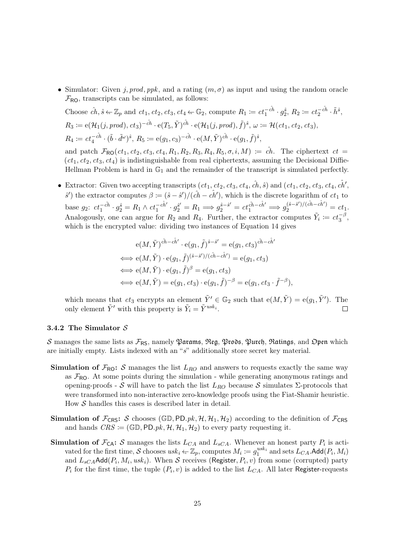• Simulator: Given j, prod, ppk, and a rating  $(m, \sigma)$  as input and using the random oracle  $\mathcal{F}_{\text{RO}}$ , transcripts can be simulated, as follows:

Choose 
$$
\hat{ch}, \hat{s} \leftarrow \mathbb{Z}_p
$$
 and  $ct_1, ct_2, ct_3, ct_4 \leftarrow \mathbb{G}_2$ , compute  $R_1 := ct_1^{-\hat{ch}} \cdot g_2^{\hat{s}}, R_2 := ct_2^{-\hat{ch}} \cdot \tilde{h}^{\hat{s}},$   
\n $R_3 := e(\mathcal{H}_1(j, prod), ct_3)^{-\hat{ch}} \cdot e(T_5, \tilde{Y})^{\hat{ch}} \cdot e(\mathcal{H}_1(j, prod), \tilde{f})^{\hat{s}}, \omega := \mathcal{H}(ct_1, ct_2, ct_3),$   
\n $R_4 := ct_4^{-\hat{ch}} \cdot (\tilde{b} \cdot \tilde{d}^{\omega})^{\hat{s}}, R_5 := e(g_1, c_3)^{-\hat{ch}} \cdot e(M, \tilde{Y})^{\hat{ch}} \cdot e(g_1, \tilde{f})^{\hat{s}},$ 

and patch  $\mathcal{F}_{\text{RO}}(ct_1, ct_2, ct_3, ct_4, R_1, R_2, R_3, R_4, R_5, \sigma, i, M) := ch$ . The ciphertext  $ct =$  $(ct_1, ct_2, ct_3, ct_4)$  is indistinguishable from real ciphertexts, assuming the Decisional Diffie-Hellman Problem is hard in  $\mathbb{G}_1$  and the remainder of the transcript is simulated perfectly.

• Extractor: Given two accepting transcripts  $(ct_1, ct_2, ct_3, ct_4, \hat{ch}, \hat{s})$  and  $(ct_1, ct_2, ct_3, ct_4, \hat{ch}',$  $\hat{s}'$ ) the extractor computes β :=  $(\hat{s} - \hat{s}')/(\hat{ch} - \hat{ch}')$ , which is the discrete logarithm of  $ct_1$  to base  $g_2$ :  $ct_1^{-\hat{c}\hat{h}} \cdot g_2^{\hat{s}} = R_1 \wedge ct_1^{-\hat{c}\hat{h}'} \cdot g_2^{\hat{s}'} = R_1 \Longrightarrow g_2^{\hat{s}-\hat{s}'} = ct_1^{\hat{c}\hat{h}-\hat{c}\hat{h}'} \Longrightarrow g_2^{(\hat{s}-\hat{s}')/(\hat{c}\hat{h}-\hat{c}\hat{h}')} = ct_1$ . Analogously, one can argue for  $R_2$  and  $R_4$ . Further, the extractor computes  $\tilde{Y}_i := ct_3^{-\beta}$ , which is the encrypted value: dividing two instances of Equation [14](#page-23-1) gives

$$
e(M, \tilde{Y})^{\hat{c}\hat{h}-\hat{c}\hat{h}'} \cdot e(g_1, \tilde{f})^{\hat{s}-\hat{s}'} = e(g_1, ct_3)^{\hat{c}\hat{h}-\hat{c}\hat{h}'}
$$
  
\n
$$
\iff e(M, \tilde{Y}) \cdot e(g_1, \tilde{f})^{(\hat{s}-\hat{s}')/(\hat{c}\hat{h}-\hat{c}\hat{h}')} = e(g_1, ct_3)
$$
  
\n
$$
\iff e(M, \tilde{Y}) \cdot e(g_1, \tilde{f})^{\beta} = e(g_1, ct_3)
$$
  
\n
$$
\iff e(M, \tilde{Y}) = e(g_1, ct_3) \cdot e(g_1, \tilde{f})^{-\beta} = e(g_1, ct_3 \cdot \tilde{f}^{-\beta}),
$$

which means that  $ct_3$  encrypts an element  $\tilde{Y}' \in \mathbb{G}_2$  such that  $e(M, \tilde{Y}) = e(g_1, \tilde{Y}')$ . The only element  $\tilde{Y}'$  with this property is  $\tilde{Y}_i = \tilde{Y}^{usk_i}$ .  $\Box$ 

### 3.4.2 The Simulator S

 $S$  manages the same lists as  $\mathcal{F}_{\sf RS}$  $\mathcal{F}_{\sf RS}$  $\mathcal{F}_{\sf RS}$ , namely Params, Reg, Prods, Purch, Ratings, and Open which are initially empty. Lists indexed with an "s" additionally store secret key material.

- Simulation of  $\mathcal{F}_{RO}$  $\mathcal{F}_{RO}$  $\mathcal{F}_{RO}$ : S manages the list  $L_{RO}$  and answers to requests exactly the same way as  $\mathcal{F}_{\text{RO}}$  $\mathcal{F}_{\text{RO}}$  $\mathcal{F}_{\text{RO}}$ . At some points during the simulation - while generating anonymous ratings and opening-proofs - S will have to patch the list  $L_{RO}$  because S simulates  $\Sigma$ -protocols that were transformed into non-interactive zero-knowledge proofs using the Fiat-Shamir heuristic. How  $S$  handles this cases is described later in detail.
- **Simulation of**  $\mathcal{F}_{CRS}$  $\mathcal{F}_{CRS}$  $\mathcal{F}_{CRS}$ : S chooses (GD, PD.pk, H, H<sub>1</sub>, H<sub>2</sub>) according to the definition of  $\mathcal{F}_{CRS}$ and hands  $CRS := (\mathbb{GD}, \mathsf{PD}.pk, \mathcal{H}, \mathcal{H}_1, \mathcal{H}_2)$  to every party requesting it.
- **Simulation of**  $\mathcal{F}_{CA}$  $\mathcal{F}_{CA}$  $\mathcal{F}_{CA}$ **:** S manages the lists  $L_{CA}$  and  $L_{sCA}$ . Whenever an honest party  $P_i$  is activated for the first time, S chooses  $usk_i \leftarrow \mathbb{Z}_p$ , computes  $M_i := g_1^{usk_i}$  and sets  $L_{CA}$ . Add $(P_i, M_i)$ and  $L_{sCA}$ Add $(P_i, M_i, usk_i)$ . When S receives (Register,  $P_i, v$ ) from some (corrupted) party  $P_i$  for the first time, the tuple  $(P_i, v)$  is added to the list  $L_{CA}$ . All later Register-requests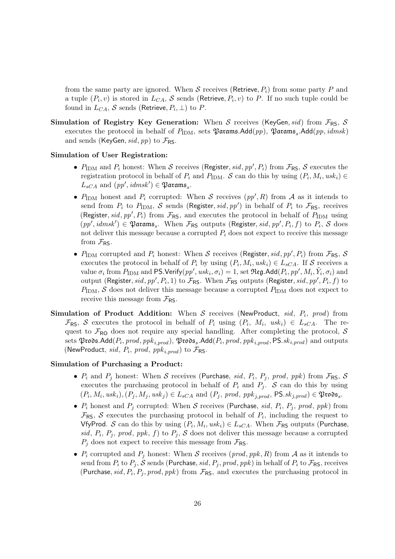from the same party are ignored. When S receives (Retrieve,  $P_i$ ) from some party P and a tuple  $(P_i, v)$  is stored in  $L_{CA}$ , S sends (Retrieve,  $P_i, v$ ) to P. If no such tuple could be found in  $L_{CA}$ ,  $\mathcal S$  sends (Retrieve,  $P_i$ ,  $\perp$ ) to  $P$ .

**Simulation of Registry Key Generation:** When S receives (KeyGen, sid) from  $\mathcal{F}_{RS}$  $\mathcal{F}_{RS}$  $\mathcal{F}_{RS}$ , S executes the protocol in behalf of  $P_{\rm{IDM}}$ , sets  $\mathfrak {Varams}.{\sf Add}(pp,\mathfrak {idmsk})$ and sends (KeyGen,  $sid, pp$ ) to  $\mathcal{F}_{RS}$  $\mathcal{F}_{RS}$  $\mathcal{F}_{RS}$ .

#### Simulation of User Registration:

- $P_{\text{IDM}}$  and  $P_i$  honest: When S receives (Register, sid, pp',  $P_i$ ) from  $\mathcal{F}_{\text{RS}}$  $\mathcal{F}_{\text{RS}}$  $\mathcal{F}_{\text{RS}}$ , S executes the registration protocol in behalf of  $P_i$  and  $P_{IDM}$ . S can do this by using  $(P_i, M_i, usk_i)$  $L_{sCA}$  and  $(pp',idmsk') \in \mathfrak{Params}_s$ .
- $P_{\text{IDM}}$  honest and  $P_i$  corrupted: When S receives  $(pp', R)$  from A as it intends to send from  $P_i$  to  $P_{\text{IDM}}$ , S sends (Register, sid, pp') in behalf of  $P_i$  to  $\mathcal{F}_{\text{RS}}$  $\mathcal{F}_{\text{RS}}$  $\mathcal{F}_{\text{RS}}$ , receives (Register, sid,  $pp', P_i$ ) from  $\mathcal{F}_{RS}$  $\mathcal{F}_{RS}$  $\mathcal{F}_{RS}$ , and executes the protocol in behalf of  $P_{IDM}$  using  $(pp',idmsk') \in \mathfrak{Params}_s$ . When  $\mathcal{F}_{\mathsf{RS}}$  $\mathcal{F}_{\mathsf{RS}}$  $\mathcal{F}_{\mathsf{RS}}$  outputs (Register, sid, pp',  $P_i$ , f) to  $P_i$ , S does not deliver this message because a corrupted  $P_i$  does not expect to receive this message from  $\mathcal{F}_{RS}$  $\mathcal{F}_{RS}$  $\mathcal{F}_{RS}$ .
- $P_{\text{IDM}}$  corrupted and  $P_i$  honest: When S receives (Register, sid, pp',  $P_i$ ) from  $\mathcal{F}_{\text{RS}}, \mathcal{S}$  $\mathcal{F}_{\text{RS}}, \mathcal{S}$  $\mathcal{F}_{\text{RS}}, \mathcal{S}$ executes the protocol in behalf of  $P_i$  by using  $(P_i, M_i, usk_i) \in L_{sCA}$ . If S receives a value  $\sigma_i$  from  $P_{\rm{IDM}}$  and PS.Verify $(pp',usk_i,\sigma_i)=1,$  set Reg.Add $(P_i,pp',M_i,\tilde{Y}_i,\sigma_i)$  and output (Register, sid,  $pp', P_i, 1)$  to  $\mathcal{F}_{\mathsf{RS}}$  $\mathcal{F}_{\mathsf{RS}}$  $\mathcal{F}_{\mathsf{RS}}$ . When  $\mathcal{F}_{\mathsf{RS}}$  outputs (Register, sid,  $pp', P_i, f$ ) to  $P_{\text{IDM}}$ , S does not deliver this message because a corrupted  $P_{\text{IDM}}$  does not expect to receive this message from  $\mathcal{F}_{RS}$  $\mathcal{F}_{RS}$  $\mathcal{F}_{RS}$ .
- Simulation of Product Addition: When S receives (NewProduct, sid,  $P_i$ , prod) from  $\mathcal{F}_{\mathsf{RS}},$  $\mathcal{F}_{\mathsf{RS}},$  $\mathcal{F}_{\mathsf{RS}},$  S executes the protocol in behalf of  $P_i$  using  $(P_i, M_i, \text{usk}_i) \in L_{sCA}$ . The request to  $\mathcal{F}_{RO}$  $\mathcal{F}_{RO}$  $\mathcal{F}_{RO}$  does not require any special handling. After completing the protocol, S sets Prods.Add $(P_i, prod, \allowbreak \mathit{ppk}_{i, \allowbreak \mathit{prod}})$ , Prods $_s$ .Add $(P_i, \mathit{prod}, \mathit{ppk}_{i, \allowbreak \mathit{prod}}, \mathsf{PS}.{\mathit{sk}}_{i, \allowbreak \mathit{prod}})$  and outputs (NewProduct, sid,  $P_i$ , prod, pp $k_{i,prod}$ ) to  $\mathcal{F}_{\sf RS}$  $\mathcal{F}_{\sf RS}$  $\mathcal{F}_{\sf RS}$ .

#### Simulation of Purchasing a Product:

- $P_i$  and  $P_j$  honest: When S receives (Purchase, sid,  $P_i$ ,  $P_j$ , prod, ppk) from  $\mathcal{F}_{RS}$  $\mathcal{F}_{RS}$  $\mathcal{F}_{RS}$ , S executes the purchasing protocol in behalf of  $P_i$  and  $P_j$ . S can do this by using  $(P_i, M_i, usk_i), (P_j, M_j, usk_j) \in L_{sCA}$  and  $(P_j, \text{prod}, \text{ppk}_{j, \text{prod}}, \text{PS}.sk_{j, \text{prod}}) \in \mathfrak{P}$ ro $\mathfrak{ds}_s$ .
- $P_i$  honest and  $P_j$  corrupted: When S receives (Purchase, sid,  $P_i$ ,  $P_j$ , prod, ppk) from  $\mathcal{F}_{\mathsf{RS}},$  $\mathcal{F}_{\mathsf{RS}},$  $\mathcal{F}_{\mathsf{RS}},$  S executes the purchasing protocol in behalf of  $P_i$ , including the request to VfyProd. S can do this by using  $(P_i, M_i, usk_i) \in L_{sCA}$ . When  $\mathcal{F}_{\sf RS}$  $\mathcal{F}_{\sf RS}$  $\mathcal{F}_{\sf RS}$  outputs (Purchase, sid,  $P_i$ ,  $P_j$ , prod, ppk, f) to  $P_j$ , S does not deliver this message because a corrupted  $P_i$  does not expect to receive this message from  $\mathcal{F}_{RS}$  $\mathcal{F}_{RS}$  $\mathcal{F}_{RS}$ .
- $P_i$  corrupted and  $P_j$  honest: When S receives  $(pred, ppk, R)$  from A as it intends to send from  $P_i$  to  $P_j$ , S sends (Purchase, sid,  $P_j$ , prod, ppk) in behalf of  $P_i$  to  $\mathcal{F}_{RS}$  $\mathcal{F}_{RS}$  $\mathcal{F}_{RS}$ , receives (Purchase, sid,  $P_i$ ,  $P_j$ , prod, ppk) from  $\mathcal{F}_{\mathsf{RS}}$  $\mathcal{F}_{\mathsf{RS}}$  $\mathcal{F}_{\mathsf{RS}}$ , and executes the purchasing protocol in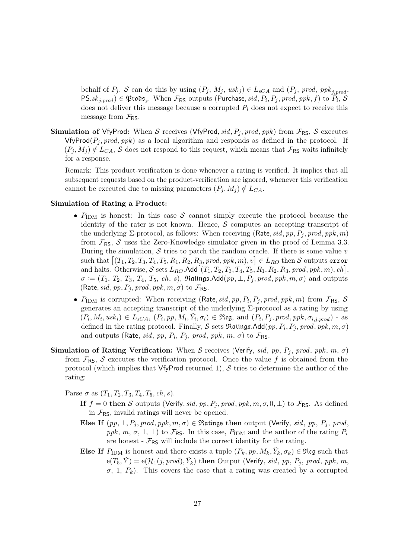behalf of  $P_j$ . S can do this by using  $(P_j, M_j, usk_j) \in L_{sCA}$  and  $(P_j, prod, ppk_{j,prod})$  $PS.\mathit{sk}_{j,prod}) \in \mathfrak{Proos}_s$ . When  $\mathcal{F}_{\mathsf{RS}}$  $\mathcal{F}_{\mathsf{RS}}$  $\mathcal{F}_{\mathsf{RS}}$  outputs (Purchase,  $sid, P_i, P_j, prod, ppk, f)$  to  $P_i, S$ does not deliver this message because a corrupted  $P_i$  does not expect to receive this message from  $\mathcal{F}_{RS}$  $\mathcal{F}_{RS}$  $\mathcal{F}_{RS}$ .

**Simulation of VfyProd:** When S receives (VfyProd, sid,  $P_i$ , prod, ppk) from  $\mathcal{F}_{RS}$  $\mathcal{F}_{RS}$  $\mathcal{F}_{RS}$ , S executes VfyProd( $P_i$ , prod, ppk) as a local algorithm and responds as defined in the protocol. If  $(P_j, M_j) \notin L_{CA}$ , S does not respond to this request, which means that  $\mathcal{F}_{RS}$  $\mathcal{F}_{RS}$  $\mathcal{F}_{RS}$  waits infinitely for a response.

Remark: This product-verification is done whenever a rating is verified. It implies that all subsequent requests based on the product-verification are ignored, whenever this verification cannot be executed due to missing parameters  $(P_j, M_j) \notin L_{CA}$ .

#### Simulation of Rating a Product:

- $P_{\text{IDM}}$  is honest: In this case S cannot simply execute the protocol because the identity of the rater is not known. Hence,  $S$  computes an accepting transcript of the underlying  $\Sigma$ -protocol, as follows: When receiving (Rate, sid, pp,  $P_i$ , prod, ppk, m) from  $\mathcal{F}_{RS}$  $\mathcal{F}_{RS}$  $\mathcal{F}_{RS}$ , S uses the Zero-Knowledge simulator given in the proof of Lemma [3.3.](#page-22-0) During the simulation,  $S$  tries to patch the random oracle. If there is some value v such that  $\big[(T_1, T_2, T_3, T_4, T_5, R_1, R_2, R_3, \textit{prod}, \textit{ppk}, m), v\big] \in L_{RO}$  then  $\mathcal S$  outputs  $\mathtt{error}$ and halts. Otherwise, S sets  $L_{RO}$  Add  $[(T_1, T_2, T_3, T_4, T_5, R_1, R_2, R_3, prod, ppk, m), ch],$  $\sigma \coloneqq (T_1, T_2, T_3, T_4, T_5, ch, s)$ , Ratings.Add $(pp, \perp, P_j, prod, ppk, m, \sigma)$  and outputs (Rate, sid, pp,  $P_j$ , prod, ppk,  $m, \sigma$ ) to  $\mathcal{F}_{\mathsf{RS}}$  $\mathcal{F}_{\mathsf{RS}}$  $\mathcal{F}_{\mathsf{RS}}$ .
- $P_{\text{IDM}}$  is corrupted: When receiving (Rate, sid, pp,  $P_i$ ,  $P_j$ , prod, ppk, m) from  $\mathcal{F}_{\text{RS}}$  $\mathcal{F}_{\text{RS}}$  $\mathcal{F}_{\text{RS}}$ , S generates an accepting transcript of the underlying  $\Sigma$ -protocol as a rating by using  $(P_i, M_i, usk_i) \in L_{sCA}, (P_i, pp, M_i, \tilde{Y}_i, \sigma_i) \in \mathfrak{Reg}$ , and  $(P_i, P_j, prod, ppk, \sigma_{i,j, prod})$  - as defined in the rating protocol. Finally, S sets Ratings.Add $(pp, P_i, P_j, prod, ppk, m, \sigma)$ and outputs (Rate, sid, pp,  $P_i$ ,  $P_j$ , prod, ppk,  $m$ ,  $\sigma$ ) to  $\mathcal{F}_{\mathsf{RS}}$  $\mathcal{F}_{\mathsf{RS}}$  $\mathcal{F}_{\mathsf{RS}}$ .
- **Simulation of Rating Verification:** When S receives (Verify, sid, pp,  $P_j$ , prod, ppk, m,  $\sigma$ ) from  $\mathcal{F}_{RS}$  $\mathcal{F}_{RS}$  $\mathcal{F}_{RS}$ , S executes the verification protocol. Once the value f is obtained from the protocol (which implies that VfyProd returned 1),  $\mathcal S$  tries to determine the author of the rating:
	- Parse  $\sigma$  as  $(T_1, T_2, T_3, T_4, T_5, ch, s)$ .
		- If  $f = 0$  then S outputs (Verify, sid, pp,  $P_i$ , prod, ppk,  $m, \sigma, 0, \perp$ ) to  $\mathcal{F}_{RS}$  $\mathcal{F}_{RS}$  $\mathcal{F}_{RS}$ . As defined in  $\mathcal{F}_{RS}$  $\mathcal{F}_{RS}$  $\mathcal{F}_{RS}$ , invalid ratings will never be opened.
		- Else If  $(pp, \perp, P_i, prod, ppk, m, \sigma) \in$  Ratings then output (Verify, sid, pp, P<sub>j</sub>, prod, ppk, m,  $\sigma$ , 1,  $\perp$ ) to  $\mathcal{F}_{RS}$  $\mathcal{F}_{RS}$  $\mathcal{F}_{RS}$ . In this case,  $P_{IDM}$  and the author of the rating  $P_i$ are honest -  $\mathcal{F}_{RS}$  $\mathcal{F}_{RS}$  $\mathcal{F}_{RS}$  will include the correct identity for the rating.
		- Else If  $P_{\text{IDM}}$  is honest and there exists a tuple  $(P_k, pp, M_k, \tilde{Y}_k, \sigma_k) \in \mathfrak{Reg}$  such that  ${\rm e}(T_5,\tilde Y)={\rm e}(\mathcal{H}_1(j,prod),\tilde Y_k)$  then Output (Verify,  $sid,\,pp,\,P_j,\,prod,\,ppk,\,m,$  $\sigma$ , 1,  $P_k$ ). This covers the case that a rating was created by a corrupted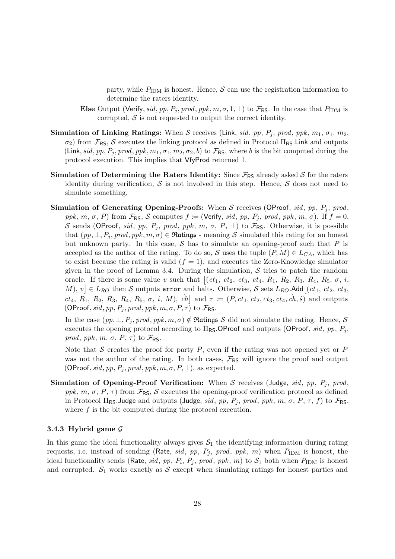party, while  $P_{\text{IDM}}$  is honest. Hence, S can use the registration information to determine the raters identity.

- Else Output (Verify, sid, pp,  $P_i$ , prod, ppk,  $m, \sigma, 1, \perp$ ) to  $\mathcal{F}_{RS}$  $\mathcal{F}_{RS}$  $\mathcal{F}_{RS}$ . In the case that  $P_{IDM}$  is corrupted,  $S$  is not requested to output the correct identity.
- **Simulation of Linking Ratings:** When S receives (Link, sid, pp,  $P_j$ , prod, ppk,  $m_1$ ,  $\sigma_1$ ,  $m_2$ ,  $\sigma_2$ ) from  $\mathcal{F}_{RS}$  $\mathcal{F}_{RS}$  $\mathcal{F}_{RS}$ , S executes the linking protocol as defined in Protocol  $\Pi_{RS}$ . [Link](#page-18-1) and outputs (Link, sid, pp,  $P_j$ , prod, ppk,  $m_1, \sigma_1, m_2, \sigma_2, b$ ) to  $\mathcal{F}_{\mathsf{RS}}$  $\mathcal{F}_{\mathsf{RS}}$  $\mathcal{F}_{\mathsf{RS}}$ , where b is the bit computed during the protocol execution. This implies that VfyProd returned 1.
- **Simulation of Determining the Raters Identity:** Since  $\mathcal{F}_{RS}$  $\mathcal{F}_{RS}$  $\mathcal{F}_{RS}$  already asked S for the raters identity during verification,  $\mathcal S$  is not involved in this step. Hence,  $\mathcal S$  does not need to simulate something.
- **Simulation of Generating Opening-Proofs:** When S receives (OProof, sid, pp,  $P_i$ , prod, ppk, m,  $\sigma$ , P) from  $\mathcal{F}_{RS}$  $\mathcal{F}_{RS}$  $\mathcal{F}_{RS}$ , S computes  $f :=$  (Verify, sid, pp,  $P_i$ , prod, ppk, m,  $\sigma$ ). If  $f = 0$ , S sends (OProof, sid, pp,  $P_j$ , prod, ppk, m,  $\sigma$ ,  $P$ ,  $\perp$ ) to  $\mathcal{F}_{RS}$  $\mathcal{F}_{RS}$  $\mathcal{F}_{RS}$ . Otherwise, it is possible that  $(pp, \perp, P_j, prod, ppk, m, \sigma) \in \Re{\mathfrak{atings}}$  - meaning S simulated this rating for an honest but unknown party. In this case,  $S$  has to simulate an opening-proof such that  $P$  is accepted as the author of the rating. To do so, S uses the tuple  $(P, M) \in L_{CA}$ , which has to exist because the rating is valid  $(f = 1)$ , and executes the Zero-Knowledge simulator given in the proof of Lemma [3.4.](#page-23-2) During the simulation,  $S$  tries to patch the random oracle. If there is some value v such that  $[(ct_1, ct_2, ct_3, ct_4, R_1, R_2, R_3, R_4, R_5, \sigma, i,$ M),  $v \in L_{RO}$  then S outputs error and halts. Otherwise, S sets  $L_{RO}$ . Add  $[(ct_1, ct_2, ct_3,$ ct<sub>4</sub>,  $R_1$ ,  $R_2$ ,  $R_3$ ,  $R_4$ ,  $R_5$ ,  $\sigma$ , *i*, *M*),  $c\hat{h}$  and  $\tau := (P, ct_1, ct_2, ct_3, ct_4, c\hat{h}, \hat{s})$  and outputs (OProof, sid, pp,  $P_j$ , prod, ppk,  $m, \sigma, P, \tau$ ) to  $\mathcal{F}_{\text{RS}}$  $\mathcal{F}_{\text{RS}}$  $\mathcal{F}_{\text{RS}}$ .

In the case  $(pp, \perp, P_j, prod, ppk, m, \sigma) \notin \mathfrak{R}$  atings S did not simulate the rating. Hence, S executes the opening protocol according to  $\Pi_{\mathsf{RS}}$ . [OProof](#page-18-0) and outputs (OProof, sid, pp,  $P_j$ , prod, ppk, m,  $\sigma$ , P,  $\tau$ ) to  $\mathcal{F}_{\text{RS}}$  $\mathcal{F}_{\text{RS}}$  $\mathcal{F}_{\text{RS}}$ .

Note that S creates the proof for party  $P$ , even if the rating was not opened yet or  $P$ was not the author of the rating. In both cases,  $\mathcal{F}_{RS}$  $\mathcal{F}_{RS}$  $\mathcal{F}_{RS}$  will ignore the proof and output (OProof, sid, pp,  $P_j$ , prod, ppk,  $m, \sigma, P, \perp$ ), as expected.

Simulation of Opening-Proof Verification: When S receives (Judge, sid, pp,  $P_j$ , prod, ppk, m,  $\sigma$ , P,  $\tau$ ) from  $\mathcal{F}_{RS}$  $\mathcal{F}_{RS}$  $\mathcal{F}_{RS}$ , S executes the opening-proof verification protocol as defined in Protocol  $\Pi_{RS}$ . [Judge](#page-19-1) and outputs (Judge, sid, pp,  $P_j$ , prod, ppk, m,  $\sigma$ ,  $P$ ,  $\tau$ ,  $f$ ) to  $\mathcal{F}_{RS}$  $\mathcal{F}_{RS}$  $\mathcal{F}_{RS}$ , where  $f$  is the bit computed during the protocol execution.

#### 3.4.3 Hybrid game  $\mathcal G$

In this game the ideal functionality always gives  $S_1$  the identifying information during rating requests, i.e. instead of sending (Rate, sid, pp,  $P_j$ , prod, ppk, m) when  $P_{\text{IDM}}$  is honest, the ideal functionality sends (Rate, *sid*, pp,  $P_i$ ,  $P_j$ , prod, ppk, m) to  $S_1$  both when  $P_{\text{IDM}}$  is honest and corrupted.  $S_1$  works exactly as S except when simulating ratings for honest parties and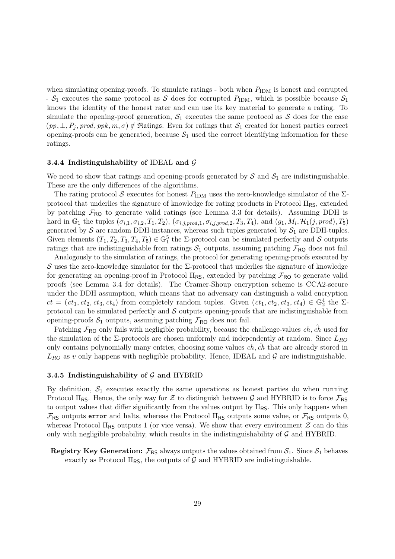when simulating opening-proofs. To simulate ratings - both when  $P_{IDM}$  is honest and corrupted -  $S_1$  executes the same protocol as S does for corrupted  $P_{\text{IDM}}$ , which is possible because  $S_1$ knows the identity of the honest rater and can use its key material to generate a rating. To simulate the opening-proof generation,  $S_1$  executes the same protocol as S does for the case  $(pp, \perp, P_i, prod, ppk, m, \sigma) \notin \mathfrak{R}$ atings. Even for ratings that  $\mathcal{S}_1$  created for honest parties correct opening-proofs can be generated, because  $S_1$  used the correct identifying information for these ratings.

### 3.4.4 Indistinguishability of IDEAL and  $G$

We need to show that ratings and opening-proofs generated by  $S$  and  $S_1$  are indistinguishable. These are the only differences of the algorithms.

The rating protocol S executes for honest  $P_{\text{IDM}}$  uses the zero-knowledge simulator of the  $\Sigma$ protocol that underlies the signature of knowledge for rating products in Protocol  $\Pi_{\mathsf{RS}}$ , extended by patching  $\mathcal{F}_{RO}$  $\mathcal{F}_{RO}$  $\mathcal{F}_{RO}$  to generate valid ratings (see Lemma [3.3](#page-22-0) for details). Assuming DDH is hard in  $\mathbb{G}_1$  the tuples  $(\sigma_{i,1}, \sigma_{i,2}, T_1, T_2)$ ,  $(\sigma_{i,j,prod,1}, \sigma_{i,j,prod,2}, T_3, T_4)$ , and  $(g_1, M_i, \mathcal{H}_1(j, prod), T_5)$ generated by  $S$  are random DDH-instances, whereas such tuples generated by  $S_1$  are DDH-tuples. Given elements  $(T_1, T_2, T_3, T_4, T_5) \in \mathbb{G}_1^5$  the  $\Sigma$ -protocol can be simulated perfectly and S outputs ratings that are indistinguishable from ratings  $S_1$  outputs, assuming patching  $\mathcal{F}_{\text{RO}}$  $\mathcal{F}_{\text{RO}}$  $\mathcal{F}_{\text{RO}}$  does not fail.

Analogously to the simulation of ratings, the protocol for generating opening-proofs executed by S uses the zero-knowledge simulator for the  $\Sigma$ -protocol that underlies the signature of knowledge for generating an opening-proof in Protocol  $\Pi_{\mathsf{RS}}$ , extended by patching  $\mathcal{F}_{\mathsf{RO}}$  $\mathcal{F}_{\mathsf{RO}}$  $\mathcal{F}_{\mathsf{RO}}$  to generate valid proofs (see Lemma [3.4](#page-23-2) for details). The Cramer-Shoup encryption scheme is CCA2-secure under the DDH assumption, which means that no adversary can distinguish a valid encryption  $ct = (ct_1, ct_2, ct_3, ct_4)$  from completely random tuples. Given  $(ct_1, ct_2, ct_3, ct_4) \in \mathbb{G}_2^4$  the  $\Sigma$ protocol can be simulated perfectly and  $\mathcal S$  outputs opening-proofs that are indistinguishable from opening-proofs  $S_1$  outputs, assuming patching  $\mathcal{F}_{\text{RO}}$  $\mathcal{F}_{\text{RO}}$  $\mathcal{F}_{\text{RO}}$  does not fail.

Patching  $\mathcal{F}_{\text{RO}}$  $\mathcal{F}_{\text{RO}}$  $\mathcal{F}_{\text{RO}}$  only fails with negligible probability, because the challenge-values  $ch, c\hat{h}$  used for the simulation of the  $\Sigma$ -protocols are chosen uniformly and independently at random. Since  $L_{RO}$ only contains polynomially many entries, choosing some values  $ch, c\hat{h}$  that are already stored in  $L_{RO}$  as v only happens with negligible probability. Hence, IDEAL and  $\mathcal G$  are indistinguishable.

#### 3.4.5 Indistinguishability of  $\mathcal G$  and HYBRID

By definition,  $S_1$  executes exactly the same operations as honest parties do when running Protocol  $\Pi_{\mathsf{RS}}$ . Hence, the only way for Z to distinguish between G and HYBRID is to force  $\mathcal{F}_{\mathsf{RS}}$  $\mathcal{F}_{\mathsf{RS}}$  $\mathcal{F}_{\mathsf{RS}}$ to output values that differ significantly from the values output by  $\Pi_{\mathsf{RS}}$ . This only happens when  $\mathcal{F}_{RS}$  $\mathcal{F}_{RS}$  $\mathcal{F}_{RS}$  outputs error and halts, whereas the Protocol  $\Pi_{RS}$  outputs some value, or  $\mathcal{F}_{RS}$  outputs 0, whereas Protocol  $\Pi_{\mathsf{RS}}$  outputs 1 (or vice versa). We show that every environment  $\mathcal Z$  can do this only with negligible probability, which results in the indistinguishability of  $\mathcal G$  and HYBRID.

**Registry Key Generation:**  $\mathcal{F}_{RS}$  $\mathcal{F}_{RS}$  $\mathcal{F}_{RS}$  always outputs the values obtained from  $\mathcal{S}_1$ . Since  $\mathcal{S}_1$  behaves exactly as Protocol  $\Pi_{\mathsf{RS}}$ , the outputs of G and HYBRID are indistinguishable.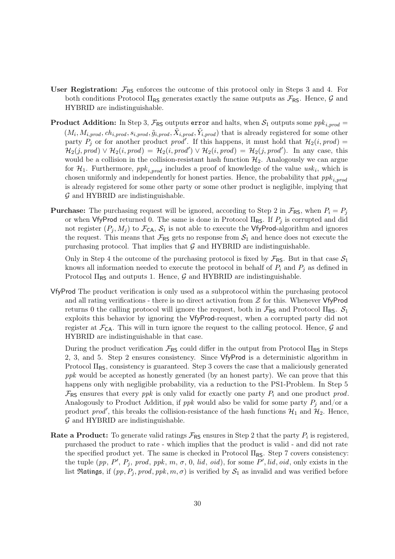- User Registration:  $\mathcal{F}_{RS}$  $\mathcal{F}_{RS}$  $\mathcal{F}_{RS}$  enforces the outcome of this protocol only in Steps [3](#page-5-4) and [4.](#page-5-5) For both conditions Protocol  $\Pi_{\mathsf{RS}}$  generates exactly the same outputs as  $\mathcal{F}_{\mathsf{RS}}$  $\mathcal{F}_{\mathsf{RS}}$  $\mathcal{F}_{\mathsf{RS}}$ . Hence,  $\mathcal G$  and HYBRID are indistinguishable.
- **Product Addition:** In Step [3,](#page-6-3)  $\mathcal{F}_{RS}$  $\mathcal{F}_{RS}$  $\mathcal{F}_{RS}$  outputs error and halts, when  $\mathcal{S}_1$  outputs some  $ppk_{i,prod}$  $(M_i, M_{i,prod}, ch_{i,prod}, S_{i,prod}, \tilde{X}_{i,prod}, \tilde{Y}_{i,prod})$  that is already registered for some other party  $P_j$  or for another product prod'. If this happens, it must hold that  $\mathcal{H}_2(i, prod)$  =  $\mathcal{H}_2(j, prod) \vee \mathcal{H}_2(i, prod) = \mathcal{H}_2(i, prod') \vee \mathcal{H}_2(i, prod) = \mathcal{H}_2(j, prod')$ . In any case, this would be a collision in the collision-resistant hash function  $\mathcal{H}_2$ . Analogously we can argue for  $\mathcal{H}_1$ . Furthermore,  $ppk_{i,prod}$  includes a proof of knowledge of the value  $usk_i$ , which is chosen uniformly and independently for honest parties. Hence, the probability that  $ppk_{i,prod}$ is already registered for some other party or some other product is negligible, implying that  $\mathcal G$  and HYBRID are indistinguishable.
- **Purchase:** The purchasing request will be ignored, according to Step [2](#page-6-4) in  $\mathcal{F}_{RS}$  $\mathcal{F}_{RS}$  $\mathcal{F}_{RS}$ , when  $P_i = P_j$ or when [VfyProd](#page-6-0) returned 0. The same is done in Protocol  $\Pi_{\mathsf{RS}}$ . If  $P_j$  is corrupted and did not register  $(P_j, M_j)$  to  $\mathcal{F}_{CA}$  $\mathcal{F}_{CA}$  $\mathcal{F}_{CA}$ ,  $\mathcal{S}_1$  is not able to execute the VfyProd-algorithm and ignores the request. This means that  $\mathcal{F}_{RS}$  $\mathcal{F}_{RS}$  $\mathcal{F}_{RS}$  gets no response from  $\mathcal{S}_1$  and hence does not execute the purchasing protocol. That implies that  $G$  and HYBRID are indistinguishable.

Only in Step [4](#page-6-5) the outcome of the purchasing protocol is fixed by  $\mathcal{F}_{RS}$  $\mathcal{F}_{RS}$  $\mathcal{F}_{RS}$ . But in that case  $\mathcal{S}_1$ knows all information needed to execute the protocol in behalf of  $P_i$  and  $P_j$  as defined in Protocol  $\Pi_{\mathsf{RS}}$  and outputs 1. Hence,  $\mathcal G$  and HYBRID are indistinguishable.

[VfyProd](#page-6-0) The product verification is only used as a subprotocol within the purchasing protocol and all rating verifications - there is no direct activation from  $\mathcal Z$  for this. Whenever [VfyProd](#page-6-0) returns 0 the calling protocol will ignore the request, both in  $\mathcal{F}_{RS}$  $\mathcal{F}_{RS}$  $\mathcal{F}_{RS}$  and Protocol  $\Pi_{RS}$ .  $\mathcal{S}_1$ exploits this behavior by ignoring the VfyProd-request, when a corrupted party did not register at  $\mathcal{F}_{CA}$  $\mathcal{F}_{CA}$  $\mathcal{F}_{CA}$ . This will in turn ignore the request to the calling protocol. Hence,  $\mathcal{G}$  and HYBRID are indistinguishable in that case.

During the product verification  $\mathcal{F}_{RS}$  $\mathcal{F}_{RS}$  $\mathcal{F}_{RS}$  could differ in the output from Protocol  $\Pi_{RS}$  in Steps [2,](#page-6-6) [3,](#page-6-7) and [5.](#page-6-8) Step [2](#page-6-6) ensures consistency. Since VfyProd is a deterministic algorithm in Protocol  $\Pi_{\mathsf{RS}}$ , consistency is guaranteed. Step [3](#page-6-7) covers the case that a maliciously generated  $ppk$  would be accepted as honestly generated (by an honest party). We can prove that this happens only with negligible probability, via a reduction to the PS1-Problem. In Step [5](#page-6-8)  $\mathcal{F}_{RS}$  $\mathcal{F}_{RS}$  $\mathcal{F}_{RS}$  ensures that every ppk is only valid for exactly one party  $P_i$  and one product prod. Analogously to Product Addition, if ppk would also be valid for some party  $P_i$  and/or a product *prod'*, this breaks the collision-resistance of the hash functions  $\mathcal{H}_1$  and  $\mathcal{H}_2$ . Hence,  $\mathcal G$  and HYBRID are indistinguishable.

**Rate a Product:** To generate valid ratings  $\mathcal{F}_{\textsf{RS}}$  $\mathcal{F}_{\textsf{RS}}$  $\mathcal{F}_{\textsf{RS}}$  ensures in Step [2](#page-6-9) that the party  $P_i$  is registered, purchased the product to rate - which implies that the product is valid - and did not rate the specified product yet. The same is checked in Protocol  $\Pi_{RS}$ . Step [7](#page-6-10) covers consistency: the tuple  $(pp, P', P_j, prod, ppk, m, \sigma, 0, lid, oid),$  for some  $P', lid, oid, only exists in the$ list Ratings, if  $(pp, P_i, prod, ppk, m, \sigma)$  is verified by  $S_1$  as invalid and was verified before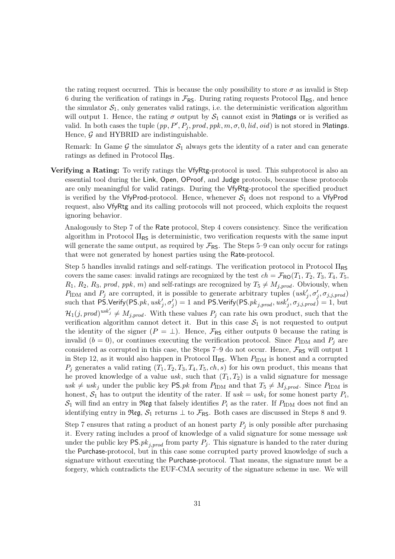the rating request occurred. This is because the only possibility to store  $\sigma$  as invalid is Step [6](#page-7-6) during the verification of ratings in  $\mathcal{F}_{RS}$  $\mathcal{F}_{RS}$  $\mathcal{F}_{RS}$ . During rating requests Protocol  $\Pi_{RS}$ , and hence the simulator  $S_1$ , only generates valid ratings, i.e. the deterministic verification algorithm will output 1. Hence, the rating  $\sigma$  output by  $S_1$  cannot exist in Ratings or is verified as valid. In both cases the tuple  $(pp, P', P_j, prod, ppk, m, \sigma, 0, lid, oid)$  is not stored in Ratings. Hence,  $\mathcal G$  and HYBRID are indistinguishable.

Remark: In Game G the simulator  $S_1$  always gets the identity of a rater and can generate ratings as defined in Protocol  $\Pi_{\mathsf{RS}}$ .

Verifying a Rating: To verify ratings the [VfyRtg](#page-7-1)-protocol is used. This subprotocol is also an essential tool during the [Link](#page-7-2), [Open](#page-8-0), [OProof](#page-8-8), and [Judge](#page-8-1) protocols, because these protocols are only meaningful for valid ratings. During the [VfyRtg](#page-7-1)-protocol the specified product is verified by the [VfyProd](#page-6-0)-protocol. Hence, whenever  $S_1$  does not respond to a VfyProd request, also [VfyRtg](#page-7-1) and its calling protocols will not proceed, which exploits the request ignoring behavior.

Analogously to Step [7](#page-6-10) of the [Rate](#page-6-1) protocol, Step [4](#page-7-7) covers consistency. Since the verification algorithm in Protocol  $\Pi_{\mathsf{RS}}$  is deterministic, two verification requests with the same input will generate the same output, as required by  $\mathcal{F}_{RS}$  $\mathcal{F}_{RS}$  $\mathcal{F}_{RS}$ . The Steps [5–](#page-7-8)[9](#page-7-9) can only occur for ratings that were not generated by honest parties using the [Rate](#page-6-1)-protocol.

Step [5](#page-7-8) handles invalid ratings and self-ratings. The verification protocol in Protocol [Π](#page-16-0)RS covers the same cases: invalid ratings are recognized by the test  $ch = \mathcal{F}_{\text{RO}}(T_1, T_2, T_3, T_4, T_5, T_6)$  $R_1, R_2, R_3, \text{prod}, \text{ppk}, \text{m}$  and self-ratings are recognized by  $T_5 \neq M_{j, \text{prod}}$ . Obviously, when P<sub>IDM</sub> and  $P_j$  are corrupted, it is possible to generate arbitrary tuples  $(usk'_j, \sigma'_j, \sigma_{j,j,prod})$ such that PS.Verify(PS. $pk, \textit{usk}_j', \sigma_j') = 1$  and PS.Verify(PS. $pk_{j, \textit{prod}}, \textit{usk}_j', \sigma_{j, j, \textit{prod}}) = 1,$  but  $\mathcal{H}_1(j, prod)^{usk_j'} \neq M_{j,prod}.$  With these values  $P_j$  can rate his own product, such that the verification algorithm cannot detect it. But in this case  $S_1$  is not requested to output the identity of the signer  $(P = \perp)$ . Hence,  $\mathcal{F}_{RS}$  $\mathcal{F}_{RS}$  $\mathcal{F}_{RS}$  either outputs 0 because the rating is invalid  $(b = 0)$ , or continues executing the verification protocol. Since  $P_{\text{IDM}}$  and  $P_j$  are considered as corrupted in this case, the Steps  $7-9$  $7-9$  do not occur. Hence,  $\mathcal{F}_{RS}$  $\mathcal{F}_{RS}$  $\mathcal{F}_{RS}$  will output 1 in Step [12,](#page-7-11) as it would also happen in Protocol  $\Pi_{RS}$ . When  $P_{IDM}$  is honest and a corrupted  $P_i$  generates a valid rating  $(T_1, T_2, T_3, T_4, T_5, ch, s)$  for his own product, this means that he proved knowledge of a value usk, such that  $(T_1, T_2)$  is a valid signature for message usk  $\neq$  usk<sub>j</sub> under the public key PS.pk from P<sub>IDM</sub> and that  $T_5 \neq M_{j,prod}$ . Since P<sub>IDM</sub> is honest,  $S_1$  has to output the identity of the rater. If  $usk = usk_i$  for some honest party  $P_i$ ,  $S_1$  will find an entry in Reg that falsely identifies  $P_i$  as the rater. If  $P_{\text{IDM}}$  does not find an identifying entry in Reg,  $S_1$  returns  $\perp$  to  $\mathcal{F}_{RS}$  $\mathcal{F}_{RS}$  $\mathcal{F}_{RS}$ . Both cases are discussed in Steps [8](#page-7-12) and [9.](#page-7-9)

Step [7](#page-7-10) ensures that rating a product of an honest party  $P_i$  is only possible after purchasing it. Every rating includes a proof of knowledge of a valid signature for some message usk under the public key PS.pk<sub>i,prod</sub> from party  $P_j$ . This signature is handed to the rater during the Purchase-protocol, but in this case some corrupted party proved knowledge of such a signature without executing the Purchase-protocol. That means, the signature must be a forgery, which contradicts the EUF-CMA security of the signature scheme in use. We will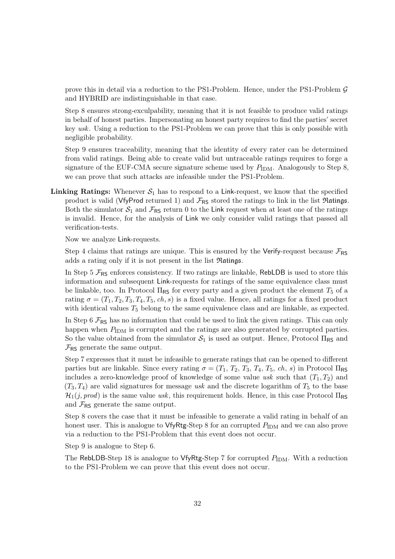prove this in detail via a reduction to the PS1-Problem. Hence, under the PS1-Problem G and HYBRID are indistinguishable in that case.

Step [8](#page-7-12) ensures strong-exculpability, meaning that it is not feasible to produce valid ratings in behalf of honest parties. Impersonating an honest party requires to find the parties' secret key usk. Using a reduction to the PS1-Problem we can prove that this is only possible with negligible probability.

Step [9](#page-7-9) ensures traceability, meaning that the identity of every rater can be determined from valid ratings. Being able to create valid but untraceable ratings requires to forge a signature of the EUF-CMA secure signature scheme used by  $P_{\text{IDM}}$ . Analogously to Step [8,](#page-7-12) we can prove that such attacks are infeasible under the PS1-Problem.

**[Link](#page-7-2)ing Ratings:** Whenever  $S_1$  has to respond to a Link-request, we know that the specified product is valid (VfyProd returned 1) and  $\mathcal{F}_{RS}$  $\mathcal{F}_{RS}$  $\mathcal{F}_{RS}$  stored the ratings to link in the list Ratings. Both the simulator  $S_1$  and  $\mathcal{F}_{RS}$  $\mathcal{F}_{RS}$  $\mathcal{F}_{RS}$  return 0 to the [Link](#page-7-2) request when at least one of the ratings is invalid. Hence, for the analysis of [Link](#page-7-2) we only consider valid ratings that passed all verification-tests.

Now we analyze [Link](#page-7-2)-requests.

Step [4](#page-7-13) claims that ratings are unique. This is ensured by the [Verify](#page-6-2)-request because  $\mathcal{F}_{RS}$  $\mathcal{F}_{RS}$  $\mathcal{F}_{RS}$ adds a rating only if it is not present in the list Ratings.

In Step [5](#page-7-14)  $\mathcal{F}_{RS}$  $\mathcal{F}_{RS}$  $\mathcal{F}_{RS}$  enforces consistency. If two ratings are linkable, [RebLDB](#page-7-0) is used to store this information and subsequent [Link](#page-7-2)-requests for ratings of the same equivalence class must be linkable, too. In Protocol  $\Pi_{\mathsf{RS}}$  for every party and a given product the element  $T_5$  of a rating  $\sigma = (T_1, T_2, T_3, T_4, T_5, ch, s)$  is a fixed value. Hence, all ratings for a fixed product with identical values  $T_5$  belong to the same equivalence class and are linkable, as expected.

In Step  $6 \mathcal{F}_{RS}$  $6 \mathcal{F}_{RS}$  $6 \mathcal{F}_{RS}$  $6 \mathcal{F}_{RS}$  has no information that could be used to link the given ratings. This can only happen when  $P_{\text{IDM}}$  is corrupted and the ratings are also generated by corrupted parties. So the value obtained from the simulator  $S_1$  is used as output. Hence, Protocol  $\Pi_{RS}$  and  $\mathcal{F}_{RS}$  $\mathcal{F}_{RS}$  $\mathcal{F}_{RS}$  generate the same output.

Step [7](#page-7-15) expresses that it must be infeasible to generate ratings that can be opened to different parties but are linkable. Since every rating  $\sigma = (T_1, T_2, T_3, T_4, T_5, ch, s)$  in Protocol  $\Pi_{\mathsf{RS}}$ includes a zero-knowledge proof of knowledge of some value usk such that  $(T_1, T_2)$  and  $(T_3, T_4)$  are valid signatures for message usk and the discrete logarithm of  $T_5$  to the base  $\mathcal{H}_1(j, prod)$  is the same value usk, this requirement holds. Hence, in this case Protocol  $\Pi_{\mathsf{RS}}$ and  $\mathcal{F}_{RS}$  $\mathcal{F}_{RS}$  $\mathcal{F}_{RS}$  generate the same output.

Step [8](#page-7-16) covers the case that it must be infeasible to generate a valid rating in behalf of an honest user. This is analogue to  $Vf\psi Rtg-Step 8$  $Vf\psi Rtg-Step 8$  for an corrupted  $P_{IDM}$  and we can also prove via a reduction to the PS1-Problem that this event does not occur.

Step [9](#page-7-5) is analogue to Step [6.](#page-7-4)

The [RebLDB](#page-7-0)-Step [18](#page-8-6) is analogue to [VfyRtg](#page-7-1)-Step [7](#page-7-10) for corrupted  $P_{IDM}$ . With a reduction to the PS1-Problem we can prove that this event does not occur.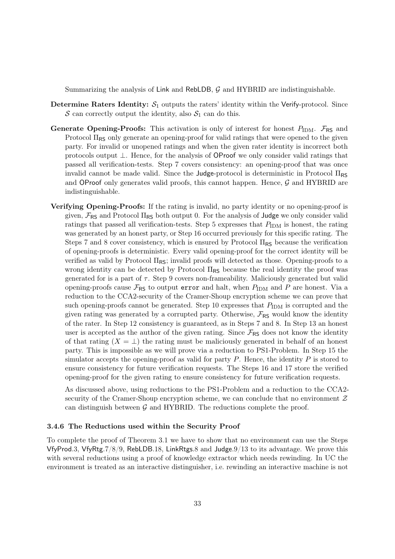Summarizing the analysis of [Link](#page-7-2) and [RebLDB](#page-7-0),  $\mathcal G$  and HYBRID are indistinguishable.

- Determine Raters Identity:  $S_1$  outputs the raters' identity within the Verify-protocol. Since  $S$  can correctly output the identity, also  $S_1$  can do this.
- Generate Opening-Proofs: This activation is only of interest for honest  $P_{\text{IDM}}$ .  $\mathcal{F}_{\text{RS}}$  $\mathcal{F}_{\text{RS}}$  $\mathcal{F}_{\text{RS}}$  and Protocol  $\Pi_{\rm RS}$  only generate an opening-proof for valid ratings that were opened to the given party. For invalid or unopened ratings and when the given rater identity is incorrect both protocols output ⊥. Hence, for the analysis of [OProof](#page-8-8) we only consider valid ratings that passed all verification-tests. Step [7](#page-8-9) covers consistency: an opening-proof that was once invalid cannot be made valid. Since the Judge-protocol is deterministic in Protocol  $\Pi_{\mathsf{RS}}$ and OProof only generates valid proofs, this cannot happen. Hence,  $\mathcal G$  and HYBRID are indistinguishable.
- Verifying Opening-Proofs: If the rating is invalid, no party identity or no opening-proof is given,  $\mathcal{F}_{RS}$  $\mathcal{F}_{RS}$  $\mathcal{F}_{RS}$  and Protocol  $\Pi_{RS}$  both output 0. For the analysis of Judge we only consider valid ratings that passed all verification-tests. Step [5](#page-9-0) expresses that  $P_{\text{IDM}}$  is honest, the rating was generated by an honest party, or Step [16](#page-9-1) occurred previously for this specific rating. The Steps [7](#page-9-2) and [8](#page-9-3) cover consistency, which is ensured by Protocol  $\Pi_{\mathsf{RS}}$  because the verification of opening-proofs is deterministic. Every valid opening-proof for the correct identity will be verified as valid by Protocol  $\Pi_{\mathsf{RS}}$ ; invalid proofs will detected as those. Opening-proofs to a wrong identity can be detected by Protocol  $\Pi_{RS}$  because the real identity the proof was generated for is a part of  $\tau$ . Step [9](#page-9-4) covers non-frameability. Maliciously generated but valid opening-proofs cause  $\mathcal{F}_{RS}$  $\mathcal{F}_{RS}$  $\mathcal{F}_{RS}$  to output error and halt, when  $P_{IDM}$  and P are honest. Via a reduction to the CCA2-security of the Cramer-Shoup encryption scheme we can prove that such opening-proofs cannot be generated. Step [10](#page-9-5) expresses that  $P_{\text{IDM}}$  is corrupted and the given rating was generated by a corrupted party. Otherwise,  $\mathcal{F}_{RS}$  $\mathcal{F}_{RS}$  $\mathcal{F}_{RS}$  would know the identity of the rater. In Step [12](#page-9-6) consistency is guaranteed, as in Steps [7](#page-9-2) and [8.](#page-9-3) In Step [13](#page-9-7) an honest user is accepted as the author of the given rating. Since  $\mathcal{F}_{RS}$  $\mathcal{F}_{RS}$  $\mathcal{F}_{RS}$  does not know the identity of that rating  $(X = \perp)$  the rating must be maliciously generated in behalf of an honest party. This is impossible as we will prove via a reduction to PS1-Problem. In Step [15](#page-9-8) the simulator accepts the opening-proof as valid for party  $P$ . Hence, the identity  $P$  is stored to ensure consistency for future verification requests. The Steps [16](#page-9-1) and [17](#page-9-9) store the verified opening-proof for the given rating to ensure consistency for future verification requests.

As discussed above, using reductions to the PS1-Problem and a reduction to the CCA2 security of the Cramer-Shoup encryption scheme, we can conclude that no environment  $\mathcal Z$ can distinguish between  $\mathcal G$  and HYBRID. The reductions complete the proof.

#### 3.4.6 The Reductions used within the Security Proof

To complete the proof of Theorem [3.1](#page-19-0) we have to show that no environment can use the Steps [VfyProd](#page-6-0)[.3,](#page-6-7) [VfyRtg](#page-7-1)[.7/](#page-7-10)[8/](#page-7-12)[9,](#page-7-9) [RebLDB](#page-7-0)[.18,](#page-8-6) [LinkRtgs](#page-7-17)[.8](#page-7-16) and [Judge](#page-8-1)[.9](#page-9-4)[/13](#page-9-7) to its advantage. We prove this with several reductions using a proof of knowledge extractor which needs rewinding. In UC the environment is treated as an interactive distinguisher, i.e. rewinding an interactive machine is not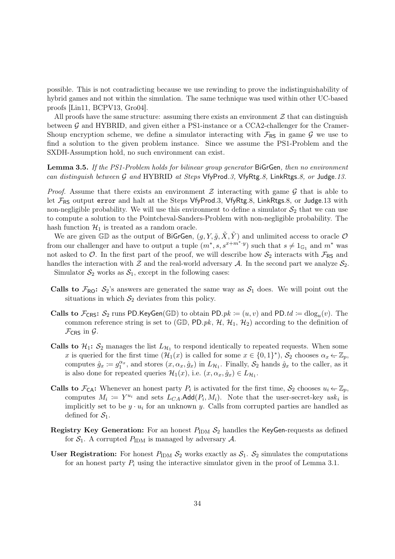possible. This is not contradicting because we use rewinding to prove the indistinguishability of hybrid games and not within the simulation. The same technique was used within other UC-based proofs [\[Lin11,](#page-42-7) [BCPV13,](#page-40-8) [Gro04\]](#page-41-11).

All proofs have the same structure: assuming there exists an environment  $\mathcal Z$  that can distinguish between  $G$  and HYBRID, and given either a PS1-instance or a CCA2-challenger for the Cramer-Shoup encryption scheme, we define a simulator interacting with  $\mathcal{F}_{RS}$  $\mathcal{F}_{RS}$  $\mathcal{F}_{RS}$  in game  $\mathcal G$  we use to find a solution to the given problem instance. Since we assume the PS1-Problem and the SXDH-Assumption hold, no such environment can exist.

Lemma 3.5. If the PS1-Problem holds for bilinear group generator BiGrGen, then no environment can distinguish between G and HYBRID at Steps [VfyProd](#page-6-0)[.3,](#page-6-7) [VfyRtg](#page-7-1)[.8,](#page-7-16) [LinkRtgs](#page-7-17).8, or [Judge](#page-8-1)[.13.](#page-9-7)

*Proof.* Assume that there exists an environment  $\mathcal Z$  interacting with game  $\mathcal G$  that is able to let  $\mathcal{F}_{RS}$  $\mathcal{F}_{RS}$  $\mathcal{F}_{RS}$  output error and halt at the Steps [VfyProd](#page-6-0)[.3,](#page-6-7) [VfyRtg](#page-7-1)[.8,](#page-7-16) [LinkRtgs](#page-7-17).8, or [Judge](#page-8-1)[.13](#page-9-7) with non-negligible probability. We will use this environment to define a simulator  $S_2$  that we can use to compute a solution to the Pointcheval-Sanders-Problem with non-negligible probability. The hash function  $\mathcal{H}_1$  is treated as a random oracle.

We are given GD as the output of BiGrGen,  $(g, Y, \tilde{g}, \tilde{X}, \tilde{Y})$  and unlimited access to oracle O from our challenger and have to output a tuple  $(m^*, s, s^{x+m^* \cdot y})$  such that  $s \neq 1_{\mathbb{G}_1}$  and  $m^*$  was not asked to  $\mathcal{O}$ . In the first part of the proof, we will describe how  $\mathcal{S}_2$  interacts with  $\mathcal{F}_{\textsf{RS}}$  $\mathcal{F}_{\textsf{RS}}$  $\mathcal{F}_{\textsf{RS}}$  and handles the interaction with  $\mathcal Z$  and the real-world adversary  $\mathcal A$ . In the second part we analyze  $\mathcal S_2$ .

Simulator  $S_2$  works as  $S_1$ , except in the following cases:

- Calls to  $\mathcal{F}_{RO}$  $\mathcal{F}_{RO}$  $\mathcal{F}_{RO}$ :  $\mathcal{S}_2$ 's answers are generated the same way as  $\mathcal{S}_1$  does. We will point out the situations in which  $S_2$  deviates from this policy.
- **Calls to**  $\mathcal{F}_{CRS}$  $\mathcal{F}_{CRS}$  $\mathcal{F}_{CRS}$ :  $\mathcal{S}_2$  runs PD.KeyGen(GD) to obtain PD.pk :=  $(u, v)$  and PD.td := dlog<sub>u</sub> $(v)$ . The common reference string is set to (GD, PD.pk, H,  $H_1$ ,  $H_2$ ) according to the definition of  $\mathcal{F}_{CRS}$  $\mathcal{F}_{CRS}$  $\mathcal{F}_{CRS}$  in  $\mathcal{G}$ .
- Calls to  $\mathcal{H}_1$ :  $\mathcal{S}_2$  manages the list  $L_{\mathcal{H}_1}$  to respond identically to repeated requests. When some x is queried for the first time  $(\mathcal{H}_1(x)$  is called for some  $x \in \{0,1\}^*)$ ,  $\mathcal{S}_2$  chooses  $\alpha_x \leftarrow \mathbb{Z}_p$ , computes  $\hat{g}_x := g_1^{\alpha_x}$ , and stores  $(x, \alpha_x, \hat{g}_x)$  in  $L_{\mathcal{H}_1}$ . Finally,  $\mathcal{S}_2$  hands  $\hat{g}_x$  to the caller, as it is also done for repeated queries  $\mathcal{H}_1(x)$ , i.e.  $(x, \alpha_x, \hat{g}_x) \in L_{\mathcal{H}_1}$ .
- **Calls to**  $\mathcal{F}_{CA}$  $\mathcal{F}_{CA}$  $\mathcal{F}_{CA}$ : Whenever an honest party  $P_i$  is activated for the first time,  $\mathcal{S}_2$  chooses  $u_i \leftarrow \mathbb{Z}_p$ , computes  $M_i := Y^{u_i}$  and sets  $L_{CA}$ . Add $(P_i, M_i)$ . Note that the user-secret-key usk<sub>i</sub> is implicitly set to be  $y \cdot u_i$  for an unknown y. Calls from corrupted parties are handled as defined for  $S_1$ .
- **Registry Key Generation:** For an honest  $P_{\text{IDM}} S_2$  handles the KeyGen-requests as defined for  $S_1$ . A corrupted  $P_{\text{IDM}}$  is managed by adversary A.
- User Registration: For honest  $P_{\text{IDM}} S_2$  works exactly as  $S_1$ .  $S_2$  simulates the computations for an honest party  $P_i$  using the interactive simulator given in the proof of Lemma [3.1.](#page-20-0)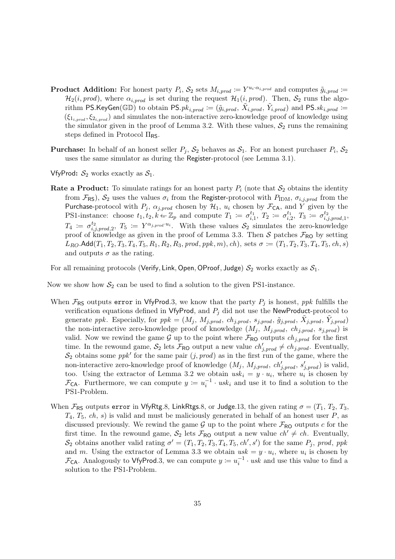- **Product Addition:** For honest party  $P_i$ ,  $S_2$  sets  $M_{i,prod} := Y^{u_i \cdot \alpha_{i,prod}}$  and computes  $\tilde{g}_{i,prod} :=$  $\mathcal{H}_2(i, prod)$ , where  $\alpha_{i, prod}$  is set during the request  $\mathcal{H}_1(i, prod)$ . Then,  $\mathcal{S}_2$  runs the algorithm PS.KeyGen(GD) to obtain PS. $pk_{i,prod} := (\tilde{g}_{i,prod}, \tilde{X}_{i,prod}, \tilde{Y}_{i,prod})$  and PS. $sk_{i,prod}$  :=  $(\xi_{1_{i,prod}}, \xi_{2_{i,prod}})$  and simulates the non-interactive zero-knowledge proof of knowledge using the simulator given in the proof of Lemma [3.2.](#page-21-0) With these values,  $S_2$  runs the remaining steps defined in Protocol  $\Pi_{\mathsf{RS}}$ .
- **Purchase:** In behalf of an honest seller  $P_j$ ,  $S_2$  behaves as  $S_1$ . For an honest purchaser  $P_i$ ,  $S_2$ uses the same simulator as during the Register-protocol (see Lemma [3.1\)](#page-20-0).
- [VfyProd](#page-6-0):  $S_2$  works exactly as  $S_1$ .
- **Rate a Product:** To simulate ratings for an honest party  $P_i$  (note that  $S_2$  obtains the identity from  $\mathcal{F}_{RS}$  $\mathcal{F}_{RS}$  $\mathcal{F}_{RS}$ ),  $\mathcal{S}_2$  uses the values  $\sigma_i$  from the Register-protocol with  $P_{IDM}$ ,  $\sigma_{i,j,prod}$  from the Purchase-protocol with  $P_j$ ,  $\alpha_{j,prod}$  chosen by  $\mathcal{H}_1$ ,  $u_i$  chosen by  $\mathcal{F}_{CA}$  $\mathcal{F}_{CA}$  $\mathcal{F}_{CA}$ , and Y given by the PS1-instance: choose  $t_1, t_2, k \stackrel{\cdots}{\leftarrow} \mathbb{Z}_p$  and compute  $T_1 := \sigma_{i,1}^{t_1}, T_2 := \sigma_{i,2}^{t_1}, T_3 := \sigma_{i,j,prod,1}^{t_2},$  $T_4 := \sigma_{i,j,prod,2}^{t_2}, T_5 := Y^{\alpha_{j,prod}} u_i$ . With these values  $S_2$  simulates the zero-knowledge proof of knowledge as given in the proof of Lemma [3.3.](#page-22-0) Then  $S$  patches  $\mathcal{F}_{\text{RO}}$  $\mathcal{F}_{\text{RO}}$  $\mathcal{F}_{\text{RO}}$  by setting  $L_{RO}$ .Add $(T_1, T_2, T_3, T_4, T_5, R_1, R_2, R_3, \text{prod}, \text{ppk}, m)$ , ch), sets  $\sigma := (T_1, T_2, T_3, T_4, T_5, ch, s)$ and outputs  $\sigma$  as the rating.

For all remaining protocols (Verify, Link, Open, OProof, Judge)  $S_2$  works exactly as  $S_1$ .

Now we show how  $S_2$  can be used to find a solution to the given PS1-instance.

- When  $\mathcal{F}_{RS}$  $\mathcal{F}_{RS}$  $\mathcal{F}_{RS}$  outputs error in [VfyProd](#page-6-0)[.3,](#page-6-7) we know that the party  $P_i$  is honest, ppk fulfills the verification equations defined in VfyProd, and  $P_i$  did not use the NewProduct-protocol to generate ppk. Especially, for  $ppk = (M_j, M_{j,prod}, ch_{j,prod}, s_{j,prod}, \tilde{g}_{j,prod}, \tilde{X}_{j,prod}, \tilde{Y}_{j,prod})$ the non-interactive zero-knowledge proof of knowledge  $(M_j, M_{j,prod}, ch_{j,prod}, s_{j,prod})$  is valid. Now we rewind the game G up to the point where  $\mathcal{F}_{RO}$  $\mathcal{F}_{RO}$  $\mathcal{F}_{RO}$  outputs  $ch_{j,prod}$  for the first time. In the rewound game,  $S_2$  lets  $\mathcal{F}_{RO}$  $\mathcal{F}_{RO}$  $\mathcal{F}_{RO}$  output a new value  $ch'_{j,prod} \neq ch'_{j,prod}$ . Eventually,  $S_2$  obtains some ppk' for the same pair  $(j, prod)$  as in the first run of the game, where the non-interactive zero-knowledge proof of knowledge  $(M_j, M_{j,prod}, ch'_{j,prod}, s'_{j,prod})$  is valid, too. Using the extractor of Lemma [3.2](#page-21-0) we obtain  $usk_i = y \cdot u_i$ , where  $u_i$  is chosen by  $\mathcal{F}_{\text{CA}}$  $\mathcal{F}_{\text{CA}}$  $\mathcal{F}_{\text{CA}}$ . Furthermore, we can compute  $y := u_i^{-1} \cdot usk_i$  and use it to find a solution to the PS1-Problem.
- When  $\mathcal{F}_{RS}$  $\mathcal{F}_{RS}$  $\mathcal{F}_{RS}$  outputs error in [VfyRtg](#page-7-1)[.8,](#page-7-16) [LinkRtgs](#page-7-17).8, or [Judge](#page-8-1)[.13,](#page-9-7) the given rating  $\sigma = (T_1, T_2, T_3, T_4)$  $T_4, T_5, ch, s$  is valid and must be maliciously generated in behalf of an honest user P, as discussed previously. We rewind the game  $\mathcal G$  up to the point where  $\mathcal F_{\sf RO}$  $\mathcal F_{\sf RO}$  $\mathcal F_{\sf RO}$  outputs c for the first time. In the rewound game,  $S_2$  lets  $\mathcal{F}_{RO}$  $\mathcal{F}_{RO}$  $\mathcal{F}_{RO}$  output a new value  $ch' \neq ch$ . Eventually,  $S_2$  obtains another valid rating  $\sigma' = (T_1, T_2, T_3, T_4, T_5, ch', s')$  for the same  $P_j$ , prod, ppk and m. Using the extractor of Lemma [3.3](#page-22-0) we obtain  $usk = y \cdot u_i$ , where  $u_i$  is chosen by  $\mathcal{F}_{CA}$  $\mathcal{F}_{CA}$  $\mathcal{F}_{CA}$ . Analogously to [VfyProd](#page-6-0)[.3,](#page-6-7) we can compute  $y := u_i^{-1} \cdot usk$  and use this value to find a solution to the PS1-Problem.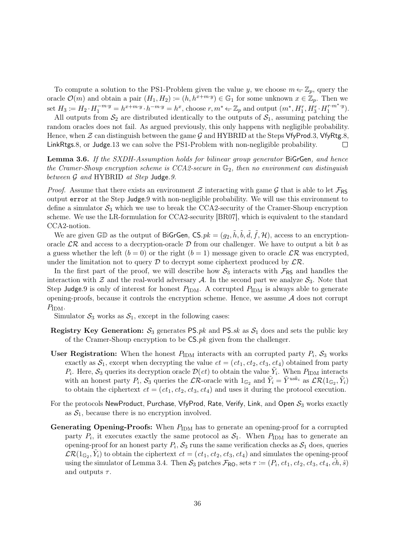To compute a solution to the PS1-Problem given the value y, we choose  $m \leftarrow \mathbb{Z}_p$ , query the oracle  $\mathcal{O}(m)$  and obtain a pair  $(H_1, H_2) \coloneqq (h, h^{x+m \cdot y}) \in \mathbb{G}_1$  for some unknown  $x \in \mathbb{Z}_p$ . Then we  $\det H_3 \coloneqq H_2 \cdot H_1^{-m \cdot y} = h^{x+m \cdot y} \cdot h^{-m \cdot y} = h^x$ , choose  $r, m^* \leftarrow \mathbb{Z}_p$  and output  $(m^*, H_1^r, H_3^r \cdot H_1^{r \cdot m^* \cdot y})$  $\binom{r \cdot m \cdot y}{1}$ .

All outputs from  $S_2$  are distributed identically to the outputs of  $S_1$ , assuming patching the random oracles does not fail. As argued previously, this only happens with negligible probability. Hence, when  $\mathcal Z$  can distinguish between the game G and HYBRID at the Steps [VfyProd](#page-6-0)[.3,](#page-6-7) [VfyRtg](#page-7-1)[.8,](#page-7-12) [LinkRtgs](#page-7-17)[.8,](#page-7-16) or [Judge](#page-8-1)[.13](#page-9-7) we can solve the PS1-Problem with non-negligible probability.  $\Box$ 

Lemma 3.6. If the SXDH-Assumption holds for bilinear group generator BiGrGen, and hence the Cramer-Shoup encryption scheme is  $CCA2$ -secure in  $\mathbb{G}_2$ , then no environment can distinguish between  $G$  and HYBRID at Step [Judge](#page-8-1). 9.

*Proof.* Assume that there exists an environment Z interacting with game G that is able to let  $\mathcal{F}_{RS}$  $\mathcal{F}_{RS}$  $\mathcal{F}_{RS}$ output error at the Step [Judge](#page-8-1)[.9](#page-9-4) with non-negligible probability. We will use this environment to define a simulator  $S_3$  which we use to break the CCA2-security of the Cramer-Shoup encryption scheme. We use the LR-formulation for CCA2-security [\[BR07\]](#page-40-9), which is equivalent to the standard CCA2-notion.

We are given GD as the output of BiGrGen, CS.pk =  $(g_2, \tilde{h}, \tilde{b}, \tilde{d}, \tilde{f}, \mathcal{H})$ , access to an encryptionoracle  $\mathcal{LR}$  and access to a decryption-oracle  $\mathcal D$  from our challenger. We have to output a bit b as a guess whether the left  $(b = 0)$  or the right  $(b = 1)$  message given to oracle  $\mathcal{LR}$  was encrypted, under the limitation not to query  $\mathcal D$  to decrypt some ciphertext produced by  $\mathcal L\mathcal R$ .

In the first part of the proof, we will describe how  $S_3$  interacts with  $\mathcal{F}_{RS}$  $\mathcal{F}_{RS}$  $\mathcal{F}_{RS}$  and handles the interaction with  $\mathcal Z$  and the real-world adversary  $\mathcal A$ . In the second part we analyze  $\mathcal S_3$ . Note that Step [Judge](#page-8-1)[.9](#page-9-4) is only of interest for honest  $P_{\text{IDM}}$ . A corrupted  $P_{\text{IDM}}$  is always able to generate opening-proofs, because it controls the encryption scheme. Hence, we assume A does not corrupt  $P_{\text{IDM}}$ .

Simulator  $S_3$  works as  $S_1$ , except in the following cases:

- **Registry Key Generation:**  $S_3$  generates PS.pk and PS.sk as  $S_1$  does and sets the public key of the Cramer-Shoup encryption to be  $\mathsf{CS}.pk$  given from the challenger.
- User Registration: When the honest  $P_{\text{IDM}}$  interacts with an corrupted party  $P_i$ ,  $S_3$  works exactly as  $S_1$ , except when decrypting the value  $ct = (ct_1, ct_2, ct_3, ct_4)$  obtained from party  $P_i$ . Here,  $S_3$  queries its decryption oracle  $\mathcal{D}(ct)$  to obtain the value  $\tilde{Y}_i$ . When  $P_{\text{IDM}}$  interacts with an honest party  $P_i$ ,  $S_3$  queries the  $\mathcal{LR}$ -oracle with  $1_{\mathbb{G}_2}$  and  $\tilde{Y}_i = \tilde{Y}^{usk_i}$  as  $\mathcal{LR}(1_{\mathbb{G}_2}, \tilde{Y}_i)$ to obtain the ciphertext  $ct = (ct_1, ct_2, ct_3, ct_4)$  and uses it during the protocol execution.
- For the protocols NewProduct, Purchase, VfyProd, Rate, Verify, Link, and Open  $S_3$  works exactly as  $S_1$ , because there is no encryption involved.
- **Generating Opening-Proofs:** When  $P_{\text{IDM}}$  has to generate an opening-proof for a corrupted party  $P_i$ , it executes exactly the same protocol as  $S_1$ . When  $P_{IDM}$  has to generate an opening-proof for an honest party  $P_i$ ,  $S_3$  runs the same verification checks as  $S_1$  does, queries  $\mathcal{LR}(1_{\mathbb{G}_2}, \tilde{Y}_i)$  to obtain the ciphertext  $ct = (ct_1, ct_2, ct_3, ct_4)$  and simulates the opening-proof using the simulator of Lemma [3.4.](#page-23-2) Then  $S_3$  patches  $\mathcal{F}_{\text{RO}}$  $\mathcal{F}_{\text{RO}}$  $\mathcal{F}_{\text{RO}}$ , sets  $\tau := (P_i, ct_1, ct_2, ct_3, ct_4, c\hat{h}, \hat{s})$ and outputs  $\tau$ .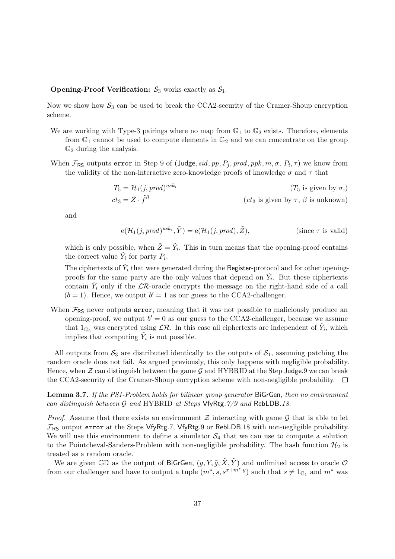### **Opening-Proof Verification:**  $S_3$  works exactly as  $S_1$ .

Now we show how  $S_3$  can be used to break the CCA2-security of the Cramer-Shoup encryption scheme.

- We are working with Type-3 pairings where no map from  $\mathbb{G}_1$  to  $\mathbb{G}_2$  exists. Therefore, elements from  $\mathbb{G}_1$  cannot be used to compute elements in  $\mathbb{G}_2$  and we can concentrate on the group  $\mathbb{G}_2$  during the analysis.
- When  $\mathcal{F}_{\sf RS}$  $\mathcal{F}_{\sf RS}$  $\mathcal{F}_{\sf RS}$  outputs error in Step [9](#page-9-4) of (Judge, sid, pp,  $P_j$ , prod, ppk,  $m, \sigma, P_i, \tau$ ) we know from the validity of the non-interactive zero-knowledge proofs of knowledge  $\sigma$  and  $\tau$  that

$$
T_5 = \mathcal{H}_1(j, prod)^{usk_i}
$$
  
\n
$$
ct_3 = \tilde{Z} \cdot \tilde{f}^{\beta}
$$
\n
$$
(Ct_3 \text{ is given by } \tau, \beta \text{ is unknown})
$$

and

$$
e(\mathcal{H}_1(j, prod)^{usk_i}, \tilde{Y}) = e(\mathcal{H}_1(j, prod), \tilde{Z}),
$$
 (since  $\tau$  is valid)

which is only possible, when  $\tilde{Z} = \tilde{Y}_i$ . This in turn means that the opening-proof contains the correct value  $\tilde{Y}_i$  for party  $P_i$ .

The ciphertexts of  $\tilde{Y}_i$  that were generated during the Register-protocol and for other openingproofs for the same party are the only values that depend on  $\tilde{Y}_i$ . But these ciphertexts contain  $\tilde{Y}_i$  only if the  $\mathcal{LR}$ -oracle encrypts the message on the right-hand side of a call  $(b = 1)$ . Hence, we output  $b' = 1$  as our guess to the CCA2-challenger.

When  $\mathcal{F}_{RS}$  $\mathcal{F}_{RS}$  $\mathcal{F}_{RS}$  never outputs error, meaning that it was not possible to maliciously produce an opening-proof, we output  $b' = 0$  as our guess to the CCA2-challenger, because we assume that  $1_{\mathbb{G}_2}$  was encrypted using  $\mathcal{LR}$ . In this case all ciphertexts are independent of  $\tilde{Y}_i$ , which implies that computing  $\tilde{Y}_i$  is not possible.

All outputs from  $S_3$  are distributed identically to the outputs of  $S_1$ , assuming patching the random oracle does not fail. As argued previously, this only happens with negligible probability. Hence, when  $\mathcal Z$  can distinguish between the game  $\mathcal G$  and HYBRID at the Step [Judge](#page-8-1)[.9](#page-9-4) we can break the CCA2-security of the Cramer-Shoup encryption scheme with non-negligible probability.  $\square$ 

Lemma 3.7. If the PS1-Problem holds for bilinear group generator BiGrGen, then no environment can distinguish between G and HYBRID at Steps  $Vf_VRtg.7/9$  $Vf_VRtg.7/9$  $Vf_VRtg.7/9$  and [RebLDB](#page-7-0)[.18.](#page-8-6)

*Proof.* Assume that there exists an environment  $\mathcal Z$  interacting with game  $\mathcal G$  that is able to let  $\mathcal{F}_{RS}$  $\mathcal{F}_{RS}$  $\mathcal{F}_{RS}$  output error at the Steps [VfyRtg](#page-7-1)[.7,](#page-7-10) VfyRtg[.9](#page-7-9) or [RebLDB](#page-7-0)[.18](#page-8-6) with non-negligible probability. We will use this environment to define a simulator  $S_4$  that we can use to compute a solution to the Pointcheval-Sanders-Problem with non-negligible probability. The hash function  $\mathcal{H}_2$  is treated as a random oracle.

We are given GD as the output of BiGrGen,  $(g, Y, \tilde{g}, \tilde{X}, \tilde{Y})$  and unlimited access to oracle O from our challenger and have to output a tuple  $(m^*, s, s^{x+m^* \cdot y})$  such that  $s \neq 1_{\mathbb{G}_1}$  and  $m^*$  was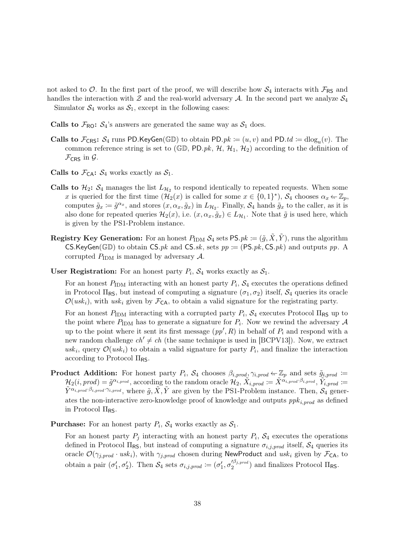not asked to  $\mathcal{O}$ . In the first part of the proof, we will describe how  $\mathcal{S}_4$  interacts with  $\mathcal{F}_{\mathsf{RS}}$  $\mathcal{F}_{\mathsf{RS}}$  $\mathcal{F}_{\mathsf{RS}}$  and handles the interaction with  $\mathcal Z$  and the real-world adversary  $\mathcal A$ . In the second part we analyze  $\mathcal S_4$ Simulator  $S_4$  works as  $S_1$ , except in the following cases:

Calls to  $\mathcal{F}_{\text{RO}}$  $\mathcal{F}_{\text{RO}}$  $\mathcal{F}_{\text{RO}}$ :  $\mathcal{S}_4$ 's answers are generated the same way as  $\mathcal{S}_1$  does.

- **Calls to**  $\mathcal{F}_{CRS}$  $\mathcal{F}_{CRS}$  $\mathcal{F}_{CRS}$ **:**  $\mathcal{S}_4$  runs PD.KeyGen(GD) to obtain PD.pk :=  $(u, v)$  and PD.td := dlog<sub>u</sub> $(v)$ . The common reference string is set to (GD, PD.pk, H,  $H_1$ ,  $H_2$ ) according to the definition of  $\mathcal{F}_{CRS}$  $\mathcal{F}_{CRS}$  $\mathcal{F}_{CRS}$  in  $\mathcal{G}$ .
- Calls to  $\mathcal{F}_{CA}:$  $\mathcal{F}_{CA}:$  $\mathcal{F}_{CA}:$   $\mathcal{S}_4$  works exactly as  $\mathcal{S}_1$ .
- **Calls to**  $\mathcal{H}_2$ :  $\mathcal{S}_4$  manages the list  $L_{\mathcal{H}_2}$  to respond identically to repeated requests. When some x is queried for the first time  $(\mathcal{H}_2(x)$  is called for some  $x \in \{0,1\}^*$ ,  $\mathcal{S}_4$  chooses  $\alpha_x \leftarrow \mathbb{Z}_p$ , computes  $\tilde{g}_x \coloneqq \tilde{g}^{\alpha_x}$ , and stores  $(x, \alpha_x, \tilde{g}_x)$  in  $L_{\mathcal{H}_2}$ . Finally,  $\mathcal{S}_4$  hands  $\tilde{g}_x$  to the caller, as it is also done for repeated queries  $\mathcal{H}_2(x)$ , i.e.  $(x, \alpha_x, \tilde{g}_x) \in L_{\mathcal{H}_1}$ . Note that  $\tilde{g}$  is used here, which is given by the PS1-Problem instance.
- **Registry Key Generation:** For an honest  $P_{\text{IDM}} S_4$  sets  $PS.pk := (\tilde{g}, \tilde{X}, \tilde{Y})$ , runs the algorithm CS.KeyGen(GD) to obtain CS.pk and CS.sk, sets  $pp := (PS.pk, CS.pk)$  and outputs pp. A corrupted  $P_{\text{IDM}}$  is managed by adversary A.

User Registration: For an honest party  $P_i$ ,  $S_4$  works exactly as  $S_1$ .

For an honest  $P_{\text{IDM}}$  interacting with an honest party  $P_i$ ,  $S_4$  executes the operations defined in Protocol  $\Pi_{\mathsf{RS}}$ , but instead of computing a signature  $(\sigma_1, \sigma_2)$  itself,  $\mathcal{S}_4$  queries its oracle  $\mathcal{O}(usk_i)$ , with usk<sub>i</sub> given by  $\mathcal{F}_{CA}$  $\mathcal{F}_{CA}$  $\mathcal{F}_{CA}$ , to obtain a valid signature for the registrating party.

For an honest  $P_{\text{IDM}}$  interacting with a corrupted party  $P_i$ ,  $\mathcal{S}_4$  executes Protocol  $\Pi_{\text{RS}}$  up to the point where  $P_{\text{IDM}}$  has to generate a signature for  $P_i$ . Now we rewind the adversary  $\mathcal{A}$ up to the point where it sent its first message  $(pp', R)$  in behalf of  $P_i$  and respond with a new random challenge  $ch' \neq ch$  (the same technique is used in [\[BCPV13\]](#page-40-8)). Now, we extract usk<sub>i</sub>, query  $\mathcal{O}(usk_i)$  to obtain a valid signature for party  $P_i$ , and finalize the interaction according to Protocol  $\Pi_{\mathsf{RS}}$ .

- **Product Addition:** For honest party  $P_i$ ,  $S_4$  chooses  $\beta_{i,prod}$ ,  $\gamma_{i,prod} \leftarrow \mathbb{Z}_p$  and sets  $\tilde{g}_{i,prod}$  :=  $\mathcal{H}_2(i, prod) = \tilde{g}^{\alpha_{i,prod}}$ , according to the random oracle  $\mathcal{H}_2$ ,  $\tilde{X}_{i,prod} := \tilde{X}^{\alpha_{i,prod} \beta_{i,prod}}$ ,  $\tilde{Y}_{i,prod} :=$  $\tilde{Y}^{\alpha_{i,prod},\beta_{i,prod}}$ , where  $\tilde{g}, \tilde{X}, \tilde{Y}$  are given by the PS1-Problem instance. Then,  $\mathcal{S}_4$  generates the non-interactive zero-knowledge proof of knowledge and outputs  $ppk_{i,prod}$  as defined in Protocol  $\Pi_{RS}$ .
- **Purchase:** For an honest party  $P_i$ ,  $S_4$  works exactly as  $S_1$ .

For an honest party  $P_j$  interacting with an honest party  $P_i$ ,  $S_4$  executes the operations defined in Protocol  $\Pi_{\mathsf{RS}}$ , but instead of computing a signature  $\sigma_{i,j,prod}$  itself,  $\mathcal{S}_4$  queries its oracle  $\mathcal{O}(\gamma_{j,prod} \cdot usk_i)$ , with  $\gamma_{j,prod}$  chosen during NewProduct and usk<sub>i</sub> given by  $\mathcal{F}_{CA}$  $\mathcal{F}_{CA}$  $\mathcal{F}_{CA}$ , to obtain a pair  $(\sigma'_1, \sigma'_2)$ . Then  $S_4$  sets  $\sigma_{i,j,prod} := (\sigma'_1, \sigma'^{\beta_{j,prod}})$  $\binom{D_j,prod}{2}$  and finalizes Protocol  $\Pi_{\mathsf{RS}}$ .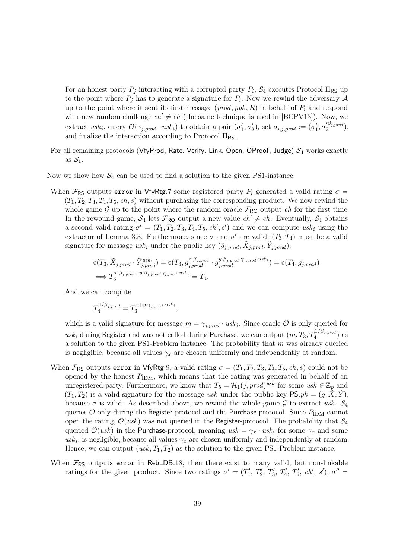For an honest party  $P_j$  interacting with a corrupted party  $P_i$ ,  $S_4$  executes Protocol  $\Pi_{RS}$  up to the point where  $P_j$  has to generate a signature for  $P_i$ . Now we rewind the adversary  $\mathcal A$ up to the point where it sent its first message  $(pred, ppk, R)$  in behalf of  $P_i$  and respond with new random challenge  $ch' \neq ch$  (the same technique is used in [\[BCPV13\]](#page-40-8)). Now, we extract  $usk_i$ , query  $\mathcal{O}(\gamma_{j,prod} \cdot usk_i)$  to obtain a pair  $(\sigma'_1, \sigma'_2)$ , set  $\sigma_{i,j,prod} := (\sigma'_1, \sigma'^{\beta_{j,prod}}_2)$  $\binom{p_j,prod}{2},$ and finalize the interaction according to Protocol  $\Pi_{\text{RS}}$ .

- For all remaining protocols (VfyProd, Rate, Verify, Link, Open, OProof, Judge)  $S_4$  works exactly as  $S_1$ .
- Now we show how  $S_4$  can be used to find a solution to the given PS1-instance.
- When  $\mathcal{F}_{RS}$  $\mathcal{F}_{RS}$  $\mathcal{F}_{RS}$  outputs error in [VfyRtg](#page-7-1)[.7](#page-7-10) some registered party  $P_i$  generated a valid rating  $\sigma =$  $(T_1, T_2, T_3, T_4, T_5, ch, s)$  without purchasing the corresponding product. We now rewind the whole game G up to the point where the random oracle  $\mathcal{F}_{\text{RO}}$  $\mathcal{F}_{\text{RO}}$  $\mathcal{F}_{\text{RO}}$  output ch for the first time. In the rewound game,  $S_4$  lets  $\mathcal{F}_{RO}$  $\mathcal{F}_{RO}$  $\mathcal{F}_{RO}$  output a new value  $ch' \neq ch$ . Eventually,  $S_4$  obtains a second valid rating  $\sigma' = (T_1, T_2, T_3, T_4, T_5, ch', s')$  and we can compute  $usk_i$  using the extractor of Lemma [3.3.](#page-22-0) Furthermore, since  $\sigma$  and  $\sigma'$  are valid,  $(T_3, T_4)$  must be a valid signature for message usk<sub>i</sub> under the public key  $(\tilde{g}_{j,prod}, \tilde{X}_{j,prod}, \tilde{Y}_{j,prod})$ :

$$
e(T_3, \tilde{X}_{j,prod} \cdot \tilde{Y}_{j,prod}^{usk_i}) = e(T_3, \tilde{g}_{j,prod}^{x \cdot \beta_{j,prod}} \cdot \tilde{g}_{j,prod}^{y \cdot \beta_{j,prod} \cdot \gamma_{j,prod} \cdot usk_i}) = e(T_4, \tilde{g}_{j,prod})
$$
  
\n
$$
\implies T_3^{x \cdot \beta_{j,prod} + y \cdot \beta_{j,prod} \cdot \gamma_{j,prod} \cdot usk_i} = T_4.
$$

And we can compute

 $T_4^{1/\beta_{j,prod}}=T_3^{x+y \cdot \gamma_{j,prod} \cdot usk_i}$  $3^{x+y \cdot \gamma_{j,prod} \cdot us\kappa_i},$ 

which is a valid signature for message  $m = \gamma_{j,prod} \cdot usk_i$ . Since oracle  $\mathcal O$  is only queried for usk<sub>i</sub> during Register and was not called during Purchase, we can output  $(m, T_3, T_4^{1/\beta_{j,prod}})$  as a solution to the given PS1-Problem instance. The probability that  $m$  was already queried is negligible, because all values  $\gamma_x$  are chosen uniformly and independently at random.

- When  $\mathcal{F}_{RS}$  $\mathcal{F}_{RS}$  $\mathcal{F}_{RS}$  outputs error in [VfyRtg](#page-7-1)[.9,](#page-7-9) a valid rating  $\sigma = (T_1, T_2, T_3, T_4, T_5, ch, s)$  could not be opened by the honest  $P_{IDM}$ , which means that the rating was generated in behalf of an unregistered party. Furthermore, we know that  $T_5 = \mathcal{H}_1(j, prod)^{usk}$  for some  $usk \in \mathbb{Z}_p$  and  $(T_1, T_2)$  is a valid signature for the message usk under the public key PS.  $pk = (\tilde{g}, \tilde{X}, \tilde{Y})$ , because  $\sigma$  is valid. As described above, we rewind the whole game G to extract usk.  $S_4$ queries  $\mathcal O$  only during the Register-protocol and the Purchase-protocol. Since  $P_{\text{IDM}}$  cannot open the rating,  $\mathcal{O}(usk)$  was not queried in the Register-protocol. The probability that  $\mathcal{S}_4$ queried  $\mathcal{O}(usk)$  in the Purchase-protocol, meaning  $usk = \gamma_x \cdot usk_i$  for some  $\gamma_x$  and some usk<sub>i</sub>, is negligible, because all values  $\gamma_x$  are chosen uniformly and independently at random. Hence, we can output  $(usk, T_1, T_2)$  as the solution to the given PS1-Problem instance.
- When  $\mathcal{F}_{RS}$  $\mathcal{F}_{RS}$  $\mathcal{F}_{RS}$  outputs error in [RebLDB](#page-7-0)[.18,](#page-8-6) then there exist to many valid, but non-linkable ratings for the given product. Since two ratings  $\sigma' = (T'_1, T'_2, T'_3, T'_4, T'_5, ch', s')$ ,  $\sigma'' =$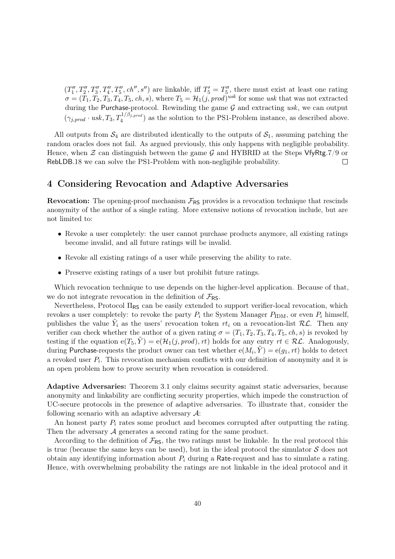$(T''_1, T''_2, T''_3, T''_4, T''_5, ch'', s'')$  are linkable, iff  $T'_5 = T''_5$ , there must exist at least one rating  $\sigma = (T_1, T_2, T_3, T_4, T_5, ch, s)$ , where  $T_5 = \mathcal{H}_1(j, prod)^{usk}$  for some usk that was not extracted during the Purchase-protocol. Rewinding the game  $G$  and extracting usk, we can output  $(\gamma_{j,prod} \cdot \textit{usk}, T_3, T_4^{1/\beta_{j,prod}})$  as the solution to the PS1-Problem instance, as described above.

All outputs from  $S_4$  are distributed identically to the outputs of  $S_1$ , assuming patching the random oracles does not fail. As argued previously, this only happens with negligible probability. Hence, when  $\mathcal Z$  can distinguish between the game  $\mathcal G$  and HYBRID at the Steps [VfyRtg](#page-7-1)[.7](#page-7-10)[/9](#page-7-9) or [RebLDB](#page-7-0)[.18](#page-8-6) we can solve the PS1-Problem with non-negligible probability.  $\Box$ 

# 4 Considering Revocation and Adaptive Adversaries

**Revocation:** The opening-proof mechanism  $\mathcal{F}_{RS}$  $\mathcal{F}_{RS}$  $\mathcal{F}_{RS}$  provides is a revocation technique that rescinds anonymity of the author of a single rating. More extensive notions of revocation include, but are not limited to:

- Revoke a user completely: the user cannot purchase products anymore, all existing ratings become invalid, and all future ratings will be invalid.
- Revoke all existing ratings of a user while preserving the ability to rate.
- Preserve existing ratings of a user but prohibit future ratings.

Which revocation technique to use depends on the higher-level application. Because of that, we do not integrate revocation in the definition of  $\mathcal{F}_{RS}$  $\mathcal{F}_{RS}$  $\mathcal{F}_{RS}$ .

Nevertheless, Protocol  $\Pi_{RS}$  can be easily extended to support verifier-local revocation, which revokes a user completely: to revoke the party  $P_i$  the System Manager  $P_{\text{IDM}}$ , or even  $P_i$  himself, publishes the value  $\tilde{Y}_i$  as the users' revocation token  $rt_i$  on a revocation-list  $\mathcal{RL}$ . Then any verifier can check whether the author of a given rating  $\sigma = (T_1, T_2, T_3, T_4, T_5, ch, s)$  is revoked by testing if the equation  $e(T_5, Y) = e(\mathcal{H}_1(j, prod), rt)$  holds for any entry  $rt \in \mathcal{RL}$ . Analogously, during Purchase-requests the product owner can test whether  $e(M_i, \tilde{Y}) = e(g_1, rt)$  holds to detect a revoked user  $P_i$ . This revocation mechanism conflicts with our definition of anonymity and it is an open problem how to prove security when revocation is considered.

Adaptive Adversaries: Theorem [3.1](#page-19-0) only claims security against static adversaries, because anonymity and linkability are conflicting security properties, which impede the construction of UC-secure protocols in the presence of adaptive adversaries. To illustrate that, consider the following scenario with an adaptive adversary  $\mathcal{A}$ :

An honest party  $P_i$  rates some product and becomes corrupted after outputting the rating. Then the adversary  $A$  generates a second rating for the same product.

According to the definition of  $\mathcal{F}_{RS}$  $\mathcal{F}_{RS}$  $\mathcal{F}_{RS}$ , the two ratings must be linkable. In the real protocol this is true (because the same keys can be used), but in the ideal protocol the simulator  $S$  does not obtain any identifying information about  $P_i$  during a Rate-request and has to simulate a rating. Hence, with overwhelming probability the ratings are not linkable in the ideal protocol and it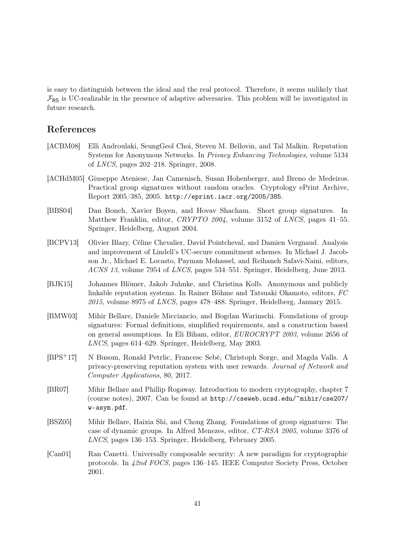is easy to distinguish between the ideal and the real protocol. Therefore, it seems unlikely that  $\mathcal{F}_{\text{RS}}$  $\mathcal{F}_{\text{RS}}$  $\mathcal{F}_{\text{RS}}$  is UC-realizable in the presence of adaptive adversaries. This problem will be investigated in future research.

# References

- <span id="page-40-0"></span>[ACBM08] Elli Androulaki, SeungGeol Choi, Steven M. Bellovin, and Tal Malkin. Reputation Systems for Anonymous Networks. In Privacy Enhancing Technologies, volume 5134 of LNCS, pages 202–218. Springer, 2008.
- <span id="page-40-4"></span>[ACHdM05] Giuseppe Ateniese, Jan Camenisch, Susan Hohenberger, and Breno de Medeiros. Practical group signatures without random oracles. Cryptology ePrint Archive, Report 2005/385, 2005. <http://eprint.iacr.org/2005/385>.
- <span id="page-40-7"></span>[BBS04] Dan Boneh, Xavier Boyen, and Hovav Shacham. Short group signatures. In Matthew Franklin, editor, CRYPTO 2004, volume 3152 of LNCS, pages 41–55. Springer, Heidelberg, August 2004.
- <span id="page-40-8"></span>[BCPV13] Olivier Blazy, Céline Chevalier, David Pointcheval, and Damien Vergnaud. Analysis and improvement of Lindell's UC-secure commitment schemes. In Michael J. Jacobson Jr., Michael E. Locasto, Payman Mohassel, and Reihaneh Safavi-Naini, editors, ACNS 13, volume 7954 of LNCS, pages 534–551. Springer, Heidelberg, June 2013.
- <span id="page-40-2"></span>[BJK15] Johannes Blömer, Jakob Juhnke, and Christina Kolb. Anonymous and publicly linkable reputation systems. In Rainer Böhme and Tatsuaki Okamoto, editors, FC 2015, volume 8975 of LNCS, pages 478–488. Springer, Heidelberg, January 2015.
- <span id="page-40-5"></span>[BMW03] Mihir Bellare, Daniele Micciancio, and Bogdan Warinschi. Foundations of group signatures: Formal definitions, simplified requirements, and a construction based on general assumptions. In Eli Biham, editor, EUROCRYPT 2003, volume 2656 of LNCS, pages 614–629. Springer, Heidelberg, May 2003.
- <span id="page-40-1"></span>[BPS+17] N Busom, Ronald Petrlic, Francesc Sebé, Christoph Sorge, and Magda Valls. A privacy-preserving reputation system with user rewards. Journal of Network and Computer Applications, 80, 2017.
- <span id="page-40-9"></span>[BR07] Mihir Bellare and Phillip Rogaway. Introduction to modern cryptography, chapter 7 (course notes), 2007. Can be found at [http://cseweb.ucsd.edu/~mihir/cse207/](http://cseweb.ucsd.edu/~mihir/cse207/w-asym.pdf) [w-asym.pdf](http://cseweb.ucsd.edu/~mihir/cse207/w-asym.pdf).
- <span id="page-40-6"></span>[BSZ05] Mihir Bellare, Haixia Shi, and Chong Zhang. Foundations of group signatures: The case of dynamic groups. In Alfred Menezes, editor, CT-RSA 2005, volume 3376 of LNCS, pages 136–153. Springer, Heidelberg, February 2005.
- <span id="page-40-3"></span>[Can01] Ran Canetti. Universally composable security: A new paradigm for cryptographic protocols. In 42nd FOCS, pages 136–145. IEEE Computer Society Press, October 2001.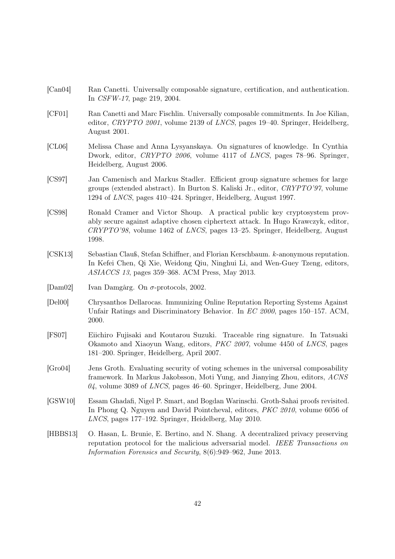- <span id="page-41-5"></span>[Can04] Ran Canetti. Universally composable signature, certification, and authentication. In CSFW-17, page 219, 2004.
- <span id="page-41-9"></span>[CF01] Ran Canetti and Marc Fischlin. Universally composable commitments. In Joe Kilian, editor, CRYPTO 2001, volume 2139 of LNCS, pages 19-40. Springer, Heidelberg, August 2001.
- <span id="page-41-7"></span>[CL06] Melissa Chase and Anna Lysyanskaya. On signatures of knowledge. In Cynthia Dwork, editor, CRYPTO 2006, volume 4117 of LNCS, pages 78–96. Springer, Heidelberg, August 2006.
- <span id="page-41-10"></span>[CS97] Jan Camenisch and Markus Stadler. Efficient group signature schemes for large groups (extended abstract). In Burton S. Kaliski Jr., editor, CRYPTO'97, volume 1294 of LNCS, pages 410–424. Springer, Heidelberg, August 1997.
- <span id="page-41-8"></span>[CS98] Ronald Cramer and Victor Shoup. A practical public key cryptosystem provably secure against adaptive chosen ciphertext attack. In Hugo Krawczyk, editor, CRYPTO'98, volume 1462 of LNCS, pages 13–25. Springer, Heidelberg, August 1998.
- <span id="page-41-0"></span>[CSK13] Sebastian Clauß, Stefan Schiffner, and Florian Kerschbaum. k-anonymous reputation. In Kefei Chen, Qi Xie, Weidong Qiu, Ninghui Li, and Wen-Guey Tzeng, editors, ASIACCS 13, pages 359–368. ACM Press, May 2013.
- <span id="page-41-3"></span>[Dam02] Ivan Damgårg. On σ-protocols, 2002.
- <span id="page-41-1"></span>[Del00] Chrysanthos Dellarocas. Immunizing Online Reputation Reporting Systems Against Unfair Ratings and Discriminatory Behavior. In EC 2000, pages 150–157. ACM, 2000.
- <span id="page-41-4"></span>[FS07] Eiichiro Fujisaki and Koutarou Suzuki. Traceable ring signature. In Tatsuaki Okamoto and Xiaoyun Wang, editors, PKC 2007, volume 4450 of LNCS, pages 181–200. Springer, Heidelberg, April 2007.
- <span id="page-41-11"></span>[Gro04] Jens Groth. Evaluating security of voting schemes in the universal composability framework. In Markus Jakobsson, Moti Yung, and Jianying Zhou, editors, ACNS  $04$ , volume 3089 of *LNCS*, pages 46–60. Springer, Heidelberg, June 2004.
- <span id="page-41-6"></span>[GSW10] Essam Ghadafi, Nigel P. Smart, and Bogdan Warinschi. Groth-Sahai proofs revisited. In Phong Q. Nguyen and David Pointcheval, editors, PKC 2010, volume 6056 of LNCS, pages 177–192. Springer, Heidelberg, May 2010.
- <span id="page-41-2"></span>[HBBS13] O. Hasan, L. Brunie, E. Bertino, and N. Shang. A decentralized privacy preserving reputation protocol for the malicious adversarial model. IEEE Transactions on Information Forensics and Security, 8(6):949–962, June 2013.